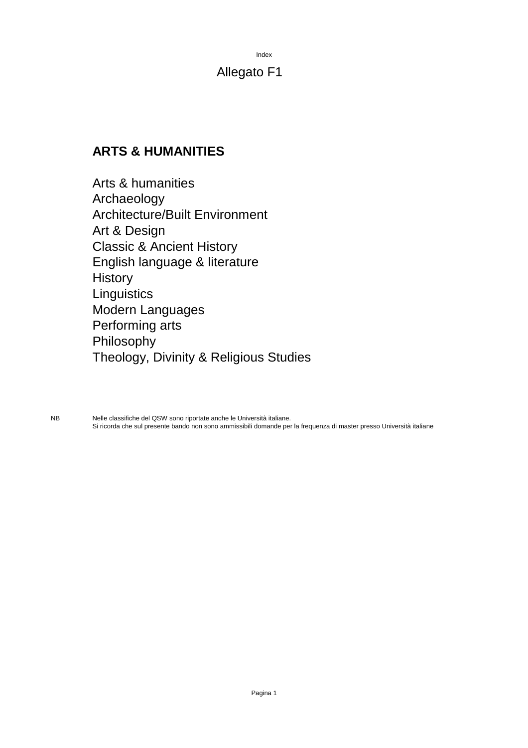Index

### Allegato F1

### **ARTS & HUMANITIES**

Arts & humanities Archaeology Architecture/Built Environment Art & Design Classic & Ancient History English language & literature **History Linguistics** Modern Languages Performing arts Philosophy Theology, Divinity & Religious Studies

NB Nelle classifiche del QSW sono riportate anche le Università italiane. Si ricorda che sul presente bando non sono ammissibili domande per la frequenza di master presso Università italiane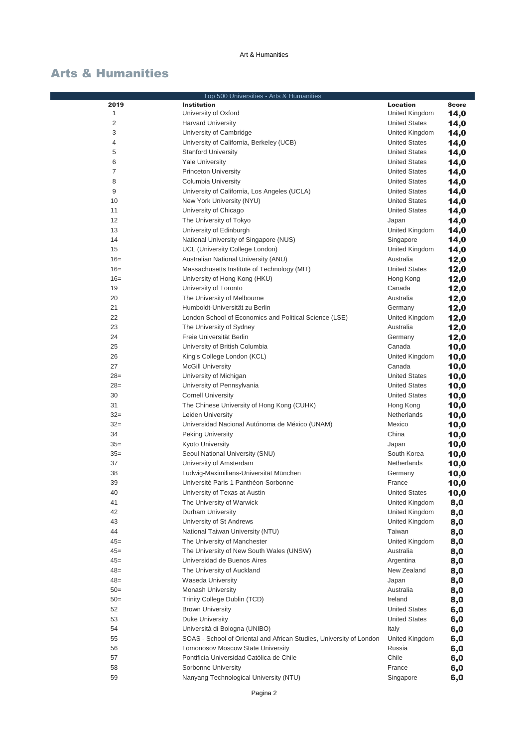|                | Top 500 Universities - Arts & Humanities                            |                      |              |
|----------------|---------------------------------------------------------------------|----------------------|--------------|
| 2019           | <b>Institution</b>                                                  | <b>Location</b>      | <b>Score</b> |
| 1              | University of Oxford                                                | United Kingdom       | 14,0         |
| $\overline{2}$ | <b>Harvard University</b>                                           | <b>United States</b> | 14,0         |
| 3              | University of Cambridge                                             | United Kingdom       | 14,0         |
| $\overline{4}$ | University of California, Berkeley (UCB)                            | <b>United States</b> | 14,0         |
| 5              | <b>Stanford University</b>                                          | <b>United States</b> | 14,0         |
| 6              | <b>Yale University</b>                                              | <b>United States</b> | 14,0         |
| $\overline{7}$ | <b>Princeton University</b>                                         | <b>United States</b> | 14,0         |
| 8              | Columbia University                                                 | <b>United States</b> | 14,0         |
| 9              | University of California, Los Angeles (UCLA)                        | <b>United States</b> | 14,0         |
| 10             | New York University (NYU)                                           | <b>United States</b> | 14,0         |
| 11             | University of Chicago                                               | <b>United States</b> | 14,0         |
| 12             | The University of Tokyo                                             | Japan                | 14,0         |
| 13             | University of Edinburgh                                             | United Kingdom       | 14,0         |
| 14             | National University of Singapore (NUS)                              | Singapore            | 14,0         |
| 15             | UCL (University College London)                                     | United Kingdom       | 14,0         |
| $16=$          | Australian National University (ANU)                                | Australia            | 12,0         |
| $16=$          | Massachusetts Institute of Technology (MIT)                         | <b>United States</b> | 12,0         |
| $16=$          | University of Hong Kong (HKU)                                       | Hong Kong            | 12,0         |
| 19             | University of Toronto                                               | Canada               | 12,0         |
| 20             | The University of Melbourne                                         | Australia            |              |
| 21             | Humboldt-Universität zu Berlin                                      | Germany              | 12,0         |
| 22             |                                                                     |                      | 12,0         |
|                | London School of Economics and Political Science (LSE)              | United Kingdom       | 12,0         |
| 23             | The University of Sydney                                            | Australia            | 12,0         |
| 24             | Freie Universität Berlin                                            | Germany              | 12,0         |
| 25             | University of British Columbia                                      | Canada               | 10,0         |
| 26             | King's College London (KCL)                                         | United Kingdom       | 10,0         |
| 27             | <b>McGill University</b>                                            | Canada               | 10,0         |
| $28=$          | University of Michigan                                              | <b>United States</b> | 10,0         |
| $28=$          | University of Pennsylvania                                          | <b>United States</b> | 10,0         |
| 30             | <b>Cornell University</b>                                           | <b>United States</b> | 10,0         |
| 31             | The Chinese University of Hong Kong (CUHK)                          | Hong Kong            | 10,0         |
| $32=$          | Leiden University                                                   | Netherlands          | 10,0         |
| $32 =$         | Universidad Nacional Autónoma de México (UNAM)                      | Mexico               | 10,0         |
| 34             | <b>Peking University</b>                                            | China                | 10,0         |
| $35=$          | Kyoto University                                                    | Japan                | 10,0         |
| $35=$          | Seoul National University (SNU)                                     | South Korea          | 10,0         |
| 37             | University of Amsterdam                                             | Netherlands          | 10,0         |
| 38             | Ludwig-Maximilians-Universität München                              | Germany              | 10,0         |
| 39             | Université Paris 1 Panthéon-Sorbonne                                | France               | 10,0         |
| 40             | University of Texas at Austin                                       | <b>United States</b> | 10,0         |
| 41             | The University of Warwick                                           | United Kingdom       | 8,0          |
| 42             | Durham University                                                   | United Kingdom       | 8,0          |
| 43             | University of St Andrews                                            | United Kingdom       | 8,0          |
| 44             | National Taiwan University (NTU)                                    | Taiwan               | 8,0          |
| $45 =$         | The University of Manchester                                        | United Kingdom       | 8,0          |
| $45 =$         | The University of New South Wales (UNSW)                            | Australia            | 8,0          |
| $45 =$         | Universidad de Buenos Aires                                         | Argentina            | 8,0          |
| $48=$          | The University of Auckland                                          | New Zealand          | 8,0          |
| $48=$          | <b>Waseda University</b>                                            | Japan                | 8,0          |
| $50=$          | <b>Monash University</b>                                            | Australia            | 8,0          |
| $50=$          | Trinity College Dublin (TCD)                                        | Ireland              | 8,0          |
| 52             | <b>Brown University</b>                                             | <b>United States</b> | 6,0          |
| 53             | Duke University                                                     | <b>United States</b> | 6,0          |
| 54             | Università di Bologna (UNIBO)                                       | Italy                | 6,0          |
| 55             | SOAS - School of Oriental and African Studies, University of London | United Kingdom       | 6,0          |
| 56             | Lomonosov Moscow State University                                   | Russia               | 6,0          |
| 57             | Pontificia Universidad Católica de Chile                            | Chile                | 6,0          |
| 58             | Sorbonne University                                                 | France               | 6,0          |
| 59             | Nanyang Technological University (NTU)                              | Singapore            | 6,0          |
|                |                                                                     |                      |              |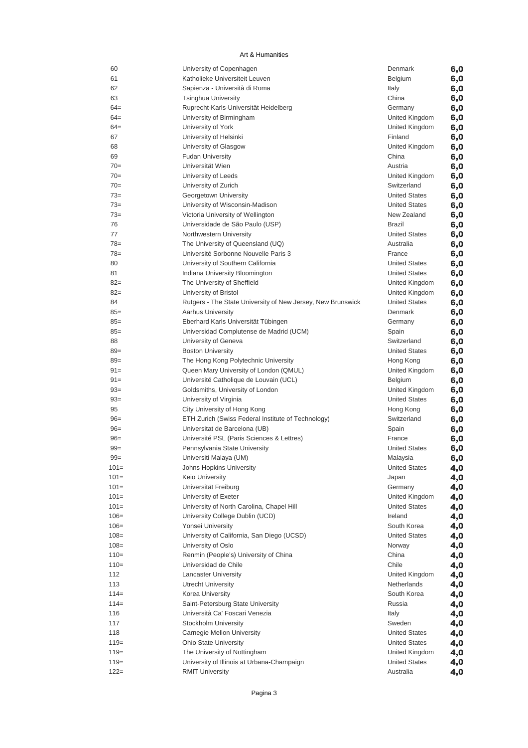| 60      | University of Copenhagen                                    | Denmark              | 6,0 |
|---------|-------------------------------------------------------------|----------------------|-----|
| 61      | Katholieke Universiteit Leuven                              | Belgium              | 6,0 |
| 62      | Sapienza - Università di Roma                               | Italy                | 6,0 |
| 63      | <b>Tsinghua University</b>                                  | China                | 6,0 |
| $64 =$  | Ruprecht-Karls-Universität Heidelberg                       | Germany              | 6,0 |
| $64 =$  | University of Birmingham                                    | United Kingdom       | 6,0 |
| $64 =$  | University of York                                          | United Kingdom       | 6,0 |
| 67      | University of Helsinki                                      | Finland              | 6,0 |
| 68      | University of Glasgow                                       | United Kingdom       | 6,0 |
| 69      | <b>Fudan University</b>                                     | China                | 6,0 |
| $70=$   | Universität Wien                                            | Austria              | 6,0 |
| $70=$   | University of Leeds                                         | United Kingdom       | 6,0 |
| $70=$   | University of Zurich                                        | Switzerland          | 6,0 |
| $73=$   | Georgetown University                                       | <b>United States</b> | 6,0 |
| $73=$   | University of Wisconsin-Madison                             | <b>United States</b> | 6,0 |
| $73=$   | Victoria University of Wellington                           | New Zealand          | 6,0 |
| 76      | Universidade de São Paulo (USP)                             | Brazil               | 6,0 |
| 77      | Northwestern University                                     | <b>United States</b> | 6,0 |
| $78 =$  | The University of Queensland (UQ)                           | Australia            | 6,0 |
| $78 =$  | Université Sorbonne Nouvelle Paris 3                        | France               | 6,0 |
| 80      | University of Southern California                           | <b>United States</b> | 6,0 |
| 81      | Indiana University Bloomington                              | <b>United States</b> | 6,0 |
| $82 =$  | The University of Sheffield                                 | United Kingdom       | 6,0 |
| $82 =$  | University of Bristol                                       | United Kingdom       | 6,0 |
| 84      | Rutgers - The State University of New Jersey, New Brunswick | <b>United States</b> | 6,0 |
| $85 =$  | <b>Aarhus University</b>                                    | Denmark              | 6,0 |
| $85 =$  | Eberhard Karls Universität Tübingen                         | Germany              | 6,0 |
| $85 =$  | Universidad Complutense de Madrid (UCM)                     | Spain                | 6,0 |
| 88      | University of Geneva                                        | Switzerland          | 6,0 |
| $89 =$  | <b>Boston University</b>                                    | <b>United States</b> | 6,0 |
| $89 =$  | The Hong Kong Polytechnic University                        | Hong Kong            | 6,0 |
| $91 =$  | Queen Mary University of London (QMUL)                      | United Kingdom       | 6,0 |
| $91 =$  | Université Catholique de Louvain (UCL)                      | Belgium              | 6,0 |
| $93=$   | Goldsmiths, University of London                            | United Kingdom       |     |
| $93=$   | University of Virginia                                      | <b>United States</b> | 6,0 |
| 95      | City University of Hong Kong                                | Hong Kong            | 6,0 |
| $96=$   | ETH Zurich (Swiss Federal Institute of Technology)          | Switzerland          | 6,0 |
| $96=$   | Universitat de Barcelona (UB)                               |                      | 6,0 |
| $96=$   |                                                             | Spain                | 6,0 |
|         | Université PSL (Paris Sciences & Lettres)                   | France               | 6,0 |
| $99 =$  | Pennsylvania State University                               | <b>United States</b> | 6,0 |
| $99 =$  | Universiti Malaya (UM)                                      | Malaysia             | 6,0 |
| $101 =$ | Johns Hopkins University                                    | United States        | 4,0 |
| $101 =$ | Keio University                                             | Japan                | 4,0 |
| $101 =$ | Universität Freiburg                                        | Germany              | 4,0 |
| $101 =$ | University of Exeter                                        | United Kingdom       | 4,0 |
| $101 =$ | University of North Carolina, Chapel Hill                   | <b>United States</b> | 4,0 |
| $106 =$ | University College Dublin (UCD)                             | Ireland              | 4,0 |
| $106 =$ | Yonsei University                                           | South Korea          | 4,0 |
| $108 =$ | University of California, San Diego (UCSD)                  | <b>United States</b> | 4,0 |
| $108 =$ | University of Oslo                                          | Norway               | 4,0 |
| $110=$  | Renmin (People's) University of China                       | China                | 4,0 |
| $110=$  | Universidad de Chile                                        | Chile                | 4,0 |
| 112     | <b>Lancaster University</b>                                 | United Kingdom       | 4,0 |
| 113     | Utrecht University                                          | Netherlands          | 4,0 |
| $114=$  | Korea University                                            | South Korea          | 4,0 |
| $114=$  | Saint-Petersburg State University                           | Russia               | 4,0 |
| 116     | Università Ca' Foscari Venezia                              | Italy                | 4,0 |
| 117     | Stockholm University                                        | Sweden               | 4,0 |
| 118     | Carnegie Mellon University                                  | <b>United States</b> | 4,0 |
| $119=$  | <b>Ohio State University</b>                                | <b>United States</b> | 4,0 |
| $119=$  | The University of Nottingham                                | United Kingdom       | 4,0 |
| $119=$  | University of Illinois at Urbana-Champaign                  | <b>United States</b> | 4,0 |
| $122 =$ | <b>RMIT University</b>                                      | Australia            | 4,0 |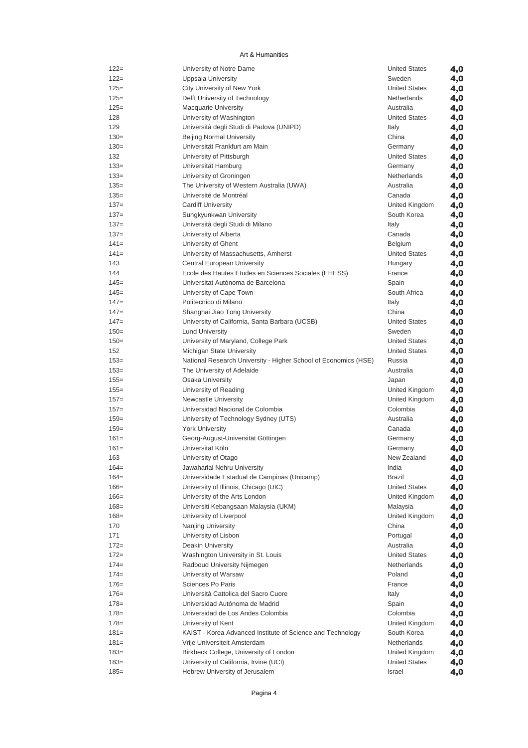| $122 =$ | University of Notre Dame                                        | <b>United States</b> | 4,0 |
|---------|-----------------------------------------------------------------|----------------------|-----|
| $122 =$ | <b>Uppsala University</b>                                       | Sweden               | 4,0 |
| $125=$  | City University of New York                                     | <b>United States</b> | 4,0 |
| $125=$  | Delft University of Technology                                  | Netherlands          | 4,0 |
| $125=$  | <b>Macquarie University</b>                                     | Australia            | 4,0 |
| 128     | University of Washington                                        | <b>United States</b> | 4,0 |
| 129     | Università degli Studi di Padova (UNIPD)                        | Italy                | 4,0 |
| $130=$  | <b>Beijing Normal University</b>                                | China                | 4,0 |
| $130=$  | Universität Frankfurt am Main                                   | Germany              | 4,0 |
| 132     | University of Pittsburgh                                        | <b>United States</b> | 4,0 |
| $133 =$ | Universität Hamburg                                             | Germany              | 4,0 |
| $133=$  | University of Groningen                                         | Netherlands          | 4,0 |
| $135=$  | The University of Western Australia (UWA)                       | Australia            | 4,0 |
| $135=$  | Université de Montréal                                          | Canada               |     |
| $137=$  | <b>Cardiff University</b>                                       | United Kingdom       | 4,0 |
|         |                                                                 |                      | 4,0 |
| $137=$  | Sungkyunkwan University                                         | South Korea          | 4,0 |
| $137=$  | Università degli Studi di Milano                                | Italy                | 4,0 |
| $137=$  | University of Alberta                                           | Canada               | 4,0 |
| $141=$  | University of Ghent                                             | Belgium              | 4,0 |
| $141=$  | University of Massachusetts, Amherst                            | <b>United States</b> | 4,0 |
| 143     | Central European University                                     | Hungary              | 4,0 |
| 144     | Ecole des Hautes Etudes en Sciences Sociales (EHESS)            | France               | 4,0 |
| $145=$  | Universitat Autónoma de Barcelona                               | Spain                | 4,0 |
| $145=$  | University of Cape Town                                         | South Africa         | 4,0 |
| $147=$  | Politecnico di Milano                                           | Italy                | 4,0 |
| $147=$  | Shanghai Jiao Tong University                                   | China                | 4,0 |
| $147=$  | University of California, Santa Barbara (UCSB)                  | <b>United States</b> | 4,0 |
| $150=$  | <b>Lund University</b>                                          | Sweden               | 4,0 |
| $150=$  | University of Maryland, College Park                            | <b>United States</b> | 4,0 |
| 152     | Michigan State University                                       | <b>United States</b> | 4,0 |
| $153=$  | National Research University - Higher School of Economics (HSE) | Russia               | 4,0 |
| $153=$  | The University of Adelaide                                      | Australia            | 4,0 |
| $155 =$ | Osaka University                                                | Japan                |     |
| $155 =$ | University of Reading                                           | United Kingdom       | 4,0 |
| $157 =$ |                                                                 | United Kingdom       | 4,0 |
|         | <b>Newcastle University</b>                                     | Colombia             | 4,0 |
| $157 =$ | Universidad Nacional de Colombia                                | Australia            | 4,0 |
| $159=$  | University of Technology Sydney (UTS)                           |                      | 4,0 |
| $159=$  | <b>York University</b>                                          | Canada               | 4,0 |
| $161=$  | Georg-August-Universität Göttingen                              | Germany              | 4,0 |
| $161=$  | Universität Köln                                                | Germany              | 4,0 |
| 163     | University of Otago                                             | New Zealand          | 4,0 |
| $164=$  | Jawaharlal Nehru University                                     | India                | 4,0 |
| $164=$  | Universidade Estadual de Campinas (Unicamp)                     | <b>Brazil</b>        | 4,0 |
| $166=$  | University of Illinois, Chicago (UIC)                           | <b>United States</b> | 4,0 |
| $166=$  | University of the Arts London                                   | United Kingdom       | 4,0 |
| $168 =$ | Universiti Kebangsaan Malaysia (UKM)                            | Malaysia             | 4,0 |
| $168 =$ | University of Liverpool                                         | United Kingdom       | 4,0 |
| 170     | Nanjing University                                              | China                | 4,0 |
| 171     | University of Lisbon                                            | Portugal             | 4,0 |
| $172=$  | <b>Deakin University</b>                                        | Australia            | 4,0 |
| $172 =$ | Washington University in St. Louis                              | <b>United States</b> | 4,0 |
| $174=$  | Radboud University Nijmegen                                     | Netherlands          | 4,0 |
| $174=$  | University of Warsaw                                            | Poland               | 4,0 |
| $176=$  | Sciences Po Paris                                               | France               | 4,0 |
| $176=$  | Università Cattolica del Sacro Cuore                            | Italy                | 4,0 |
| $178 =$ | Universidad Autónoma de Madrid                                  | Spain                | 4,0 |
| $178 =$ | Universidad de Los Andes Colombia                               | Colombia             |     |
| $178 =$ |                                                                 | United Kingdom       | 4,0 |
|         | University of Kent                                              |                      | 4,0 |
| $181=$  | KAIST - Korea Advanced Institute of Science and Technology      | South Korea          | 4,0 |
| $181=$  | Vrije Universiteit Amsterdam                                    | Netherlands          | 4,0 |
| $183=$  | Birkbeck College, University of London                          | United Kingdom       | 4,0 |
| $183=$  | University of California, Irvine (UCI)                          | <b>United States</b> | 4,0 |
| $185 =$ | Hebrew University of Jerusalem                                  | Israel               | 4,0 |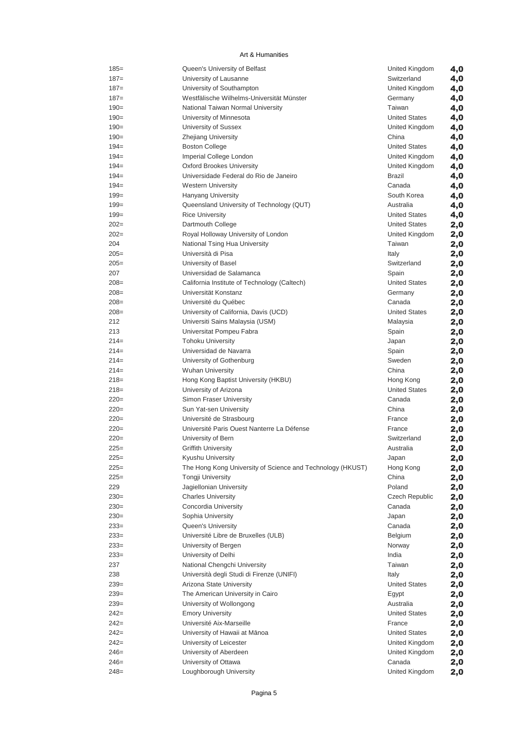| $185 =$ | Queen's University of Belfast                              | United Kingdom        | 4,0 |
|---------|------------------------------------------------------------|-----------------------|-----|
| $187 =$ | University of Lausanne                                     | Switzerland           | 4,0 |
| $187 =$ | University of Southampton                                  | United Kingdom        | 4,0 |
| $187 =$ | Westfälische Wilhelms-Universität Münster                  | Germany               | 4,0 |
| $190=$  | National Taiwan Normal University                          | Taiwan                | 4,0 |
| $190=$  | University of Minnesota                                    | <b>United States</b>  | 4,0 |
| $190=$  | University of Sussex                                       | United Kingdom        | 4,0 |
| $190=$  | Zhejiang University                                        | China                 | 4,0 |
| $194=$  | <b>Boston College</b>                                      | <b>United States</b>  | 4,0 |
| $194=$  | Imperial College London                                    | United Kingdom        | 4,0 |
| $194=$  | <b>Oxford Brookes University</b>                           | United Kingdom        | 4,0 |
| $194=$  | Universidade Federal do Rio de Janeiro                     | <b>Brazil</b>         | 4,0 |
| $194=$  | <b>Western University</b>                                  | Canada                | 4,0 |
| $199=$  | <b>Hanyang University</b>                                  | South Korea           | 4,0 |
| $199=$  | Queensland University of Technology (QUT)                  | Australia             | 4,0 |
| $199=$  | <b>Rice University</b>                                     | <b>United States</b>  | 4,0 |
| $202=$  | Dartmouth College                                          | <b>United States</b>  | 2,0 |
| $202=$  | Royal Holloway University of London                        | United Kingdom        | 2,0 |
| 204     | National Tsing Hua University                              | Taiwan                | 2,0 |
| $205=$  | Università di Pisa                                         | Italy                 | 2,0 |
| $205 =$ | University of Basel                                        | Switzerland           | 2,0 |
| 207     | Universidad de Salamanca                                   | Spain                 | 2,0 |
| $208=$  | California Institute of Technology (Caltech)               | <b>United States</b>  | 2,0 |
| $208=$  | Universität Konstanz                                       | Germany               | 2,0 |
| $208=$  | Université du Québec                                       | Canada                | 2,0 |
| $208=$  | University of California, Davis (UCD)                      | <b>United States</b>  | 2,0 |
| 212     | Universiti Sains Malaysia (USM)                            | Malaysia              | 2,0 |
| 213     | Universitat Pompeu Fabra                                   | Spain                 | 2,0 |
| $214=$  | <b>Tohoku University</b>                                   | Japan                 | 2,0 |
| $214=$  | Universidad de Navarra                                     | Spain                 | 2,0 |
| $214=$  | University of Gothenburg                                   | Sweden                | 2,0 |
| $214=$  | <b>Wuhan University</b>                                    | China                 | 2,0 |
| $218=$  | Hong Kong Baptist University (HKBU)                        | Hong Kong             | 2,0 |
| $218=$  | University of Arizona                                      | <b>United States</b>  | 2,0 |
| $220=$  | Simon Fraser University                                    | Canada                | 2,0 |
| $220=$  | Sun Yat-sen University                                     | China                 | 2,0 |
| $220=$  | Université de Strasbourg                                   | France                | 2,0 |
| $220=$  | Université Paris Ouest Nanterre La Défense                 | France                | 2,0 |
| $220=$  | University of Bern                                         | Switzerland           | 2,0 |
| $225=$  | <b>Griffith University</b>                                 | Australia             | 2,0 |
| $225=$  | Kyushu University                                          | Japan                 | 2,0 |
| $225=$  | The Hong Kong University of Science and Technology (HKUST) | Hong Kong             | 2,0 |
| $225=$  | Tongji University                                          | China                 | 2,0 |
| 229     | Jagiellonian University                                    | Poland                | 2,0 |
| $230=$  | <b>Charles University</b>                                  | <b>Czech Republic</b> | 2,0 |
| $230=$  | Concordia University                                       | Canada                | 2,0 |
| $230=$  | Sophia University                                          | Japan                 |     |
| $233=$  | Queen's University                                         | Canada                | 2,0 |
| $233=$  | Université Libre de Bruxelles (ULB)                        | Belgium               | 2,0 |
| $233=$  | University of Bergen                                       |                       | 2,0 |
| $233=$  | University of Delhi                                        | Norway<br>India       | 2,0 |
|         | National Chengchi University                               | Taiwan                | 2,0 |
| 237     | Università degli Studi di Firenze (UNIFI)                  |                       | 2,0 |
| 238     |                                                            | Italy                 | 2,0 |
| $239=$  | Arizona State University                                   | <b>United States</b>  | 2,0 |
| $239=$  | The American University in Cairo                           | Egypt                 | 2,0 |
| $239=$  | University of Wollongong                                   | Australia             | 2,0 |
| $242=$  | <b>Emory University</b>                                    | <b>United States</b>  | 2,0 |
| $242=$  | Université Aix-Marseille                                   | France                | 2,0 |
| $242=$  | University of Hawaii at Mānoa                              | <b>United States</b>  | 2,0 |
| $242=$  | University of Leicester                                    | United Kingdom        | 2,0 |
| $246=$  | University of Aberdeen                                     | United Kingdom        | 2,0 |
| $246=$  | University of Ottawa                                       | Canada                | 2,0 |
| $248=$  | Loughborough University                                    | United Kingdom        | 2,0 |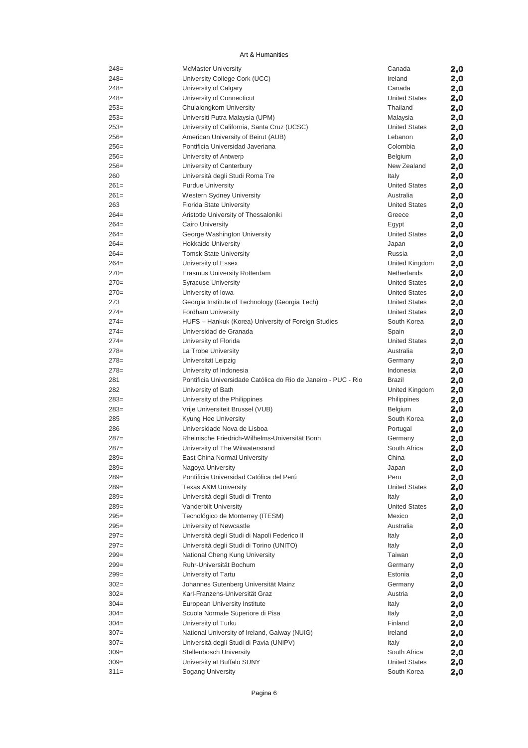| $248=$     | <b>McMaster University</b>                                        | Canada                 | 2,0 |
|------------|-------------------------------------------------------------------|------------------------|-----|
| $248=$     | University College Cork (UCC)                                     | Ireland                | 2,0 |
| $248=$     | University of Calgary                                             | Canada                 | 2,0 |
| $248=$     | University of Connecticut                                         | <b>United States</b>   | 2,0 |
| $253=$     | Chulalongkorn University                                          | Thailand               | 2,0 |
| $253=$     | Universiti Putra Malaysia (UPM)                                   | Malaysia               | 2,0 |
| $253=$     | University of California, Santa Cruz (UCSC)                       | <b>United States</b>   | 2,0 |
| $256=$     | American University of Beirut (AUB)                               | Lebanon                | 2,0 |
| $256=$     | Pontificia Universidad Javeriana                                  | Colombia               | 2,0 |
| $256=$     | University of Antwerp                                             | Belgium                | 2,0 |
| $256=$     | University of Canterbury                                          | New Zealand            | 2,0 |
| 260        | Università degli Studi Roma Tre                                   | Italy                  | 2,0 |
| $261=$     | <b>Purdue University</b>                                          | <b>United States</b>   | 2,0 |
| $261=$     | <b>Western Sydney University</b>                                  | Australia              | 2,0 |
| 263        | Florida State University                                          | <b>United States</b>   | 2,0 |
| $264=$     | Aristotle University of Thessaloniki                              | Greece                 | 2,0 |
| $264=$     | <b>Cairo University</b>                                           | Egypt                  | 2,0 |
| $264=$     | George Washington University                                      | <b>United States</b>   | 2,0 |
| $264=$     | <b>Hokkaido University</b>                                        | Japan                  | 2,0 |
| $264=$     | <b>Tomsk State University</b>                                     | Russia                 | 2,0 |
| $264=$     | University of Essex                                               | United Kingdom         | 2,0 |
| $270=$     | <b>Erasmus University Rotterdam</b>                               | Netherlands            | 2,0 |
| $270=$     | <b>Syracuse University</b>                                        | <b>United States</b>   | 2,0 |
| $270=$     | University of Iowa                                                | <b>United States</b>   | 2,0 |
| 273        | Georgia Institute of Technology (Georgia Tech)                    | <b>United States</b>   | 2,0 |
| $274=$     | Fordham University                                                | <b>United States</b>   |     |
| $274=$     | HUFS - Hankuk (Korea) University of Foreign Studies               | South Korea            | 2,0 |
| $274=$     | Universidad de Granada                                            | Spain                  | 2,0 |
| $274=$     | University of Florida                                             | <b>United States</b>   | 2,0 |
| $278=$     |                                                                   | Australia              | 2,0 |
| $278=$     | La Trobe University                                               |                        | 2,0 |
| $278=$     | Universität Leipzig                                               | Germany                | 2,0 |
|            | University of Indonesia                                           | Indonesia              | 2,0 |
| 281        | Pontificia Universidade Católica do Rio de Janeiro - PUC - Rio    | <b>Brazil</b>          | 2,0 |
| 282        | University of Bath                                                | United Kingdom         | 2,0 |
| $283=$     | University of the Philippines<br>Vrije Universiteit Brussel (VUB) | Philippines            | 2,0 |
| $283=$     |                                                                   | Belgium<br>South Korea | 2,0 |
| 285<br>286 | Kyung Hee University<br>Universidade Nova de Lisboa               |                        | 2,0 |
|            |                                                                   | Portugal               | 2,0 |
| $287=$     | Rheinische Friedrich-Wilhelms-Universität Bonn                    | Germany                | 2,0 |
| $287=$     | University of The Witwatersrand                                   | South Africa           | 2,0 |
| $289=$     | East China Normal University                                      | China                  | 2,0 |
| $289=$     | Nagoya University                                                 | Japan                  | 2,0 |
| $289=$     | Pontificia Universidad Católica del Perú                          | Peru                   | 2,0 |
| $289=$     | <b>Texas A&amp;M University</b>                                   | <b>United States</b>   | 2,0 |
| $289=$     | Università degli Studi di Trento                                  | Italy                  | 2,0 |
| $289=$     | Vanderbilt University                                             | <b>United States</b>   | 2,0 |
| $295=$     | Tecnológico de Monterrey (ITESM)                                  | Mexico                 | 2,0 |
| $295=$     | University of Newcastle                                           | Australia              | 2,0 |
| $297 =$    | Università degli Studi di Napoli Federico II                      | Italy                  | 2,0 |
| $297 =$    | Università degli Studi di Torino (UNITO)                          | Italy                  | 2,0 |
| $299=$     | National Cheng Kung University                                    | Taiwan                 | 2,0 |
| $299=$     | Ruhr-Universität Bochum                                           | Germany                | 2,0 |
| $299=$     | University of Tartu                                               | Estonia                | 2,0 |
| $302 =$    | Johannes Gutenberg Universität Mainz                              | Germany                | 2,0 |
| $302 =$    | Karl-Franzens-Universität Graz                                    | Austria                | 2,0 |
| $304 =$    | European University Institute                                     | Italy                  | 2,0 |
| $304 =$    | Scuola Normale Superiore di Pisa                                  | Italy                  | 2,0 |
| $304 =$    | University of Turku                                               | Finland                | 2,0 |
| $307 =$    | National University of Ireland, Galway (NUIG)                     | Ireland                | 2,0 |
| $307 =$    | Università degli Studi di Pavia (UNIPV)                           | Italy                  | 2,0 |
| $309=$     | <b>Stellenbosch University</b>                                    | South Africa           | 2,0 |
| $309=$     | University at Buffalo SUNY                                        | <b>United States</b>   | 2,0 |
| $311 =$    | Sogang University                                                 | South Korea            | 2,0 |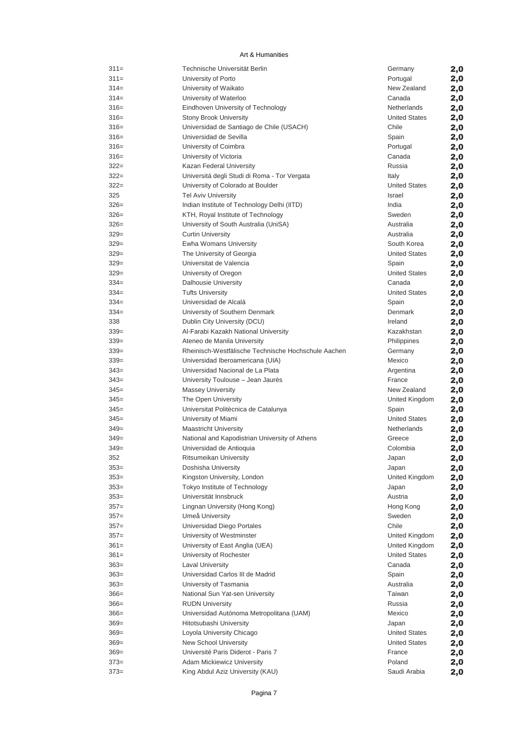| $311=$           | Technische Universität Berlin                       | Germany              | 2,0 |
|------------------|-----------------------------------------------------|----------------------|-----|
| $311 =$          | University of Porto                                 | Portugal             | 2,0 |
| $314=$           | University of Waikato                               | New Zealand          | 2,0 |
| $314=$           | University of Waterloo                              | Canada               | 2,0 |
| $316=$           | Eindhoven University of Technology                  | Netherlands          | 2,0 |
| $316=$           | <b>Stony Brook University</b>                       | <b>United States</b> | 2,0 |
| $316=$           | Universidad de Santiago de Chile (USACH)            | Chile                | 2,0 |
| $316=$           | Universidad de Sevilla                              | Spain                | 2,0 |
| $316=$           | University of Coimbra                               | Portugal             | 2,0 |
| $316=$           | University of Victoria                              | Canada               | 2,0 |
| $322 =$          | Kazan Federal University                            | Russia               | 2,0 |
| $322 =$          | Universitá degli Studi di Roma - Tor Vergata        | Italy                | 2,0 |
| $322 =$          | University of Colorado at Boulder                   | <b>United States</b> | 2,0 |
| 325              | Tel Aviv University                                 | Israel               | 2,0 |
| $326=$           | Indian Institute of Technology Delhi (IITD)         | India                | 2,0 |
| $326=$           | KTH, Royal Institute of Technology                  | Sweden               | 2,0 |
| $326=$           | University of South Australia (UniSA)               | Australia            | 2,0 |
| $329=$           | <b>Curtin University</b>                            | Australia            | 2,0 |
| $329=$           | Ewha Womans University                              | South Korea          | 2,0 |
| $329=$           | The University of Georgia                           | <b>United States</b> | 2,0 |
| $329=$           | Universitat de Valencia                             | Spain                | 2,0 |
| $329=$           | University of Oregon                                | <b>United States</b> | 2,0 |
| $334=$           | <b>Dalhousie University</b>                         | Canada               | 2,0 |
| $334=$           | <b>Tufts University</b>                             | <b>United States</b> | 2,0 |
| $334=$           | Universidad de Alcalá                               | Spain                | 2,0 |
| $334=$           | University of Southern Denmark                      | Denmark              | 2,0 |
| 338              | Dublin City University (DCU)                        | Ireland              | 2,0 |
| $339=$           | Al-Farabi Kazakh National University                | Kazakhstan           | 2,0 |
| $339=$           | Ateneo de Manila University                         | Philippines          | 2,0 |
| $339=$           | Rheinisch-Westfälische Technische Hochschule Aachen | Germany              | 2,0 |
| $339=$           | Universidad Iberoamericana (UIA)                    | Mexico               | 2,0 |
| $343=$           | Universidad Nacional de La Plata                    | Argentina            | 2,0 |
| $343=$           | University Toulouse - Jean Jaurès                   | France               | 2,0 |
| $345=$           | <b>Massey University</b>                            | New Zealand          | 2,0 |
| $345=$           | The Open University                                 | United Kingdom       | 2,0 |
| $345=$           | Universitat Politècnica de Catalunya                | Spain                | 2,0 |
| $345=$           | University of Miami                                 | <b>United States</b> | 2,0 |
| $349=$           | <b>Maastricht University</b>                        | Netherlands          | 2,0 |
| $349=$           | National and Kapodistrian University of Athens      | Greece               | 2,0 |
| $349=$           | Universidad de Antioquia                            | Colombia             | 2,0 |
| 352              | Ritsumeikan University                              | Japan                | 2,0 |
| $353=$           | Doshisha University                                 | Japan                | 2,0 |
| $353=$           | Kingston University, London                         | United Kingdom       | 2,0 |
| $353=$           | Tokyo Institute of Technology                       | Japan                | 2,0 |
| $353=$           | Universität Innsbruck                               | Austria              | 2,0 |
| $357=$           | Lingnan University (Hong Kong)                      | Hong Kong            | 2,0 |
| $357=$           | Umeå University                                     | Sweden               | 2,0 |
| $357=$           | Universidad Diego Portales                          | Chile                | 2,0 |
| $357=$           | University of Westminster                           | United Kingdom       | 2,0 |
| $361 =$          | University of East Anglia (UEA)                     | United Kingdom       | 2,0 |
| $361 =$          | University of Rochester                             | <b>United States</b> | 2,0 |
| $363=$           | <b>Laval University</b>                             | Canada               | 2,0 |
| $363=$           | Universidad Carlos III de Madrid                    | Spain                | 2,0 |
| $363=$           | University of Tasmania                              | Australia            | 2,0 |
| $366=$           | National Sun Yat-sen University                     | Taiwan               | 2,0 |
| $366=$           | <b>RUDN University</b>                              | Russia               | 2,0 |
| $366=$           | Universidad Autónoma Metropolitana (UAM)            | Mexico               | 2,0 |
| $369=$           | Hitotsubashi University                             | Japan                |     |
| $369=$           | Loyola University Chicago                           | <b>United States</b> | 2,0 |
| $369=$           | New School University                               | <b>United States</b> | 2,0 |
| $369=$           | Université Paris Diderot - Paris 7                  | France               | 2,0 |
|                  | Adam Mickiewicz University                          | Poland               | 2,0 |
| $373=$<br>$373=$ | King Abdul Aziz University (KAU)                    |                      | 2,0 |
|                  |                                                     | Saudi Arabia         | 2,0 |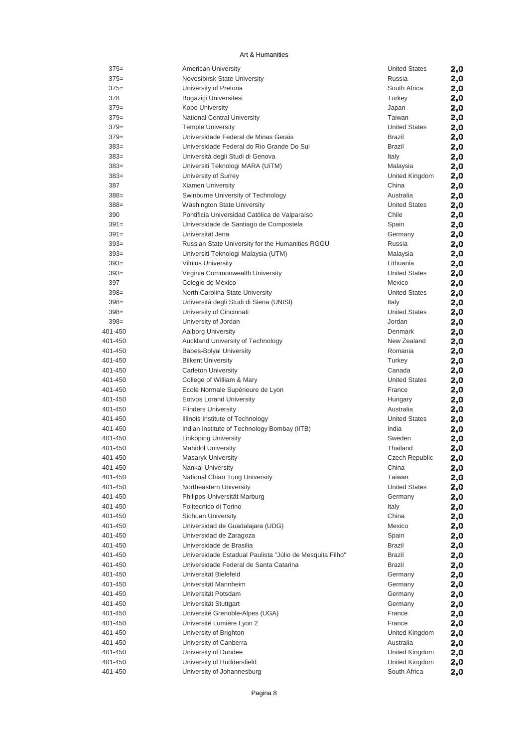| $375=$             | American University                                      | <b>United States</b> | 2,0        |
|--------------------|----------------------------------------------------------|----------------------|------------|
| $375=$             | Novosibirsk State University                             | Russia               | 2,0        |
| $375=$             | University of Pretoria                                   | South Africa         | 2,0        |
| 378                | Bogaziçi Üniversitesi                                    | Turkey               | 2,0        |
| $379=$             | Kobe University                                          | Japan                | 2,0        |
| $379=$             | National Central University                              | Taiwan               | 2,0        |
| $379=$             | <b>Temple University</b>                                 | <b>United States</b> | 2,0        |
| $379=$             | Universidade Federal de Minas Gerais                     | Brazil               | 2,0        |
| $383=$             | Universidade Federal do Rio Grande Do Sul                | Brazil               | 2,0        |
| $383=$             | Università degli Studi di Genova                         | Italy                | 2,0        |
| $383=$             | Universiti Teknologi MARA (UiTM)                         | Malaysia             | 2,0        |
| $383=$             | University of Surrey                                     | United Kingdom       | 2,0        |
| 387                | Xiamen University                                        | China                | 2,0        |
| $388 =$            | Swinburne University of Technology                       | Australia            | 2,0        |
| $388 =$            | <b>Washington State University</b>                       | <b>United States</b> | 2,0        |
| 390                | Pontificia Universidad Católica de Valparaíso            | Chile                | 2,0        |
| $391 =$            | Universidade de Santiago de Compostela                   | Spain                | 2,0        |
| $391 =$            | Universität Jena                                         | Germany              | 2,0        |
| $393=$             | Russian State University for the Humanities RGGU         | Russia               | 2,0        |
| $393=$             | Universiti Teknologi Malaysia (UTM)                      | Malaysia             | 2,0        |
| $393=$             | <b>Vilnius University</b>                                | Lithuania            | 2,0        |
| $393=$             | Virginia Commonwealth University                         | <b>United States</b> | 2,0        |
| 397                | Colegio de México                                        | Mexico               | 2,0        |
| $398 =$            | North Carolina State University                          | <b>United States</b> | 2,0        |
| $398 =$            | Università degli Studi di Siena (UNISI)                  | Italy                | 2,0        |
| $398=$             | University of Cincinnati                                 | <b>United States</b> | 2,0        |
| $398 =$            | University of Jordan                                     | Jordan               | 2,0        |
| 401-450            | <b>Aalborg University</b>                                | Denmark              | 2,0        |
| 401-450            | Auckland University of Technology                        | New Zealand          | 2,0        |
| 401-450            | Babes-Bolyai University                                  | Romania              | 2,0        |
| 401-450            | <b>Bilkent University</b>                                | Turkey               | 2,0        |
| 401-450            | <b>Carleton University</b>                               | Canada               | 2,0        |
| 401-450            | College of William & Mary                                | <b>United States</b> | 2,0        |
| 401-450            | Ecole Normale Supérieure de Lyon                         | France               | 2,0        |
| 401-450            | <b>Eotvos Lorand University</b>                          | Hungary              | 2,0        |
| 401-450            | <b>Flinders University</b>                               | Australia            | 2,0        |
| 401-450            | Illinois Institute of Technology                         | <b>United States</b> | 2,0        |
| 401-450<br>401-450 | Indian Institute of Technology Bombay (IITB)             | India                | 2,0        |
|                    | Linköping University                                     | Sweden               | 2,0        |
| 401-450            | <b>Mahidol University</b>                                | Thailand             | 2,0        |
| 401-450            | <b>Masaryk University</b>                                | Czech Republic       | 2,0        |
| 401-450<br>401-450 | Nankai University<br>National Chiao Tung University      | China<br>Taiwan      | 2,0        |
| 401-450            |                                                          | <b>United States</b> | 2,0        |
| 401-450            | Northeastern University<br>Philipps-Universität Marburg  | Germany              | 2,0        |
| 401-450            | Politecnico di Torino                                    | Italy                | 2,0        |
| 401-450            | Sichuan University                                       | China                | 2,0        |
| 401-450            | Universidad de Guadalajara (UDG)                         | Mexico               | 2,0        |
| 401-450            | Universidad de Zaragoza                                  | Spain                | 2,0<br>2,0 |
| 401-450            | Universidade de Brasilia                                 | Brazil               | 2,0        |
| 401-450            | Universidade Estadual Paulista "Júlio de Mesquita Filho" | Brazil               | 2,0        |
| 401-450            | Universidade Federal de Santa Catarina                   | Brazil               | 2,0        |
| 401-450            | Universität Bielefeld                                    | Germany              | 2,0        |
| 401-450            | Universität Mannheim                                     | Germany              | 2,0        |
| 401-450            | Universität Potsdam                                      | Germany              | 2,0        |
| 401-450            | Universität Stuttgart                                    | Germany              | 2,0        |
| 401-450            | Université Grenoble-Alpes (UGA)                          | France               | 2,0        |
| 401-450            | Université Lumière Lyon 2                                | France               | 2,0        |
| 401-450            | University of Brighton                                   | United Kingdom       | 2,0        |
| 401-450            | University of Canberra                                   | Australia            | 2,0        |
| 401-450            | University of Dundee                                     | United Kingdom       | 2,0        |
| 401-450            | University of Huddersfield                               | United Kingdom       | 2,0        |
| 401-450            | University of Johannesburg                               | South Africa         | 2,0        |
|                    |                                                          |                      |            |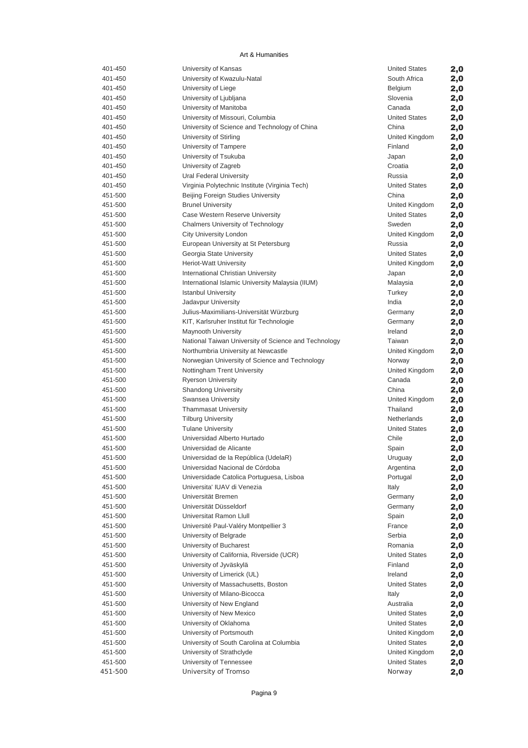| 401-450            | University of Kansas                                  | <b>United States</b>                | 2,0 |
|--------------------|-------------------------------------------------------|-------------------------------------|-----|
| 401-450            | University of Kwazulu-Natal                           | South Africa                        | 2,0 |
| 401-450            | University of Liege                                   | Belgium                             | 2,0 |
| 401-450            | University of Ljubljana                               | Slovenia                            | 2,0 |
| 401-450            | University of Manitoba                                | Canada                              | 2,0 |
| 401-450            | University of Missouri, Columbia                      | <b>United States</b>                | 2,0 |
| 401-450            | University of Science and Technology of China         | China                               | 2,0 |
| 401-450            | University of Stirling                                | United Kingdom                      | 2,0 |
| 401-450            | University of Tampere                                 | Finland                             | 2,0 |
| 401-450            | University of Tsukuba                                 | Japan                               | 2,0 |
| 401-450            | University of Zagreb                                  | Croatia                             | 2,0 |
| 401-450            | Ural Federal University                               | Russia                              | 2,0 |
| 401-450            | Virginia Polytechnic Institute (Virginia Tech)        | <b>United States</b>                | 2,0 |
| 451-500            | Beijing Foreign Studies University                    | China                               | 2,0 |
| 451-500            | <b>Brunel University</b>                              | United Kingdom                      | 2,0 |
| 451-500            | Case Western Reserve University                       | <b>United States</b>                | 2,0 |
| 451-500            | <b>Chalmers University of Technology</b>              | Sweden                              | 2,0 |
| 451-500            | City University London                                | United Kingdom                      | 2,0 |
| 451-500            | European University at St Petersburg                  | Russia                              | 2,0 |
| 451-500            | Georgia State University                              | <b>United States</b>                | 2,0 |
| 451-500            | <b>Heriot-Watt University</b>                         | United Kingdom                      | 2,0 |
| 451-500            | International Christian University                    | Japan                               | 2,0 |
| 451-500            | International Islamic University Malaysia (IIUM)      | Malaysia                            | 2,0 |
| 451-500            | <b>Istanbul University</b>                            | Turkey                              |     |
| 451-500            | Jadavpur University                                   | India                               | 2,0 |
| 451-500            | Julius-Maximilians-Universität Würzburg               |                                     | 2,0 |
| 451-500            | KIT, Karlsruher Institut für Technologie              | Germany<br>Germany                  | 2,0 |
|                    |                                                       | Ireland                             | 2,0 |
| 451-500<br>451-500 | <b>Maynooth University</b>                            | Taiwan                              | 2,0 |
| 451-500            | National Taiwan University of Science and Technology  |                                     | 2,0 |
|                    | Northumbria University at Newcastle                   | United Kingdom                      | 2,0 |
| 451-500            | Norwegian University of Science and Technology        | Norway                              | 2,0 |
| 451-500            | Nottingham Trent University                           | United Kingdom                      | 2,0 |
| 451-500<br>451-500 | <b>Ryerson University</b>                             | Canada<br>China                     | 2,0 |
|                    | <b>Shandong University</b>                            |                                     | 2,0 |
| 451-500            | Swansea University                                    | United Kingdom<br>Thailand          | 2,0 |
| 451-500<br>451-500 | <b>Thammasat University</b>                           |                                     | 2,0 |
| 451-500            | <b>Tilburg University</b><br><b>Tulane University</b> | Netherlands<br><b>United States</b> | 2,0 |
| 451-500            |                                                       | Chile                               | 2,0 |
|                    | Universidad Alberto Hurtado                           |                                     | 2,0 |
| 451-500            | Universidad de Alicante                               | Spain                               | 2,0 |
| 451-500            | Universidad de la República (UdelaR)                  | Uruguay                             | 2,0 |
| 451-500            | Universidad Nacional de Córdoba                       | Argentina                           | 2,0 |
| 451-500            | Universidade Catolica Portuguesa, Lisboa              | Portugal                            | 2,0 |
| 451-500            | Universita' IUAV di Venezia                           | Italy                               | 2,0 |
| 451-500            | Universität Bremen                                    | Germany                             | 2,0 |
| 451-500            | Universität Düsseldorf                                | Germany                             | 2,0 |
| 451-500            | Universitat Ramon Llull                               | Spain                               | 2,0 |
| 451-500            | Université Paul-Valéry Montpellier 3                  | France                              | 2,0 |
| 451-500            | University of Belgrade                                | Serbia                              | 2,0 |
| 451-500            | University of Bucharest                               | Romania                             | 2,0 |
| 451-500            | University of California, Riverside (UCR)             | <b>United States</b>                | 2,0 |
| 451-500            | University of Jyväskylä                               | Finland                             | 2,0 |
| 451-500            | University of Limerick (UL)                           | Ireland                             | 2,0 |
| 451-500            | University of Massachusetts, Boston                   | <b>United States</b>                | 2,0 |
| 451-500            | University of Milano-Bicocca                          | Italy                               | 2,0 |
| 451-500            | University of New England                             | Australia                           | 2,0 |
| 451-500            | University of New Mexico                              | <b>United States</b>                | 2,0 |
| 451-500            | University of Oklahoma                                | <b>United States</b>                | 2,0 |
| 451-500            | University of Portsmouth                              | United Kingdom                      | 2,0 |
| 451-500            | University of South Carolina at Columbia              | <b>United States</b>                | 2,0 |
| 451-500            | University of Strathclyde                             | United Kingdom                      | 2,0 |
| 451-500            | University of Tennessee                               | <b>United States</b>                | 2,0 |
| 451-500            | University of Tromso                                  | Norway                              | 2,0 |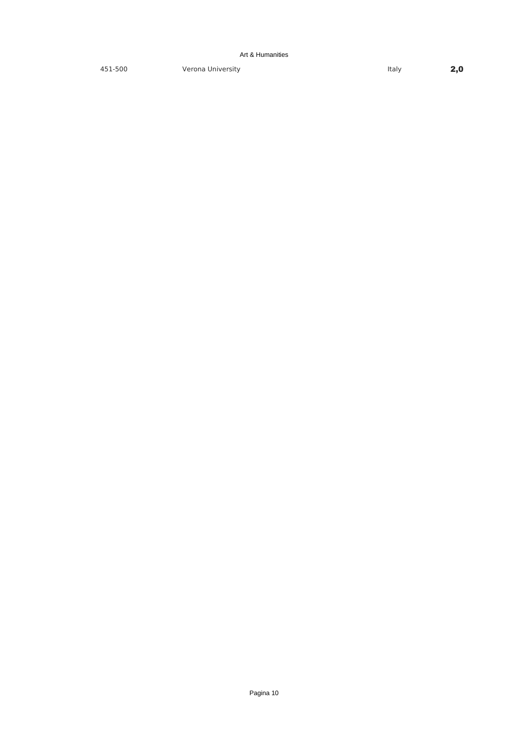451-500 Verona University **2,0**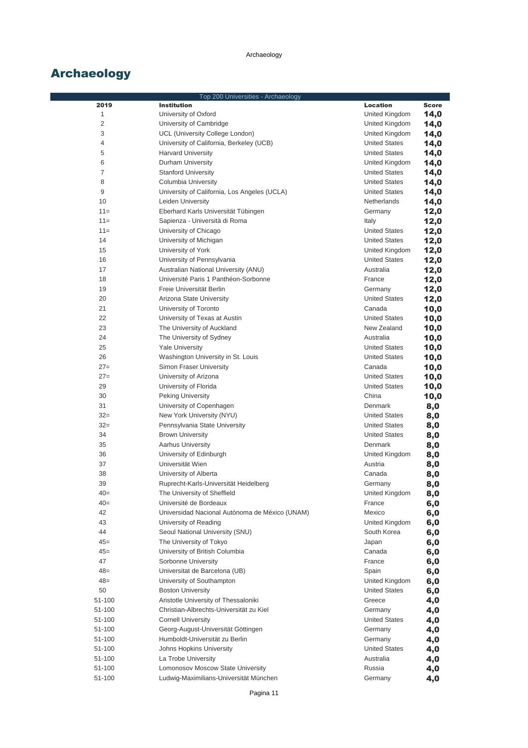|                | Top 200 Universities - Archaeology             |                      |              |
|----------------|------------------------------------------------|----------------------|--------------|
| 2019           | <b>Institution</b>                             | Location             | <b>Score</b> |
| 1              | University of Oxford                           | United Kingdom       | 14,0         |
| $\overline{2}$ | University of Cambridge                        | United Kingdom       | 14,0         |
| 3              | UCL (University College London)                | United Kingdom       | 14,0         |
| 4              | University of California, Berkeley (UCB)       | <b>United States</b> | 14,0         |
| 5              | <b>Harvard University</b>                      | <b>United States</b> | 14,0         |
| 6              | Durham University                              | United Kingdom       | 14,0         |
| $\overline{7}$ | <b>Stanford University</b>                     | <b>United States</b> | 14,0         |
| 8              | Columbia University                            | <b>United States</b> | 14,0         |
| 9              | University of California, Los Angeles (UCLA)   | <b>United States</b> | 14,0         |
| 10             | Leiden University                              | Netherlands          | 14,0         |
| $11 =$         | Eberhard Karls Universität Tübingen            | Germany              | 12,0         |
| $11 =$         | Sapienza - Università di Roma                  | Italy                | 12,0         |
| $11 =$         | University of Chicago                          | <b>United States</b> | 12,0         |
| 14             | University of Michigan                         | <b>United States</b> | 12,0         |
| 15             | University of York                             | United Kingdom       | 12,0         |
| 16             | University of Pennsylvania                     | <b>United States</b> |              |
|                |                                                |                      | 12,0         |
| 17             | Australian National University (ANU)           | Australia            | 12,0         |
| 18             | Université Paris 1 Panthéon-Sorbonne           | France               | 12,0         |
| 19             | Freie Universität Berlin                       | Germany              | 12,0         |
| 20             | Arizona State University                       | <b>United States</b> | 12,0         |
| 21             | University of Toronto                          | Canada               | 10,0         |
| 22             | University of Texas at Austin                  | <b>United States</b> | 10,0         |
| 23             | The University of Auckland                     | New Zealand          | 10,0         |
| 24             | The University of Sydney                       | Australia            | 10,0         |
| 25             | <b>Yale University</b>                         | <b>United States</b> | 10,0         |
| 26             | Washington University in St. Louis             | <b>United States</b> | 10,0         |
| $27=$          | Simon Fraser University                        | Canada               | 10,0         |
| $27=$          | University of Arizona                          | <b>United States</b> | 10,0         |
| 29             | University of Florida                          | <b>United States</b> | 10,0         |
| 30             | <b>Peking University</b>                       | China                | 10,0         |
| 31             | University of Copenhagen                       | Denmark              | 8,0          |
| $32 =$         | New York University (NYU)                      | <b>United States</b> | 8,0          |
| $32=$          | Pennsylvania State University                  | <b>United States</b> | 8,0          |
| 34             | <b>Brown University</b>                        | <b>United States</b> | 8,0          |
| 35             | <b>Aarhus University</b>                       | Denmark              | 8,0          |
| 36             | University of Edinburgh                        | United Kingdom       | 8,0          |
| 37             | Universität Wien                               | Austria              | 8,0          |
| 38             | University of Alberta                          | Canada               | 8,0          |
| 39             | Ruprecht-Karls-Universität Heidelberg          | Germany              | 8,0          |
| $40=$          | The University of Sheffield                    | United Kingdom       |              |
| $40=$          | Université de Bordeaux                         | France               | 8,0          |
| 42             |                                                | Mexico               | 6,0          |
| 43             | Universidad Nacional Autónoma de México (UNAM) |                      | 6,0          |
|                | University of Reading                          | United Kingdom       | 6,0          |
| 44             | Seoul National University (SNU)                | South Korea          | 6,0          |
| $45=$          | The University of Tokyo                        | Japan                | 6,0          |
| $45=$          | University of British Columbia                 | Canada               | 6,0          |
| 47             | Sorbonne University                            | France               | 6,0          |
| $48=$          | Universitat de Barcelona (UB)                  | Spain                | 6,0          |
| $48 =$         | University of Southampton                      | United Kingdom       | 6,0          |
| 50             | <b>Boston University</b>                       | <b>United States</b> | 6,0          |
| 51-100         | Aristotle University of Thessaloniki           | Greece               | 4,0          |
| 51-100         | Christian-Albrechts-Universität zu Kiel        | Germany              | 4,0          |
| 51-100         | <b>Cornell University</b>                      | <b>United States</b> | 4,0          |
| 51-100         | Georg-August-Universität Göttingen             | Germany              | 4,0          |
| 51-100         | Humboldt-Universität zu Berlin                 | Germany              | 4,0          |
| 51-100         | Johns Hopkins University                       | <b>United States</b> | 4,0          |
| 51-100         | La Trobe University                            | Australia            | 4,0          |
| 51-100         | Lomonosov Moscow State University              | Russia               | 4,0          |
| 51-100         | Ludwig-Maximilians-Universität München         | Germany              | 4,0          |
|                |                                                |                      |              |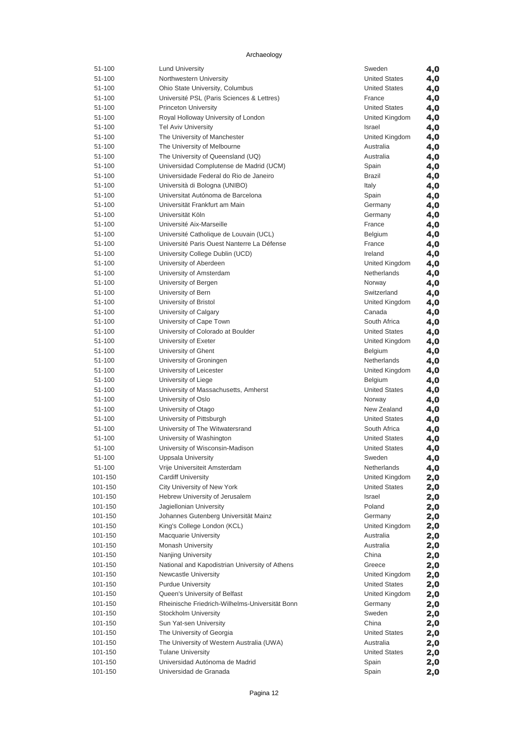| 51-100             | <b>Lund University</b>                                               | Sweden               | 4,0 |
|--------------------|----------------------------------------------------------------------|----------------------|-----|
| 51-100             | Northwestern University                                              | <b>United States</b> | 4,0 |
| 51-100             | Ohio State University, Columbus                                      | <b>United States</b> | 4,0 |
| 51-100             | Université PSL (Paris Sciences & Lettres)                            | France               | 4,0 |
| 51-100             | <b>Princeton University</b>                                          | <b>United States</b> | 4,0 |
| 51-100             | Royal Holloway University of London                                  | United Kingdom       | 4,0 |
| 51-100             | <b>Tel Aviv University</b>                                           | Israel               | 4,0 |
| 51-100             | The University of Manchester                                         | United Kingdom       | 4,0 |
| 51-100             | The University of Melbourne                                          | Australia            | 4,0 |
| 51-100             | The University of Queensland (UQ)                                    | Australia            | 4,0 |
| 51-100             | Universidad Complutense de Madrid (UCM)                              | Spain                | 4,0 |
| 51-100             | Universidade Federal do Rio de Janeiro                               | <b>Brazil</b>        | 4,0 |
| 51-100             | Università di Bologna (UNIBO)                                        | Italy                | 4,0 |
| 51-100             | Universitat Autónoma de Barcelona                                    | Spain                | 4,0 |
| 51-100             | Universität Frankfurt am Main                                        | Germany              | 4,0 |
| 51-100             | Universität Köln                                                     | Germany              | 4,0 |
| 51-100             | Université Aix-Marseille                                             | France               | 4,0 |
| 51-100             | Université Catholique de Louvain (UCL)                               | Belgium              | 4,0 |
| 51-100             | Université Paris Ouest Nanterre La Défense                           | France               | 4,0 |
| 51-100             | University College Dublin (UCD)                                      | Ireland              | 4,0 |
| 51-100             | University of Aberdeen                                               | United Kingdom       | 4,0 |
| 51-100             | University of Amsterdam                                              | Netherlands          | 4,0 |
| 51-100             | University of Bergen                                                 | Norway               | 4,0 |
| 51-100             | University of Bern                                                   | Switzerland          | 4,0 |
| 51-100             | University of Bristol                                                | United Kingdom       | 4,0 |
| 51-100             | University of Calgary                                                | Canada               | 4,0 |
| 51-100             | University of Cape Town                                              | South Africa         | 4,0 |
| 51-100             | University of Colorado at Boulder                                    | <b>United States</b> | 4,0 |
| 51-100             | University of Exeter                                                 | United Kingdom       | 4,0 |
| 51-100             | University of Ghent                                                  | Belgium              | 4,0 |
| 51-100             | University of Groningen                                              | <b>Netherlands</b>   | 4,0 |
| 51-100             | University of Leicester                                              | United Kingdom       | 4,0 |
| 51-100             | University of Liege                                                  | Belgium              | 4,0 |
| 51-100             | University of Massachusetts, Amherst                                 | <b>United States</b> | 4,0 |
| 51-100             | University of Oslo                                                   | Norway               | 4,0 |
| 51-100             | University of Otago                                                  | New Zealand          | 4,0 |
| 51-100             | University of Pittsburgh                                             | <b>United States</b> | 4,0 |
| 51-100             | University of The Witwatersrand                                      | South Africa         | 4,0 |
| 51-100             | University of Washington                                             | <b>United States</b> | 4,0 |
| 51-100             | University of Wisconsin-Madison                                      | <b>United States</b> | 4,0 |
| 51-100             | <b>Uppsala University</b>                                            | Sweden               | 4,0 |
| 51-100             | Vrije Universiteit Amsterdam                                         | Netherlands          | 4,0 |
| 101-150            | <b>Cardiff University</b>                                            | United Kingdom       | 2,0 |
| 101-150            | City University of New York                                          | <b>United States</b> | 2,0 |
| 101-150            | Hebrew University of Jerusalem                                       | Israel               | 2,0 |
| 101-150            | Jagiellonian University                                              | Poland               |     |
| 101-150            | Johannes Gutenberg Universität Mainz                                 | Germany              | 2,0 |
| 101-150            | King's College London (KCL)                                          | United Kingdom       | 2,0 |
|                    | Macquarie University                                                 | Australia            | 2,0 |
| 101-150            | <b>Monash University</b>                                             | Australia            | 2,0 |
| 101-150            |                                                                      | China                | 2,0 |
| 101-150            | Nanjing University<br>National and Kapodistrian University of Athens |                      | 2,0 |
| 101-150<br>101-150 |                                                                      | Greece               | 2,0 |
|                    | <b>Newcastle University</b>                                          | United Kingdom       | 2,0 |
| 101-150            | <b>Purdue University</b>                                             | <b>United States</b> | 2,0 |
| 101-150            | Queen's University of Belfast                                        | United Kingdom       | 2,0 |
| 101-150            | Rheinische Friedrich-Wilhelms-Universität Bonn                       | Germany              | 2,0 |
| 101-150            | Stockholm University                                                 | Sweden               | 2,0 |
| 101-150            | Sun Yat-sen University                                               | China                | 2,0 |
| 101-150            | The University of Georgia                                            | <b>United States</b> | 2,0 |
| 101-150            | The University of Western Australia (UWA)                            | Australia            | 2,0 |
| 101-150            | <b>Tulane University</b>                                             | <b>United States</b> | 2,0 |
| 101-150            | Universidad Autónoma de Madrid                                       | Spain                | 2,0 |
| 101-150            | Universidad de Granada                                               | Spain                | 2,0 |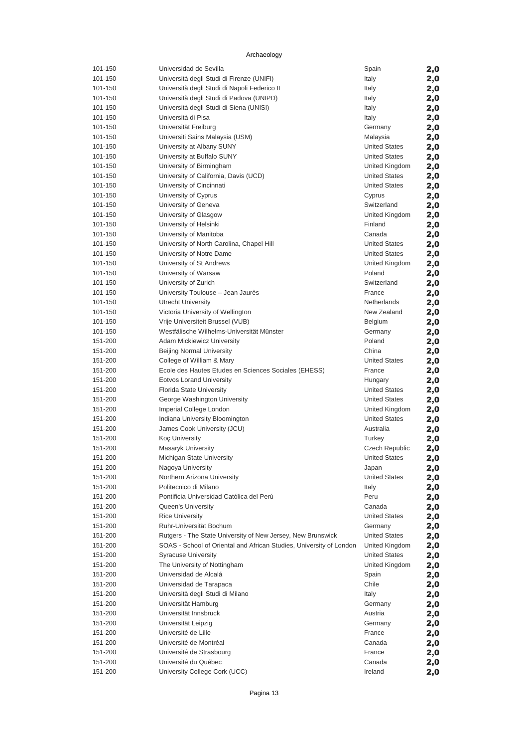| 101-150 | Universidad de Sevilla                                              | Spain                | 2,0 |
|---------|---------------------------------------------------------------------|----------------------|-----|
| 101-150 | Università degli Studi di Firenze (UNIFI)                           | Italy                | 2,0 |
| 101-150 | Università degli Studi di Napoli Federico II                        | Italy                | 2,0 |
|         |                                                                     |                      |     |
| 101-150 | Università degli Studi di Padova (UNIPD)                            | Italy                | 2,0 |
| 101-150 | Università degli Studi di Siena (UNISI)                             | Italy                | 2,0 |
| 101-150 | Università di Pisa                                                  | Italy                | 2,0 |
| 101-150 | Universität Freiburg                                                | Germany              | 2,0 |
| 101-150 | Universiti Sains Malaysia (USM)                                     | Malaysia             |     |
|         |                                                                     |                      | 2,0 |
| 101-150 | University at Albany SUNY                                           | <b>United States</b> | 2,0 |
| 101-150 | University at Buffalo SUNY                                          | <b>United States</b> | 2,0 |
| 101-150 | University of Birmingham                                            | United Kingdom       | 2,0 |
| 101-150 | University of California, Davis (UCD)                               | <b>United States</b> | 2,0 |
|         |                                                                     |                      |     |
| 101-150 | University of Cincinnati                                            | <b>United States</b> | 2,0 |
| 101-150 | University of Cyprus                                                | Cyprus               | 2,0 |
| 101-150 | University of Geneva                                                | Switzerland          | 2,0 |
| 101-150 | University of Glasgow                                               | United Kingdom       | 2,0 |
| 101-150 |                                                                     | Finland              |     |
|         | University of Helsinki                                              |                      | 2,0 |
| 101-150 | University of Manitoba                                              | Canada               | 2,0 |
| 101-150 | University of North Carolina, Chapel Hill                           | <b>United States</b> | 2,0 |
| 101-150 | University of Notre Dame                                            | <b>United States</b> | 2,0 |
| 101-150 | University of St Andrews                                            | United Kingdom       | 2,0 |
|         |                                                                     |                      |     |
| 101-150 | University of Warsaw                                                | Poland               | 2,0 |
| 101-150 | University of Zurich                                                | Switzerland          | 2,0 |
| 101-150 | University Toulouse - Jean Jaurès                                   | France               | 2,0 |
| 101-150 | <b>Utrecht University</b>                                           | Netherlands          | 2,0 |
|         |                                                                     |                      |     |
| 101-150 | Victoria University of Wellington                                   | New Zealand          | 2,0 |
| 101-150 | Vrije Universiteit Brussel (VUB)                                    | Belgium              | 2,0 |
| 101-150 | Westfälische Wilhelms-Universität Münster                           | Germany              | 2,0 |
| 151-200 | <b>Adam Mickiewicz University</b>                                   | Poland               | 2,0 |
| 151-200 | <b>Beijing Normal University</b>                                    | China                |     |
|         |                                                                     |                      | 2,0 |
| 151-200 | College of William & Mary                                           | <b>United States</b> | 2,0 |
| 151-200 | Ecole des Hautes Etudes en Sciences Sociales (EHESS)                | France               | 2,0 |
| 151-200 | <b>Eotvos Lorand University</b>                                     | Hungary              | 2,0 |
| 151-200 | Florida State University                                            | <b>United States</b> | 2,0 |
|         |                                                                     |                      |     |
| 151-200 | George Washington University                                        | <b>United States</b> | 2,0 |
| 151-200 | Imperial College London                                             | United Kingdom       | 2,0 |
| 151-200 | Indiana University Bloomington                                      | <b>United States</b> | 2,0 |
| 151-200 | James Cook University (JCU)                                         | Australia            | 2,0 |
| 151-200 |                                                                     |                      |     |
|         | Koç University                                                      | Turkey               | 2,0 |
| 151-200 | Masaryk University                                                  | Czech Republic       | 2,0 |
| 151-200 | Michigan State University                                           | <b>United States</b> | 2,0 |
| 151-200 | Nagoya University                                                   | Japan                | 2,0 |
| 151-200 | Northern Arizona University                                         | <b>United States</b> |     |
|         |                                                                     |                      | 2,0 |
| 151-200 | Politecnico di Milano                                               | Italy                | 2,0 |
| 151-200 | Pontificia Universidad Católica del Perú                            | Peru                 | 2,0 |
| 151-200 | Queen's University                                                  | Canada               | 2,0 |
| 151-200 | <b>Rice University</b>                                              | <b>United States</b> | 2,0 |
|         |                                                                     |                      |     |
| 151-200 | Ruhr-Universität Bochum                                             | Germany              | 2,0 |
| 151-200 | Rutgers - The State University of New Jersey, New Brunswick         | <b>United States</b> | 2,0 |
| 151-200 | SOAS - School of Oriental and African Studies, University of London | United Kingdom       | 2,0 |
| 151-200 | <b>Syracuse University</b>                                          | <b>United States</b> | 2,0 |
| 151-200 | The University of Nottingham                                        | United Kingdom       |     |
|         |                                                                     |                      | 2,0 |
| 151-200 | Universidad de Alcalá                                               | Spain                | 2,0 |
| 151-200 | Universidad de Tarapaca                                             | Chile                | 2,0 |
| 151-200 | Università degli Studi di Milano                                    | Italy                | 2,0 |
| 151-200 | Universität Hamburg                                                 | Germany              | 2,0 |
|         |                                                                     |                      |     |
| 151-200 | Universität Innsbruck                                               | Austria              | 2,0 |
| 151-200 | Universität Leipzig                                                 | Germany              | 2,0 |
| 151-200 | Université de Lille                                                 | France               | 2,0 |
| 151-200 | Université de Montréal                                              | Canada               | 2,0 |
| 151-200 | Université de Strasbourg                                            | France               |     |
|         |                                                                     |                      | 2,0 |
| 151-200 | Université du Québec                                                | Canada               | 2,0 |
| 151-200 | University College Cork (UCC)                                       | Ireland              | 2,0 |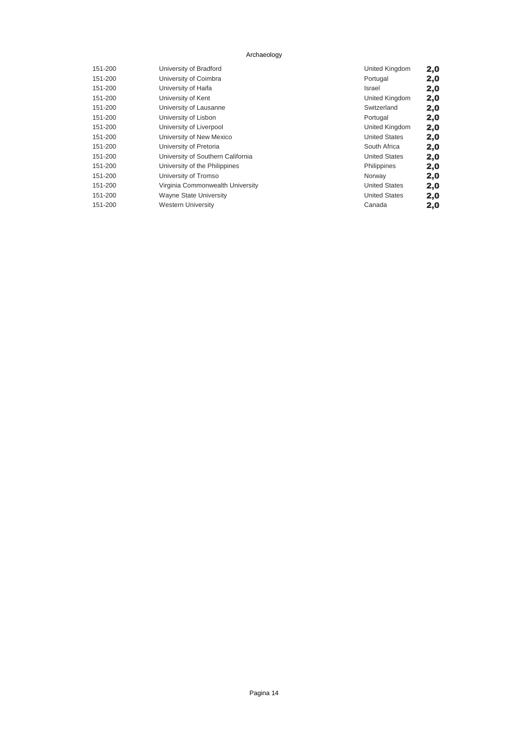| 151-200 | University of Bradford            | United Kingdom       | 2,0 |
|---------|-----------------------------------|----------------------|-----|
| 151-200 | University of Coimbra             | Portugal             | 2,0 |
| 151-200 | University of Haifa               | Israel               | 2,0 |
| 151-200 | University of Kent                | United Kingdom       | 2,0 |
| 151-200 | University of Lausanne            | Switzerland          | 2,0 |
| 151-200 | University of Lisbon              | Portugal             | 2,0 |
| 151-200 | University of Liverpool           | United Kingdom       | 2,0 |
| 151-200 | University of New Mexico          | <b>United States</b> | 2,0 |
| 151-200 | University of Pretoria            | South Africa         | 2,0 |
| 151-200 | University of Southern California | <b>United States</b> | 2,0 |
| 151-200 | University of the Philippines     | Philippines          | 2,0 |
| 151-200 | University of Tromso              | Norway               | 2,0 |
| 151-200 | Virginia Commonwealth University  | <b>United States</b> | 2,0 |
| 151-200 | <b>Wayne State University</b>     | <b>United States</b> | 2,0 |
| 151-200 | <b>Western University</b>         | Canada               | 2,0 |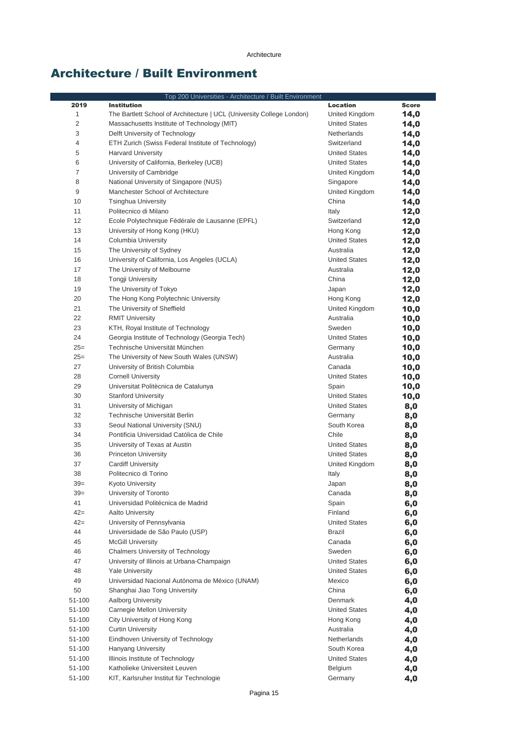### Architecture / Built Environment

| Top 200 Universities - Architecture / Built Environment |                                                                       |                                   |              |
|---------------------------------------------------------|-----------------------------------------------------------------------|-----------------------------------|--------------|
| 2019                                                    | <b>Institution</b>                                                    | <b>Location</b>                   | <b>Score</b> |
| 1                                                       | The Bartlett School of Architecture   UCL (University College London) | United Kingdom                    | 14,0         |
| $\overline{c}$                                          | Massachusetts Institute of Technology (MIT)                           | <b>United States</b>              | 14,0         |
| 3                                                       | Delft University of Technology                                        | Netherlands                       | 14,0         |
| 4                                                       | ETH Zurich (Swiss Federal Institute of Technology)                    | Switzerland                       | 14,0         |
| 5                                                       | <b>Harvard University</b>                                             | <b>United States</b>              | 14,0         |
| 6                                                       | University of California, Berkeley (UCB)                              | <b>United States</b>              | 14,0         |
| $\overline{7}$                                          | University of Cambridge                                               | United Kingdom                    | 14,0         |
| 8                                                       | National University of Singapore (NUS)                                | Singapore                         | 14,0         |
| 9                                                       | Manchester School of Architecture                                     | United Kingdom                    | 14,0         |
| 10                                                      | <b>Tsinghua University</b>                                            | China                             | 14,0         |
| 11                                                      | Politecnico di Milano                                                 | Italy                             | 12,0         |
| 12<br>13                                                | Ecole Polytechnique Fédérale de Lausanne (EPFL)                       | Switzerland                       | 12,0         |
| 14                                                      | University of Hong Kong (HKU)<br>Columbia University                  | Hong Kong<br><b>United States</b> | 12,0         |
| 15                                                      | The University of Sydney                                              | Australia                         | 12,0         |
| 16                                                      | University of California, Los Angeles (UCLA)                          | <b>United States</b>              | 12,0<br>12,0 |
| 17                                                      | The University of Melbourne                                           | Australia                         | 12,0         |
| 18                                                      | <b>Tongji University</b>                                              | China                             | 12,0         |
| 19                                                      | The University of Tokyo                                               | Japan                             | 12,0         |
| 20                                                      | The Hong Kong Polytechnic University                                  | Hong Kong                         | 12,0         |
| 21                                                      | The University of Sheffield                                           | United Kingdom                    | 10,0         |
| 22                                                      | <b>RMIT University</b>                                                | Australia                         | 10,0         |
| 23                                                      | KTH, Royal Institute of Technology                                    | Sweden                            | 10,0         |
| 24                                                      | Georgia Institute of Technology (Georgia Tech)                        | <b>United States</b>              | 10,0         |
| $25=$                                                   | Technische Universität München                                        | Germany                           | 10,0         |
| $25=$                                                   | The University of New South Wales (UNSW)                              | Australia                         | 10,0         |
| 27                                                      | University of British Columbia                                        | Canada                            | 10,0         |
| 28                                                      | <b>Cornell University</b>                                             | <b>United States</b>              | 10,0         |
| 29                                                      | Universitat Politècnica de Catalunya                                  | Spain                             | 10,0         |
| 30                                                      | <b>Stanford University</b>                                            | <b>United States</b>              | 10,0         |
| 31                                                      | University of Michigan                                                | <b>United States</b>              | 8,0          |
| 32                                                      | Technische Universität Berlin                                         | Germany                           | 8,0          |
| 33                                                      | Seoul National University (SNU)                                       | South Korea                       | 8,0          |
| 34                                                      | Pontificia Universidad Católica de Chile                              | Chile                             | 8,0          |
| 35                                                      | University of Texas at Austin                                         | <b>United States</b>              | 8,0          |
| 36                                                      | <b>Princeton University</b>                                           | <b>United States</b>              | 8,0          |
| 37                                                      | <b>Cardiff University</b>                                             | United Kingdom                    | 8,0          |
| 38                                                      | Politecnico di Torino                                                 | Italy                             | 8,0          |
| $39=$                                                   | <b>Kyoto University</b>                                               | Japan                             | 8,0          |
| $39=$                                                   | University of Toronto                                                 | Canada                            | 8,0          |
| 41                                                      | Universidad Politécnica de Madrid                                     | Spain                             | 6,0          |
| $42 =$                                                  | Aalto University                                                      | Finland                           | 6,0          |
| $42 =$                                                  | University of Pennsylvania                                            | <b>United States</b>              | 6,0          |
| 44                                                      | Universidade de São Paulo (USP)                                       | <b>Brazil</b>                     | 6,0          |
| 45                                                      | <b>McGill University</b>                                              | Canada                            | 6,0          |
| 46                                                      | <b>Chalmers University of Technology</b>                              | Sweden                            | 6,0          |
| 47                                                      | University of Illinois at Urbana-Champaign                            | <b>United States</b>              | 6,0          |
| 48                                                      | <b>Yale University</b>                                                | <b>United States</b>              | 6,0          |
| 49                                                      | Universidad Nacional Autónoma de México (UNAM)                        | Mexico                            | 6,0          |
| 50                                                      | Shanghai Jiao Tong University                                         | China                             | 6,0          |
| 51-100                                                  | Aalborg University                                                    | Denmark                           | 4,0          |
| 51-100                                                  | Carnegie Mellon University                                            | <b>United States</b>              | 4,0          |
| 51-100                                                  | City University of Hong Kong                                          | Hong Kong                         | 4,0          |
| 51-100                                                  | <b>Curtin University</b>                                              | Australia                         | 4,0          |
| 51-100                                                  | Eindhoven University of Technology                                    | Netherlands                       | 4,0          |
| 51-100                                                  | Hanyang University                                                    | South Korea                       | 4,0          |
| 51-100                                                  | Illinois Institute of Technology                                      | <b>United States</b>              | 4,0          |
| 51-100                                                  | Katholieke Universiteit Leuven                                        | Belgium                           | 4,0          |
| 51-100                                                  | KIT, Karlsruher Institut für Technologie                              | Germany                           | 4,0          |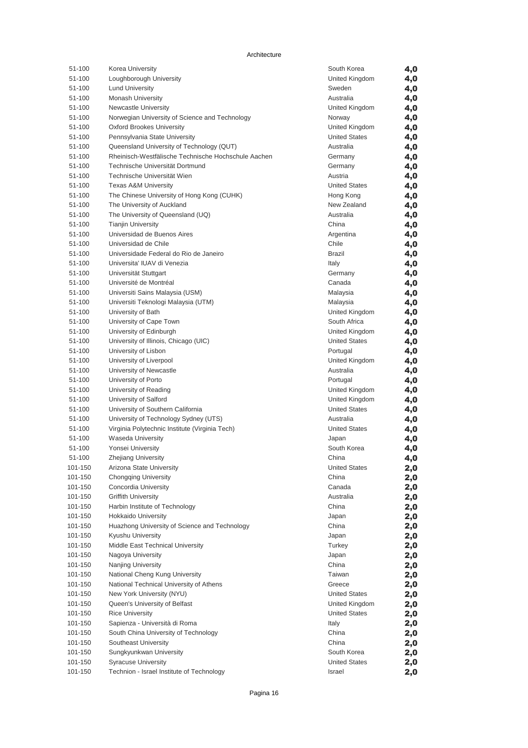| 51-100           | Korea University                                    | South Korea                    | 4,0        |
|------------------|-----------------------------------------------------|--------------------------------|------------|
| 51-100           | Loughborough University                             | United Kingdom                 | 4,0        |
| 51-100           | <b>Lund University</b>                              | Sweden                         | 4,0        |
| 51-100           | <b>Monash University</b>                            | Australia                      | 4,0        |
| 51-100           | <b>Newcastle University</b>                         | United Kingdom                 | 4,0        |
| 51-100           | Norwegian University of Science and Technology      | Norway                         | 4,0        |
| 51-100           | <b>Oxford Brookes University</b>                    | United Kingdom                 | 4,0        |
| 51-100           | Pennsylvania State University                       | <b>United States</b>           | 4,0        |
| 51-100           | Queensland University of Technology (QUT)           | Australia                      | 4,0        |
| 51-100           | Rheinisch-Westfälische Technische Hochschule Aachen | Germany                        | 4,0        |
| 51-100           | Technische Universität Dortmund                     | Germany                        | 4,0        |
| 51-100           | Technische Universität Wien                         | Austria                        | 4,0        |
| 51-100           | <b>Texas A&amp;M University</b>                     | <b>United States</b>           | 4,0        |
| 51-100           | The Chinese University of Hong Kong (CUHK)          | Hong Kong                      | 4,0        |
| 51-100           | The University of Auckland                          | New Zealand                    | 4,0        |
| 51-100           | The University of Queensland (UQ)                   | Australia                      | 4,0        |
| 51-100           | <b>Tianjin University</b>                           | China                          | 4,0        |
| 51-100           | Universidad de Buenos Aires                         | Argentina                      | 4,0        |
| 51-100           | Universidad de Chile                                | Chile                          | 4,0        |
| 51-100           | Universidade Federal do Rio de Janeiro              | <b>Brazil</b>                  | 4,0        |
| 51-100           | Universita' IUAV di Venezia                         | Italy                          | 4,0        |
| 51-100           | Universität Stuttgart                               | Germany                        | 4,0        |
| 51-100           | Université de Montréal                              | Canada                         | 4,0        |
| 51-100           | Universiti Sains Malaysia (USM)                     | Malaysia                       | 4,0        |
| 51-100           | Universiti Teknologi Malaysia (UTM)                 | Malaysia                       | 4,0        |
| 51-100           | University of Bath<br>University of Cape Town       | United Kingdom                 | 4,0        |
| 51-100<br>51-100 | University of Edinburgh                             | South Africa<br>United Kingdom | 4,0        |
| 51-100           | University of Illinois, Chicago (UIC)               | <b>United States</b>           | 4,0        |
| 51-100           | University of Lisbon                                | Portugal                       | 4,0        |
| 51-100           | University of Liverpool                             | United Kingdom                 | 4,0        |
| 51-100           | University of Newcastle                             | Australia                      | 4,0<br>4,0 |
| 51-100           | University of Porto                                 | Portugal                       | 4,0        |
| 51-100           | University of Reading                               | United Kingdom                 | 4,0        |
| 51-100           | University of Salford                               | United Kingdom                 | 4,0        |
| 51-100           | University of Southern California                   | <b>United States</b>           | 4,0        |
| 51-100           | University of Technology Sydney (UTS)               | Australia                      | 4,0        |
| 51-100           | Virginia Polytechnic Institute (Virginia Tech)      | <b>United States</b>           | 4,0        |
| 51-100           | <b>Waseda University</b>                            | Japan                          | 4,0        |
| 51-100           | Yonsei University                                   | South Korea                    | 4,0        |
| 51-100           | <b>Zhejiang University</b>                          | China                          | 4,0        |
| 101-150          | Arizona State University                            | <b>United States</b>           | 2,0        |
| 101-150          | Chongqing University                                | China                          | 2,0        |
| 101-150          | Concordia University                                | Canada                         | 2,0        |
| 101-150          | <b>Griffith University</b>                          | Australia                      | 2,0        |
| 101-150          | Harbin Institute of Technology                      | China                          | 2,0        |
| 101-150          | <b>Hokkaido University</b>                          | Japan                          | 2,0        |
| 101-150          | Huazhong University of Science and Technology       | China                          | 2,0        |
| 101-150          | Kyushu University                                   | Japan                          | 2,0        |
| 101-150          | Middle East Technical University                    | Turkey                         | 2,0        |
| 101-150          | Nagoya University                                   | Japan                          | 2,0        |
| 101-150          | Nanjing University                                  | China                          | 2,0        |
| 101-150          | National Cheng Kung University                      | Taiwan                         | 2,0        |
| 101-150          | National Technical University of Athens             | Greece                         | 2,0        |
| 101-150          | New York University (NYU)                           | <b>United States</b>           | 2,0        |
| 101-150          | Queen's University of Belfast                       | United Kingdom                 | 2,0        |
| 101-150          | <b>Rice University</b>                              | <b>United States</b>           | 2,0        |
| 101-150          | Sapienza - Università di Roma                       | Italy                          | 2,0        |
| 101-150          | South China University of Technology                | China                          | 2,0        |
| 101-150          | Southeast University                                | China                          | 2,0        |
| 101-150          | Sungkyunkwan University                             | South Korea                    | 2,0        |
| 101-150          | <b>Syracuse University</b>                          | <b>United States</b>           | 2,0        |
| 101-150          | Technion - Israel Institute of Technology           | Israel                         | 2,0        |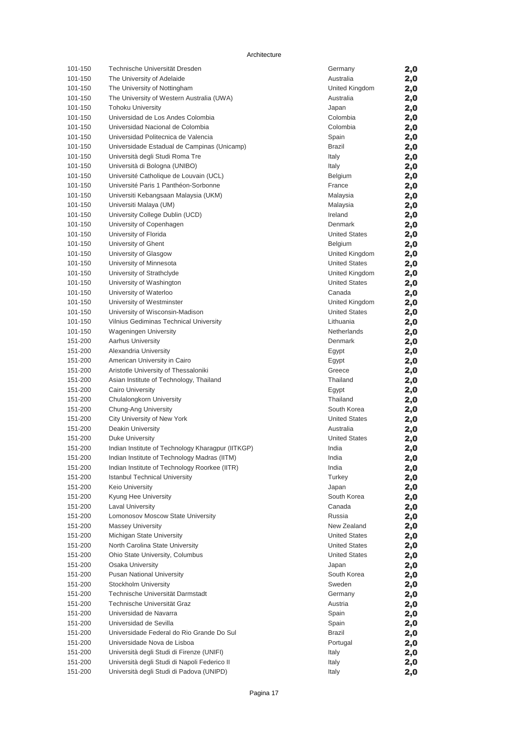Architecture

| 101-150            | Technische Universität Dresden                          | Germany                           | 2,0        |
|--------------------|---------------------------------------------------------|-----------------------------------|------------|
| 101-150            | The University of Adelaide                              | Australia                         | 2,0        |
| 101-150            | The University of Nottingham                            | United Kingdom                    | 2,0        |
| 101-150            | The University of Western Australia (UWA)               | Australia                         | 2,0        |
| 101-150            | <b>Tohoku University</b>                                | Japan                             | 2,0        |
| 101-150            | Universidad de Los Andes Colombia                       | Colombia                          | 2,0        |
| 101-150            | Universidad Nacional de Colombia                        | Colombia                          | 2,0        |
| 101-150            | Universidad Politecnica de Valencia                     | Spain                             | 2,0        |
| 101-150            | Universidade Estadual de Campinas (Unicamp)             | <b>Brazil</b>                     | 2,0        |
| 101-150            | Università degli Studi Roma Tre                         | Italy                             | 2,0        |
| 101-150            | Università di Bologna (UNIBO)                           | Italy                             | 2,0        |
| 101-150            | Université Catholique de Louvain (UCL)                  | Belgium                           | 2,0        |
| 101-150            | Université Paris 1 Panthéon-Sorbonne                    | France                            | 2,0        |
| 101-150            | Universiti Kebangsaan Malaysia (UKM)                    | Malaysia                          | 2,0        |
| 101-150            | Universiti Malaya (UM)                                  | Malaysia                          | 2,0        |
| 101-150            | University College Dublin (UCD)                         | Ireland                           | 2,0        |
| 101-150            | University of Copenhagen                                | Denmark                           | 2,0        |
| 101-150            | University of Florida                                   | <b>United States</b>              | 2,0        |
| 101-150            | University of Ghent                                     | Belgium                           | 2,0        |
| 101-150            | University of Glasgow                                   | United Kingdom                    | 2,0        |
| 101-150            | University of Minnesota                                 | <b>United States</b>              | 2,0        |
| 101-150            | University of Strathclyde                               | United Kingdom                    | 2,0        |
| 101-150            | University of Washington                                | <b>United States</b>              | 2,0        |
| 101-150            | University of Waterloo                                  | Canada                            | 2,0        |
| 101-150            | University of Westminster                               | United Kingdom                    | 2,0        |
| 101-150            | University of Wisconsin-Madison                         | <b>United States</b>              | 2,0        |
| 101-150            | Vilnius Gediminas Technical University                  | Lithuania                         | 2,0        |
| 101-150            | <b>Wageningen University</b>                            | Netherlands                       | 2,0        |
| 151-200            | <b>Aarhus University</b>                                | Denmark                           | 2,0        |
| 151-200            | Alexandria University                                   | Egypt                             | 2,0        |
| 151-200            | American University in Cairo                            | Egypt                             | 2,0        |
| 151-200            | Aristotle University of Thessaloniki                    | Greece                            | 2,0        |
| 151-200            | Asian Institute of Technology, Thailand                 | Thailand                          | 2,0        |
| 151-200            | <b>Cairo University</b>                                 | Egypt                             | 2,0        |
| 151-200            | Chulalongkorn University                                | Thailand<br>South Korea           | 2,0        |
| 151-200            | Chung-Ang University                                    |                                   | 2,0        |
| 151-200<br>151-200 | City University of New York<br><b>Deakin University</b> | <b>United States</b><br>Australia | 2,0        |
| 151-200            | <b>Duke University</b>                                  | <b>United States</b>              | 2,0        |
| 151-200            | Indian Institute of Technology Kharagpur (IITKGP)       | India                             | 2,0        |
| 151-200            | Indian Institute of Technology Madras (IITM)            | India                             | 2,0<br>2,0 |
| 151-200            | Indian Institute of Technology Roorkee (IITR)           | India                             |            |
| 151-200            | <b>Istanbul Technical University</b>                    | Turkey                            | 2,0        |
| 151-200            | Keio University                                         | Japan                             | 2,0        |
| 151-200            | Kyung Hee University                                    | South Korea                       | 2,0<br>2,0 |
| 151-200            | <b>Laval University</b>                                 | Canada                            |            |
| 151-200            | Lomonosov Moscow State University                       | Russia                            | 2,0<br>2,0 |
| 151-200            | <b>Massey University</b>                                | New Zealand                       | 2,0        |
| 151-200            | Michigan State University                               | <b>United States</b>              | 2,0        |
| 151-200            | North Carolina State University                         | <b>United States</b>              | 2,0        |
| 151-200            | Ohio State University, Columbus                         | <b>United States</b>              | 2,0        |
| 151-200            | <b>Osaka University</b>                                 | Japan                             | 2,0        |
| 151-200            | <b>Pusan National University</b>                        | South Korea                       | 2,0        |
| 151-200            | Stockholm University                                    | Sweden                            | 2,0        |
| 151-200            | Technische Universität Darmstadt                        | Germany                           | 2,0        |
| 151-200            | Technische Universität Graz                             | Austria                           | 2,0        |
| 151-200            | Universidad de Navarra                                  | Spain                             | 2,0        |
| 151-200            | Universidad de Sevilla                                  | Spain                             | 2,0        |
| 151-200            | Universidade Federal do Rio Grande Do Sul               | Brazil                            | 2,0        |
| 151-200            | Universidade Nova de Lisboa                             | Portugal                          | 2,0        |
| 151-200            | Università degli Studi di Firenze (UNIFI)               | Italy                             | 2,0        |
| 151-200            | Università degli Studi di Napoli Federico II            | Italy                             | 2,0        |
| 151-200            | Università degli Studi di Padova (UNIPD)                | Italy                             | 2,0        |
|                    |                                                         |                                   |            |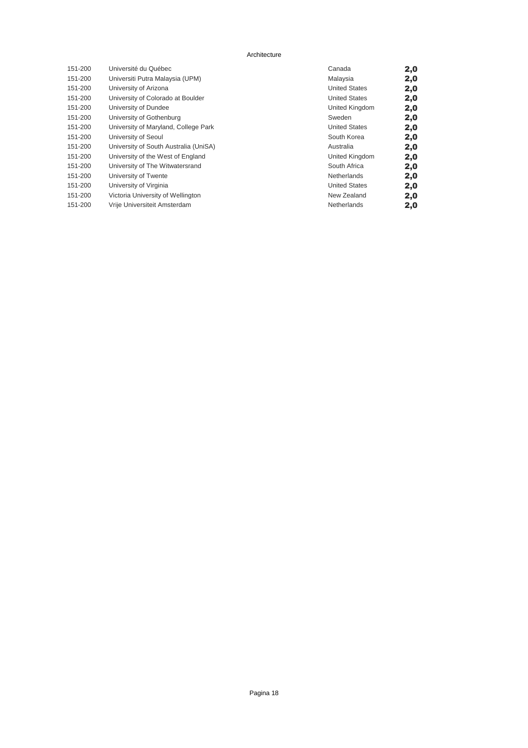#### Architecture

| 151-200 | Université du Québec                  | Canada               | 2,0 |
|---------|---------------------------------------|----------------------|-----|
| 151-200 | Universiti Putra Malaysia (UPM)       | Malaysia             | 2,0 |
| 151-200 | University of Arizona                 | <b>United States</b> | 2,0 |
| 151-200 | University of Colorado at Boulder     | <b>United States</b> | 2,0 |
| 151-200 | University of Dundee                  | United Kingdom       | 2,0 |
| 151-200 | University of Gothenburg              | Sweden               | 2,0 |
| 151-200 | University of Maryland, College Park  | <b>United States</b> | 2,0 |
| 151-200 | University of Seoul                   | South Korea          | 2,0 |
| 151-200 | University of South Australia (UniSA) | Australia            | 2,0 |
| 151-200 | University of the West of England     | United Kingdom       | 2,0 |
| 151-200 | University of The Witwatersrand       | South Africa         | 2,0 |
| 151-200 | University of Twente                  | Netherlands          | 2,0 |
| 151-200 | University of Virginia                | <b>United States</b> | 2,0 |
| 151-200 | Victoria University of Wellington     | New Zealand          | 2,0 |
| 151-200 | Vrije Universiteit Amsterdam          | Netherlands          | 2,0 |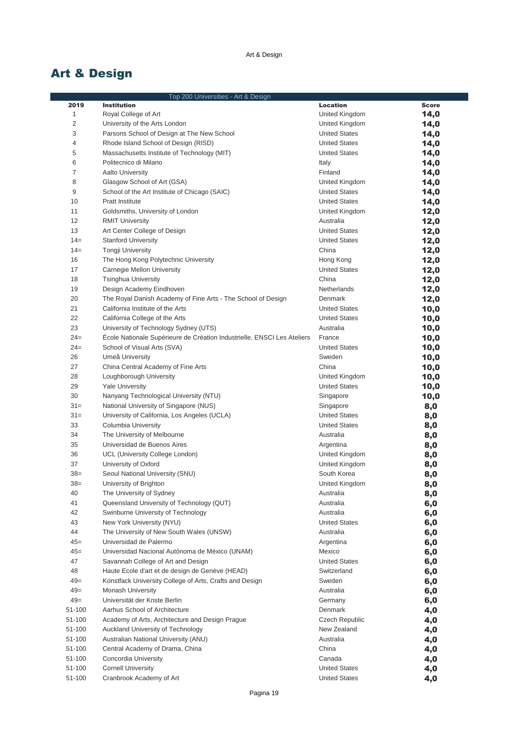# Art & Design

|                | Top 200 Universities - Art & Design                                     |                                        |              |
|----------------|-------------------------------------------------------------------------|----------------------------------------|--------------|
| 2019           | <b>Institution</b>                                                      | <b>Location</b>                        | <b>Score</b> |
| $1\,$          | Royal College of Art                                                    | United Kingdom                         | 14,0         |
| $\overline{2}$ | University of the Arts London                                           | United Kingdom                         | 14,0         |
| 3              | Parsons School of Design at The New School                              | <b>United States</b>                   | 14,0         |
| 4              | Rhode Island School of Design (RISD)                                    | <b>United States</b>                   | 14,0         |
| 5              | Massachusetts Institute of Technology (MIT)                             | <b>United States</b>                   | 14,0         |
| 6              | Politecnico di Milano                                                   | Italy                                  | 14,0         |
| $\overline{7}$ | <b>Aalto University</b>                                                 | Finland                                | 14,0         |
| 8              | Glasgow School of Art (GSA)                                             | United Kingdom                         | 14,0         |
| 9              | School of the Art Institute of Chicago (SAIC)                           | <b>United States</b>                   | 14,0         |
| 10             | <b>Pratt Institute</b>                                                  | <b>United States</b>                   | 14,0         |
| 11             | Goldsmiths, University of London                                        | United Kingdom                         | 12,0         |
| 12             | <b>RMIT University</b>                                                  | Australia                              | 12,0         |
| 13             | Art Center College of Design                                            | <b>United States</b>                   | 12,0         |
| $14=$          | <b>Stanford University</b>                                              | <b>United States</b>                   | 12,0         |
| $14=$          | <b>Tongji University</b>                                                | China                                  | 12,0         |
| 16             | The Hong Kong Polytechnic University                                    | Hong Kong                              | 12,0         |
| 17             | Carnegie Mellon University                                              | <b>United States</b>                   | 12,0         |
| 18             | <b>Tsinghua University</b>                                              | China                                  | 12,0         |
| 19             | Design Academy Eindhoven                                                | Netherlands                            | 12,0         |
| 20             | The Royal Danish Academy of Fine Arts - The School of Design            | Denmark                                | 12,0         |
| 21             | California Institute of the Arts                                        | <b>United States</b>                   | 10,0         |
| 22             | California College of the Arts                                          | <b>United States</b>                   | 10,0         |
| 23             | University of Technology Sydney (UTS)                                   | Australia                              | 10,0         |
| $24=$          | École Nationale Supérieure de Création Industrielle, ENSCI Les Ateliers | France                                 | 10,0         |
| $24=$          | School of Visual Arts (SVA)                                             | <b>United States</b>                   | 10,0         |
| 26             | Umeå University                                                         | Sweden                                 |              |
| 27             | China Central Academy of Fine Arts                                      | China                                  | 10,0         |
| 28             | Loughborough University                                                 |                                        | 10,0         |
| 29             | <b>Yale University</b>                                                  | United Kingdom<br><b>United States</b> | 10,0<br>10,0 |
| 30             | Nanyang Technological University (NTU)                                  | Singapore                              |              |
| $31 =$         | National University of Singapore (NUS)                                  | Singapore                              | 10,0         |
| $31 =$         | University of California, Los Angeles (UCLA)                            | <b>United States</b>                   | 8,0          |
| 33             |                                                                         | <b>United States</b>                   | 8,0          |
| 34             | Columbia University<br>The University of Melbourne                      | Australia                              | 8,0          |
| 35             | Universidad de Buenos Aires                                             | Argentina                              | 8,0          |
| 36             | UCL (University College London)                                         | United Kingdom                         | 8,0          |
| 37             | University of Oxford                                                    |                                        | 8,0          |
| $38=$          | Seoul National University (SNU)                                         | United Kingdom                         | 8,0          |
| $38=$          | University of Brighton                                                  | South Korea                            | 8,0          |
|                |                                                                         | United Kingdom                         | 8,0          |
| 40             | The University of Sydney<br>Oueensland University of Technology (OUT)   | Australia<br>Australia                 | 8,0          |
| 41             |                                                                         |                                        | 6,0          |
| 42             | Swinburne University of Technology                                      | Australia                              | 6,0          |
| 43             | New York University (NYU)<br>The University of New South Wales (UNSW)   | <b>United States</b><br>Australia      | 6,0          |
| 44<br>$45 =$   | Universidad de Palermo                                                  |                                        | 6,0          |
|                |                                                                         | Argentina                              | 6,0          |
| $45 =$         | Universidad Nacional Autónoma de México (UNAM)                          | Mexico                                 | 6,0          |
| 47             | Savannah College of Art and Design                                      | <b>United States</b>                   | 6,0          |
| 48             | Haute Ecole d'art et de design de Genève (HEAD)                         | Switzerland                            | 6,0          |
| $49=$          | Konstfack University College of Arts, Crafts and Design                 | Sweden                                 | 6,0          |
| $49=$          | <b>Monash University</b>                                                | Australia                              | 6,0          |
| $49=$          | Universität der Knste Berlin                                            | Germany                                | 6,0          |
| 51-100         | Aarhus School of Architecture                                           | Denmark                                | 4,0          |
| 51-100         | Academy of Arts, Architecture and Design Prague                         | Czech Republic                         | 4,0          |
| 51-100         | Auckland University of Technology                                       | New Zealand                            | 4,0          |
| 51-100         | Australian National University (ANU)                                    | Australia                              | 4,0          |
| 51-100         | Central Academy of Drama, China                                         | China                                  | 4,0          |
| 51-100         | Concordia University                                                    | Canada                                 | 4,0          |
| 51-100         | <b>Cornell University</b>                                               | <b>United States</b>                   | 4,0          |
| 51-100         | Cranbrook Academy of Art                                                | <b>United States</b>                   | 4,0          |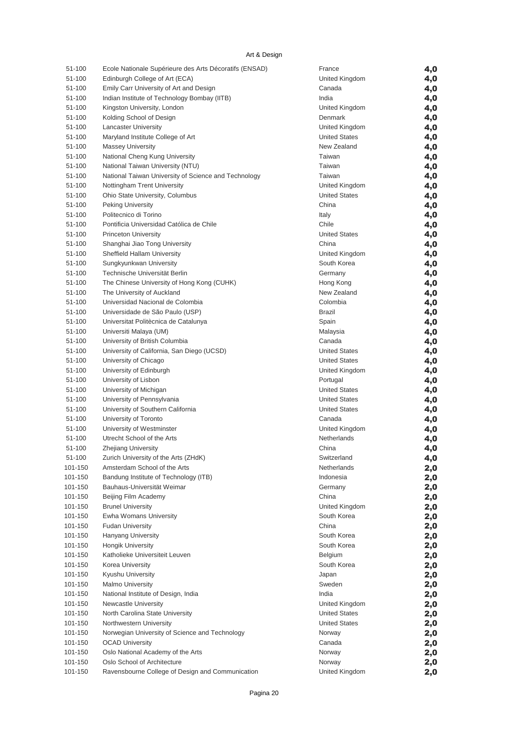Art & Design

| 51-100  | Ecole Nationale Supérieure des Arts Décoratifs (ENSAD) | France               | 4,0 |
|---------|--------------------------------------------------------|----------------------|-----|
| 51-100  | Edinburgh College of Art (ECA)                         | United Kingdom       | 4,0 |
| 51-100  | Emily Carr University of Art and Design                | Canada               | 4,0 |
| 51-100  | Indian Institute of Technology Bombay (IITB)           | India                | 4,0 |
| 51-100  | Kingston University, London                            | United Kingdom       | 4,0 |
| 51-100  | Kolding School of Design                               | Denmark              | 4,0 |
| 51-100  | <b>Lancaster University</b>                            | United Kingdom       | 4,0 |
| 51-100  | Maryland Institute College of Art                      | <b>United States</b> | 4,0 |
| 51-100  | <b>Massey University</b>                               | New Zealand          | 4,0 |
| 51-100  | National Cheng Kung University                         | Taiwan               | 4,0 |
| 51-100  | National Taiwan University (NTU)                       | Taiwan               | 4,0 |
| 51-100  | National Taiwan University of Science and Technology   | Taiwan               | 4,0 |
| 51-100  | Nottingham Trent University                            | United Kingdom       | 4,0 |
| 51-100  | Ohio State University, Columbus                        | <b>United States</b> | 4,0 |
| 51-100  | <b>Peking University</b>                               | China                | 4,0 |
| 51-100  | Politecnico di Torino                                  | Italy                | 4,0 |
| 51-100  | Pontificia Universidad Católica de Chile               | Chile                | 4,0 |
| 51-100  | <b>Princeton University</b>                            | <b>United States</b> | 4,0 |
| 51-100  | Shanghai Jiao Tong University                          | China                | 4,0 |
| 51-100  | Sheffield Hallam University                            | United Kingdom       | 4,0 |
| 51-100  | Sungkyunkwan University                                | South Korea          | 4,0 |
| 51-100  | Technische Universität Berlin                          | Germany              | 4,0 |
| 51-100  | The Chinese University of Hong Kong (CUHK)             | Hong Kong            | 4,0 |
| 51-100  | The University of Auckland                             | New Zealand          | 4,0 |
| 51-100  | Universidad Nacional de Colombia                       | Colombia             | 4,0 |
| 51-100  | Universidade de São Paulo (USP)                        | Brazil               | 4,0 |
| 51-100  | Universitat Politècnica de Catalunya                   | Spain                | 4,0 |
| 51-100  | Universiti Malaya (UM)                                 | Malaysia             | 4,0 |
| 51-100  | University of British Columbia                         | Canada               | 4,0 |
| 51-100  | University of California, San Diego (UCSD)             | <b>United States</b> | 4,0 |
| 51-100  | University of Chicago                                  | <b>United States</b> | 4,0 |
| 51-100  | University of Edinburgh                                | United Kingdom       | 4,0 |
| 51-100  | University of Lisbon                                   | Portugal             | 4,0 |
| 51-100  | University of Michigan                                 | <b>United States</b> | 4,0 |
| 51-100  | University of Pennsylvania                             | <b>United States</b> | 4,0 |
| 51-100  | University of Southern California                      | <b>United States</b> | 4,0 |
| 51-100  | University of Toronto                                  | Canada               | 4,0 |
| 51-100  | University of Westminster                              | United Kingdom       | 4,0 |
| 51-100  | Utrecht School of the Arts                             | Netherlands          | 4,0 |
| 51-100  | <b>Zhejiang University</b>                             | China                | 4,0 |
| 51-100  | Zurich University of the Arts (ZHdK)                   | Switzerland          | 4,0 |
| 101-150 | Amsterdam School of the Arts                           | Netherlands          | 2,0 |
| 101-150 | Bandung Institute of Technology (ITB)                  | Indonesia            | 2,0 |
| 101-150 | Bauhaus-Universität Weimar                             | Germany              | 2,0 |
| 101-150 | Beijing Film Academy                                   | China                | 2,0 |
| 101-150 | <b>Brunel University</b>                               | United Kingdom       | 2,0 |
| 101-150 | Ewha Womans University                                 | South Korea          | 2,0 |
| 101-150 | <b>Fudan University</b>                                | China                | 2,0 |
| 101-150 | <b>Hanyang University</b>                              | South Korea          | 2,0 |
| 101-150 | Hongik University                                      | South Korea          | 2,0 |
| 101-150 | Katholieke Universiteit Leuven                         | Belgium              | 2,0 |
| 101-150 | Korea University                                       | South Korea          | 2,0 |
| 101-150 | Kyushu University                                      | Japan                | 2,0 |
| 101-150 | <b>Malmo University</b>                                | Sweden               | 2,0 |
| 101-150 | National Institute of Design, India                    | India                | 2,0 |
| 101-150 | <b>Newcastle University</b>                            | United Kingdom       | 2,0 |
| 101-150 | North Carolina State University                        | <b>United States</b> | 2,0 |
| 101-150 | Northwestern University                                | <b>United States</b> | 2,0 |
| 101-150 | Norwegian University of Science and Technology         | Norway               | 2,0 |
| 101-150 | <b>OCAD University</b>                                 | Canada               | 2,0 |
| 101-150 | Oslo National Academy of the Arts                      | Norway               | 2,0 |
| 101-150 | Oslo School of Architecture                            | Norway               | 2,0 |
| 101-150 | Ravensbourne College of Design and Communication       | United Kingdom       | 2,0 |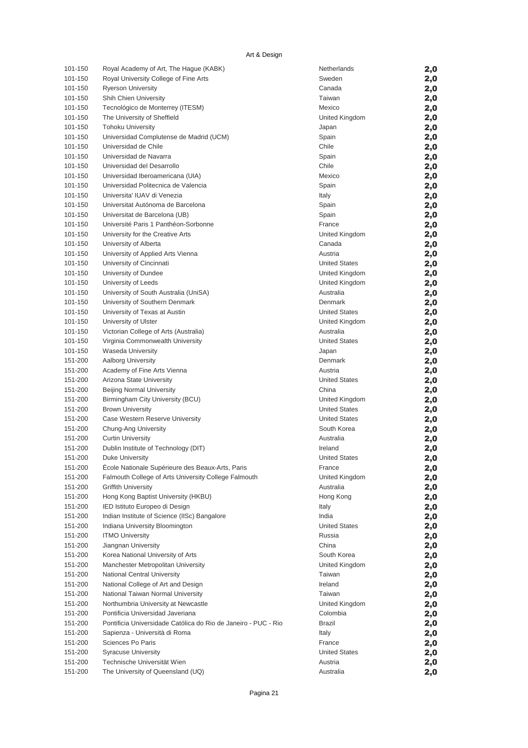| 101-150 | Royal Academy of Art, The Hague (KABK)                         | Netherlands          | 2,0 |
|---------|----------------------------------------------------------------|----------------------|-----|
| 101-150 | Royal University College of Fine Arts                          | Sweden               | 2,0 |
| 101-150 | <b>Ryerson University</b>                                      | Canada               | 2,0 |
| 101-150 | <b>Shih Chien University</b>                                   | Taiwan               | 2,0 |
| 101-150 | Tecnológico de Monterrey (ITESM)                               | Mexico               | 2,0 |
| 101-150 | The University of Sheffield                                    | United Kingdom       | 2,0 |
| 101-150 | <b>Tohoku University</b>                                       | Japan                | 2,0 |
| 101-150 | Universidad Complutense de Madrid (UCM)                        | Spain                | 2,0 |
| 101-150 | Universidad de Chile                                           | Chile                | 2,0 |
| 101-150 | Universidad de Navarra                                         | Spain                | 2,0 |
| 101-150 | Universidad del Desarrollo                                     | Chile                | 2,0 |
| 101-150 | Universidad Iberoamericana (UIA)                               | Mexico               | 2,0 |
| 101-150 | Universidad Politecnica de Valencia                            | Spain                | 2,0 |
| 101-150 | Universita' IUAV di Venezia                                    | Italy                | 2,0 |
| 101-150 | Universitat Autónoma de Barcelona                              | Spain                | 2,0 |
| 101-150 | Universitat de Barcelona (UB)                                  | Spain                | 2,0 |
| 101-150 | Université Paris 1 Panthéon-Sorbonne                           | France               | 2,0 |
| 101-150 | University for the Creative Arts                               | United Kingdom       | 2,0 |
| 101-150 | University of Alberta                                          | Canada               | 2,0 |
| 101-150 | University of Applied Arts Vienna                              | Austria              | 2,0 |
| 101-150 | University of Cincinnati                                       | <b>United States</b> | 2,0 |
| 101-150 | University of Dundee                                           | United Kingdom       | 2,0 |
| 101-150 | University of Leeds                                            | United Kingdom       | 2,0 |
| 101-150 | University of South Australia (UniSA)                          | Australia            | 2,0 |
| 101-150 | University of Southern Denmark                                 | Denmark              | 2,0 |
| 101-150 | University of Texas at Austin                                  | <b>United States</b> | 2,0 |
| 101-150 | University of Ulster                                           | United Kingdom       | 2,0 |
| 101-150 | Victorian College of Arts (Australia)                          | Australia            | 2,0 |
| 101-150 | Virginia Commonwealth University                               | <b>United States</b> | 2,0 |
| 101-150 | Waseda University                                              | Japan                | 2,0 |
| 151-200 | <b>Aalborg University</b>                                      | Denmark              | 2,0 |
| 151-200 | Academy of Fine Arts Vienna                                    | Austria              | 2,0 |
| 151-200 | Arizona State University                                       | <b>United States</b> | 2,0 |
| 151-200 | <b>Beijing Normal University</b>                               | China                | 2,0 |
| 151-200 | Birmingham City University (BCU)                               | United Kingdom       | 2,0 |
| 151-200 | <b>Brown University</b>                                        | <b>United States</b> | 2,0 |
| 151-200 | Case Western Reserve University                                | <b>United States</b> | 2,0 |
| 151-200 | Chung-Ang University                                           | South Korea          | 2,0 |
| 151-200 | <b>Curtin University</b>                                       | Australia            | 2,0 |
| 151-200 | Dublin Institute of Technology (DIT)                           | Ireland              | 2,0 |
| 151-200 | Duke University                                                | <b>United States</b> | 2,0 |
| 151-200 | École Nationale Supérieure des Beaux-Arts, Paris               | France               | 2,0 |
| 151-200 | Falmouth College of Arts University College Falmouth           | United Kingdom       | 2,0 |
| 151-200 | <b>Griffith University</b>                                     | Australia            | 2,0 |
| 151-200 | Hong Kong Baptist University (HKBU)                            | Hong Kong            |     |
| 151-200 | IED Istituto Europeo di Design                                 | Italy                | 2,0 |
| 151-200 | Indian Institute of Science (IISc) Bangalore                   | India                | 2,0 |
| 151-200 | Indiana University Bloomington                                 | <b>United States</b> | 2,0 |
|         |                                                                |                      | 2,0 |
| 151-200 | <b>ITMO University</b>                                         | Russia<br>China      | 2,0 |
| 151-200 | Jiangnan University                                            |                      | 2,0 |
| 151-200 | Korea National University of Arts                              | South Korea          | 2,0 |
| 151-200 | Manchester Metropolitan University                             | United Kingdom       | 2,0 |
| 151-200 | National Central University                                    | Taiwan               | 2,0 |
| 151-200 | National College of Art and Design                             | Ireland              | 2,0 |
| 151-200 | National Taiwan Normal University                              | Taiwan               | 2,0 |
| 151-200 | Northumbria University at Newcastle                            | United Kingdom       | 2,0 |
| 151-200 | Pontificia Universidad Javeriana                               | Colombia             | 2,0 |
| 151-200 | Pontificia Universidade Católica do Rio de Janeiro - PUC - Rio | Brazil               | 2,0 |
| 151-200 | Sapienza - Università di Roma                                  | Italy                | 2,0 |
| 151-200 | Sciences Po Paris                                              | France               | 2,0 |
| 151-200 | <b>Syracuse University</b>                                     | <b>United States</b> | 2,0 |
| 151-200 | Technische Universität Wien                                    | Austria              | 2,0 |
| 151-200 | The University of Queensland (UQ)                              | Australia            | 2,0 |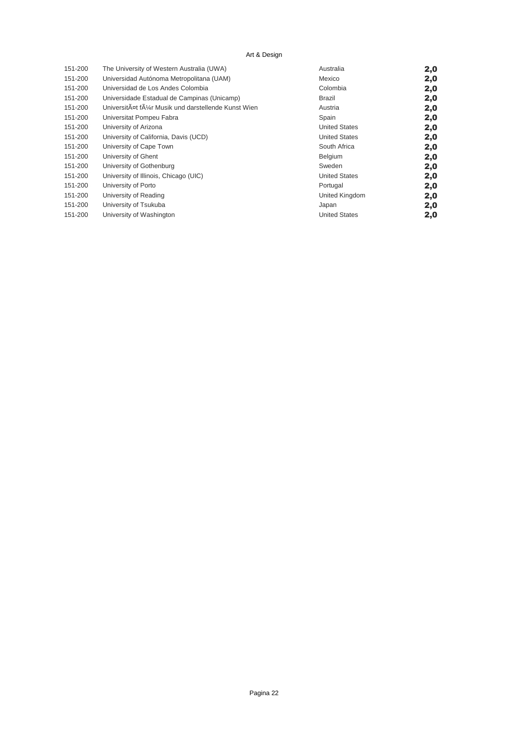#### Art & Design

| 151-200 | The University of Western Australia (UWA)         | Australia            | 2,0 |
|---------|---------------------------------------------------|----------------------|-----|
| 151-200 | Universidad Autónoma Metropolitana (UAM)          | Mexico               | 2,0 |
| 151-200 | Universidad de Los Andes Colombia                 | Colombia             | 2,0 |
| 151-200 | Universidade Estadual de Campinas (Unicamp)       | Brazil               | 2,0 |
| 151-200 | UniversitĤt fļr Musik und darstellende Kunst Wien | Austria              | 2,0 |
| 151-200 | Universitat Pompeu Fabra                          | Spain                | 2,0 |
| 151-200 | University of Arizona                             | <b>United States</b> | 2,0 |
| 151-200 | University of California, Davis (UCD)             | <b>United States</b> | 2,0 |
| 151-200 | University of Cape Town                           | South Africa         | 2,0 |
| 151-200 | University of Ghent                               | Belgium              | 2,0 |
| 151-200 | University of Gothenburg                          | Sweden               | 2,0 |
| 151-200 | University of Illinois, Chicago (UIC)             | <b>United States</b> | 2,0 |
| 151-200 | University of Porto                               | Portugal             | 2,0 |
| 151-200 | University of Reading                             | United Kingdom       | 2,0 |
| 151-200 | University of Tsukuba                             | Japan                | 2,0 |
| 151-200 | University of Washington                          | <b>United States</b> | 2,0 |
|         |                                                   |                      |     |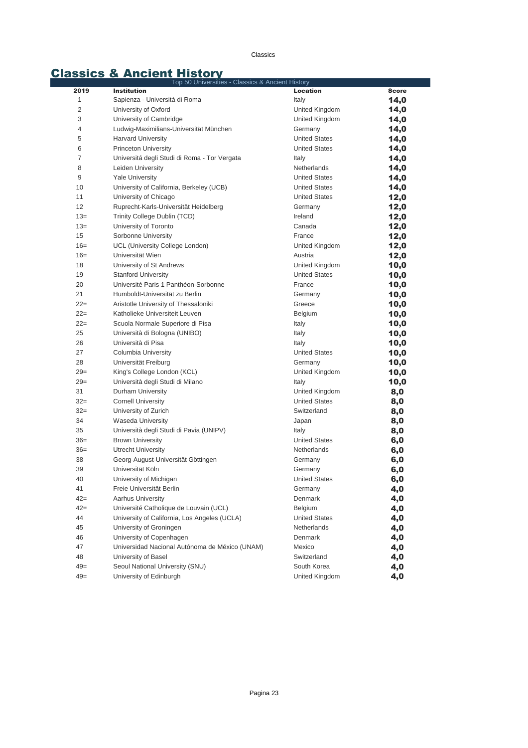Classics

# Classics & Ancient History<br>Top 50 Universities - Classics & Ancient History

|                | Top 50 Universities - Classics & Ancient History |                      |              |
|----------------|--------------------------------------------------|----------------------|--------------|
| 2019           | <b>Institution</b>                               | <b>Location</b>      | <b>Score</b> |
| 1              | Sapienza - Università di Roma                    | Italy                | 14,0         |
| $\overline{c}$ | University of Oxford                             | United Kingdom       | 14,0         |
| 3              | University of Cambridge                          | United Kingdom       | 14,0         |
| 4              | Ludwig-Maximilians-Universität München           | Germany              | 14,0         |
| 5              | <b>Harvard University</b>                        | <b>United States</b> | 14,0         |
| 6              | <b>Princeton University</b>                      | <b>United States</b> | 14,0         |
| $\overline{7}$ | Universitá degli Studi di Roma - Tor Vergata     | Italy                | 14,0         |
| 8              | Leiden University                                | Netherlands          | 14,0         |
| 9              | <b>Yale University</b>                           | <b>United States</b> | 14,0         |
| 10             | University of California, Berkeley (UCB)         | <b>United States</b> | 14,0         |
| 11             | University of Chicago                            | <b>United States</b> | 12,0         |
| 12             | Ruprecht-Karls-Universität Heidelberg            | Germany              | 12,0         |
| $13=$          | Trinity College Dublin (TCD)                     | Ireland              | 12,0         |
| $13=$          | University of Toronto                            | Canada               | 12,0         |
| 15             | Sorbonne University                              | France               | 12,0         |
| $16=$          | UCL (University College London)                  | United Kingdom       | 12,0         |
| $16=$          | Universität Wien                                 | Austria              | 12,0         |
| 18             | University of St Andrews                         | United Kingdom       | 10,0         |
| 19             | <b>Stanford University</b>                       | <b>United States</b> | 10,0         |
| 20             | Université Paris 1 Panthéon-Sorbonne             | France               | 10,0         |
| 21             | Humboldt-Universität zu Berlin                   | Germany              | 10,0         |
| $22=$          | Aristotle University of Thessaloniki             | Greece               | 10,0         |
| $22=$          | Katholieke Universiteit Leuven                   | Belgium              | 10,0         |
| $22 =$         | Scuola Normale Superiore di Pisa                 | Italy                | 10,0         |
| 25             | Università di Bologna (UNIBO)                    | Italy                | 10,0         |
| 26             | Università di Pisa                               | Italy                | 10,0         |
| 27             | Columbia University                              | <b>United States</b> | 10,0         |
| 28             | Universität Freiburg                             | Germany              | 10,0         |
| $29=$          | King's College London (KCL)                      | United Kingdom       | 10,0         |
| $29=$          | Università degli Studi di Milano                 | Italy                | 10,0         |
| 31             | Durham University                                | United Kingdom       | 8,0          |
| $32=$          | <b>Cornell University</b>                        | <b>United States</b> | 8,0          |
| $32=$          | University of Zurich                             | Switzerland          | 8,0          |
| 34             | <b>Waseda University</b>                         | Japan                | 8,0          |
| 35             | Università degli Studi di Pavia (UNIPV)          | Italy                | 8,0          |
| $36=$          | <b>Brown University</b>                          | <b>United States</b> | 6,0          |
| $36=$          | Utrecht University                               | <b>Netherlands</b>   | 6,0          |
| 38             | Georg-August-Universität Göttingen               | Germany              | 6,0          |
| 39             | Universität Köln                                 | Germany              | 6,0          |
| 40             | University of Michigan                           | <b>United States</b> | 6,0          |
| 41             | Freie Universität Berlin                         | Germany              | 4,0          |
| $42 =$         | <b>Aarhus University</b>                         | Denmark              | 4,0          |
| $42 =$         | Université Catholique de Louvain (UCL)           | Belgium              | 4,0          |
| 44             | University of California, Los Angeles (UCLA)     | <b>United States</b> | 4,0          |
| 45             | University of Groningen                          | Netherlands          | 4,0          |
| 46             | University of Copenhagen                         | Denmark              | 4,0          |
| 47             | Universidad Nacional Autónoma de México (UNAM)   | Mexico               | 4,0          |
| 48             | University of Basel                              | Switzerland          | 4,0          |
| $49=$          | Seoul National University (SNU)                  | South Korea          | 4,0          |
| $49=$          | University of Edinburgh                          | United Kingdom       | 4,0          |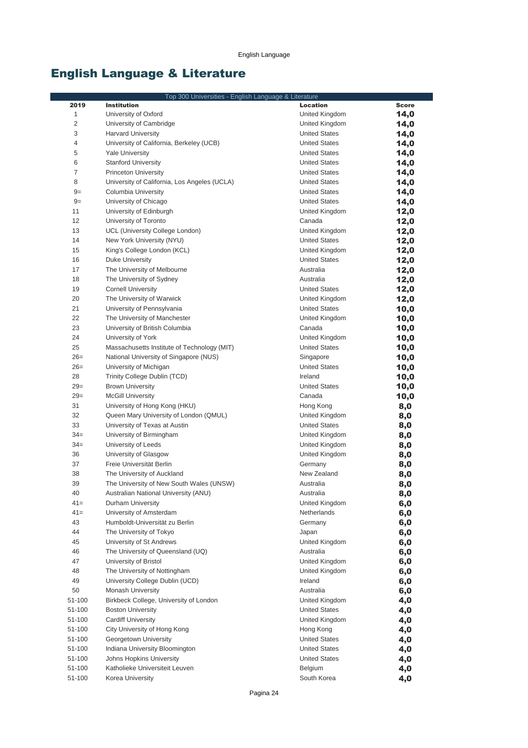# English Language & Literature

|                  | Top 300 Universities - English Language & Literature               |                             |              |
|------------------|--------------------------------------------------------------------|-----------------------------|--------------|
| 2019             | <b>Institution</b>                                                 | <b>Location</b>             | <b>Score</b> |
| 1                | University of Oxford                                               | United Kingdom              | 14,0         |
| 2                | University of Cambridge                                            | United Kingdom              | 14,0         |
| 3                | <b>Harvard University</b>                                          | <b>United States</b>        | 14,0         |
| 4                | University of California, Berkeley (UCB)                           | <b>United States</b>        | 14,0         |
| 5                | <b>Yale University</b>                                             | <b>United States</b>        | 14,0         |
| 6                | <b>Stanford University</b>                                         | <b>United States</b>        | 14,0         |
| $\overline{7}$   | <b>Princeton University</b>                                        | <b>United States</b>        | 14,0         |
| 8                | University of California, Los Angeles (UCLA)                       | <b>United States</b>        | 14,0         |
| $9=$             | Columbia University                                                | <b>United States</b>        | 14,0         |
| $9=$             | University of Chicago                                              | <b>United States</b>        | 14,0         |
| 11               | University of Edinburgh                                            | United Kingdom              | 12,0         |
| 12               | University of Toronto                                              | Canada                      | 12,0         |
| 13               | UCL (University College London)                                    | United Kingdom              | 12,0         |
| 14               | New York University (NYU)                                          | <b>United States</b>        | 12,0         |
| 15               | King's College London (KCL)                                        | United Kingdom              | 12,0         |
| 16               | Duke University                                                    | <b>United States</b>        | 12,0         |
| 17               | The University of Melbourne                                        | Australia                   | 12,0         |
| 18               | The University of Sydney                                           | Australia                   | 12,0         |
| 19               | <b>Cornell University</b>                                          | <b>United States</b>        | 12,0         |
| 20               | The University of Warwick                                          | United Kingdom              | 12,0         |
| 21               | University of Pennsylvania                                         | <b>United States</b>        | 10,0         |
| 22               | The University of Manchester                                       | United Kingdom              | 10,0         |
| 23               | University of British Columbia                                     | Canada                      | 10,0         |
| 24               | University of York                                                 | United Kingdom              | 10,0         |
| 25               | Massachusetts Institute of Technology (MIT)                        | <b>United States</b>        | 10,0         |
| $26=$            | National University of Singapore (NUS)                             | Singapore                   | 10,0         |
| $26=$            | University of Michigan                                             | <b>United States</b>        | 10,0         |
| 28               | Trinity College Dublin (TCD)                                       | Ireland                     | 10,0         |
| $29=$            | <b>Brown University</b>                                            | <b>United States</b>        | 10,0         |
| $29=$            | <b>McGill University</b>                                           | Canada                      | 10,0         |
| 31               | University of Hong Kong (HKU)                                      | Hong Kong                   | 8,0          |
| 32               | Queen Mary University of London (QMUL)                             | United Kingdom              | 8,0          |
| 33               | University of Texas at Austin                                      | <b>United States</b>        | 8,0          |
| $34 =$           | University of Birmingham                                           | United Kingdom              | 8,0          |
| $34 =$           | University of Leeds                                                | United Kingdom              | 8,0          |
| 36               | University of Glasgow                                              | United Kingdom              | 8,0          |
| 37               | Freie Universität Berlin                                           | Germany                     | 8,0          |
| 38               | The University of Auckland                                         | New Zealand                 | 8,0          |
| 39               | The University of New South Wales (UNSW)                           | Australia                   | 8,0          |
| 40               | Australian National University (ANU)                               | Australia                   | 8,0          |
| $41 =$           | Durham University                                                  | United Kingdom              | 6,0          |
| $41=$            | University of Amsterdam                                            | Netherlands                 | 6,0          |
| 43               | Humboldt-Universität zu Berlin                                     | Germany                     | 6,0          |
| 44               | The University of Tokyo                                            | Japan                       | 6,0          |
| 45               | University of St Andrews                                           | United Kingdom              | 6,0          |
| 46               | The University of Queensland (UQ)                                  | Australia                   | 6,0          |
| 47               | University of Bristol                                              | United Kingdom              | 6,0          |
| 48               | The University of Nottingham                                       | United Kingdom              | 6,0          |
| 49               | University College Dublin (UCD)                                    | Ireland                     | 6,0          |
| 50<br>51-100     | Monash University                                                  | Australia<br>United Kingdom | 6,0          |
|                  | Birkbeck College, University of London<br><b>Boston University</b> | <b>United States</b>        | 4,0          |
| 51-100<br>51-100 | <b>Cardiff University</b>                                          | United Kingdom              | 4,0          |
| 51-100           | City University of Hong Kong                                       | Hong Kong                   | 4,0          |
| 51-100           | Georgetown University                                              | <b>United States</b>        | 4,0          |
| 51-100           | Indiana University Bloomington                                     | <b>United States</b>        | 4,0          |
| 51-100           | Johns Hopkins University                                           | <b>United States</b>        | 4,0<br>4,0   |
| 51-100           | Katholieke Universiteit Leuven                                     | Belgium                     | 4,0          |
| 51-100           | Korea University                                                   | South Korea                 | 4,0          |
|                  |                                                                    |                             |              |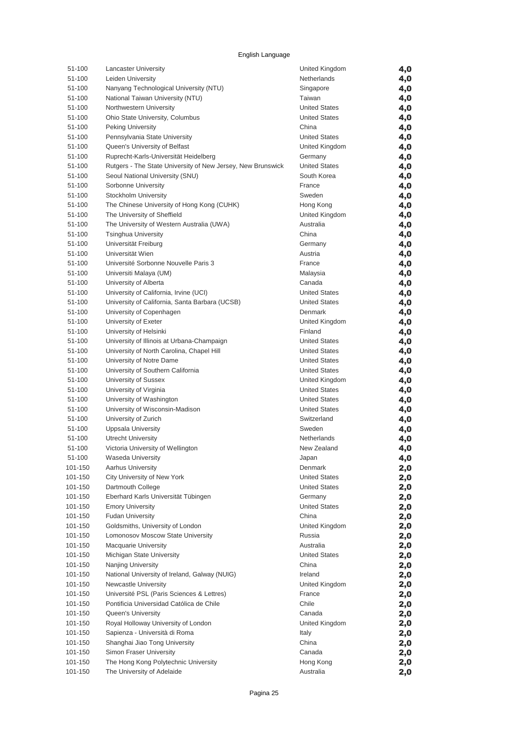| 51-100  | <b>Lancaster University</b>                                 | United Kingdom       | 4,0 |
|---------|-------------------------------------------------------------|----------------------|-----|
| 51-100  | Leiden University                                           | Netherlands          | 4,0 |
| 51-100  | Nanyang Technological University (NTU)                      | Singapore            | 4,0 |
| 51-100  | National Taiwan University (NTU)                            | Taiwan               | 4,0 |
| 51-100  | Northwestern University                                     | <b>United States</b> | 4,0 |
| 51-100  | Ohio State University, Columbus                             | <b>United States</b> | 4,0 |
| 51-100  | <b>Peking University</b>                                    | China                | 4,0 |
| 51-100  | Pennsylvania State University                               | <b>United States</b> | 4,0 |
| 51-100  | Queen's University of Belfast                               | United Kingdom       | 4,0 |
| 51-100  | Ruprecht-Karls-Universität Heidelberg                       | Germany              | 4,0 |
| 51-100  | Rutgers - The State University of New Jersey, New Brunswick | <b>United States</b> | 4,0 |
| 51-100  | Seoul National University (SNU)                             | South Korea          | 4,0 |
| 51-100  | Sorbonne University                                         | France               | 4,0 |
| 51-100  | Stockholm University                                        | Sweden               | 4,0 |
| 51-100  | The Chinese University of Hong Kong (CUHK)                  | Hong Kong            | 4,0 |
| 51-100  | The University of Sheffield                                 | United Kingdom       | 4,0 |
| 51-100  | The University of Western Australia (UWA)                   | Australia            | 4,0 |
| 51-100  | <b>Tsinghua University</b>                                  | China                | 4,0 |
| 51-100  | Universität Freiburg                                        | Germany              | 4,0 |
| 51-100  | Universität Wien                                            | Austria              | 4,0 |
| 51-100  | Université Sorbonne Nouvelle Paris 3                        | France               | 4,0 |
| 51-100  | Universiti Malaya (UM)                                      | Malaysia             | 4,0 |
| 51-100  | University of Alberta                                       | Canada               | 4,0 |
| 51-100  | University of California, Irvine (UCI)                      | <b>United States</b> | 4,0 |
| 51-100  | University of California, Santa Barbara (UCSB)              | <b>United States</b> | 4,0 |
| 51-100  | University of Copenhagen                                    | Denmark              | 4,0 |
| 51-100  | University of Exeter                                        | United Kingdom       | 4,0 |
| 51-100  | University of Helsinki                                      | Finland              | 4,0 |
| 51-100  | University of Illinois at Urbana-Champaign                  | <b>United States</b> | 4,0 |
| 51-100  | University of North Carolina, Chapel Hill                   | <b>United States</b> | 4,0 |
| 51-100  | University of Notre Dame                                    | <b>United States</b> | 4,0 |
| 51-100  | University of Southern California                           | <b>United States</b> | 4,0 |
| 51-100  | University of Sussex                                        | United Kingdom       | 4,0 |
| 51-100  | University of Virginia                                      | <b>United States</b> | 4,0 |
| 51-100  | University of Washington                                    | <b>United States</b> | 4,0 |
| 51-100  | University of Wisconsin-Madison                             | <b>United States</b> | 4,0 |
| 51-100  | University of Zurich                                        | Switzerland          | 4,0 |
| 51-100  | <b>Uppsala University</b>                                   | Sweden               | 4,0 |
| 51-100  | Utrecht University                                          | Netherlands          | 4,0 |
| 51-100  | Victoria University of Wellington                           | New Zealand          | 4,0 |
| 51-100  | <b>Waseda University</b>                                    | Japan                | 4,0 |
| 101-150 | <b>Aarhus University</b>                                    | Denmark              | 2,0 |
| 101-150 | City University of New York                                 | <b>United States</b> | 2,0 |
| 101-150 | Dartmouth College                                           | <b>United States</b> | 2,0 |
| 101-150 | Eberhard Karls Universität Tübingen                         | Germany              | 2,0 |
| 101-150 | <b>Emory University</b>                                     | <b>United States</b> | 2,0 |
| 101-150 | <b>Fudan University</b>                                     | China                | 2,0 |
| 101-150 | Goldsmiths, University of London                            | United Kingdom       |     |
| 101-150 | Lomonosov Moscow State University                           | Russia               | 2,0 |
| 101-150 | <b>Macquarie University</b>                                 | Australia            | 2,0 |
| 101-150 | Michigan State University                                   | <b>United States</b> | 2,0 |
| 101-150 | Nanjing University                                          | China                | 2,0 |
| 101-150 | National University of Ireland, Galway (NUIG)               | Ireland              | 2,0 |
|         | Newcastle University                                        |                      | 2,0 |
| 101-150 |                                                             | United Kingdom       | 2,0 |
| 101-150 | Université PSL (Paris Sciences & Lettres)                   | France               | 2,0 |
| 101-150 | Pontificia Universidad Católica de Chile                    | Chile                | 2,0 |
| 101-150 | Queen's University                                          | Canada               | 2,0 |
| 101-150 | Royal Holloway University of London                         | United Kingdom       | 2,0 |
| 101-150 | Sapienza - Università di Roma                               | Italy                | 2,0 |
| 101-150 | Shanghai Jiao Tong University                               | China                | 2,0 |
| 101-150 | Simon Fraser University                                     | Canada               | 2,0 |
| 101-150 | The Hong Kong Polytechnic University                        | Hong Kong            | 2,0 |
| 101-150 | The University of Adelaide                                  | Australia            | 2,0 |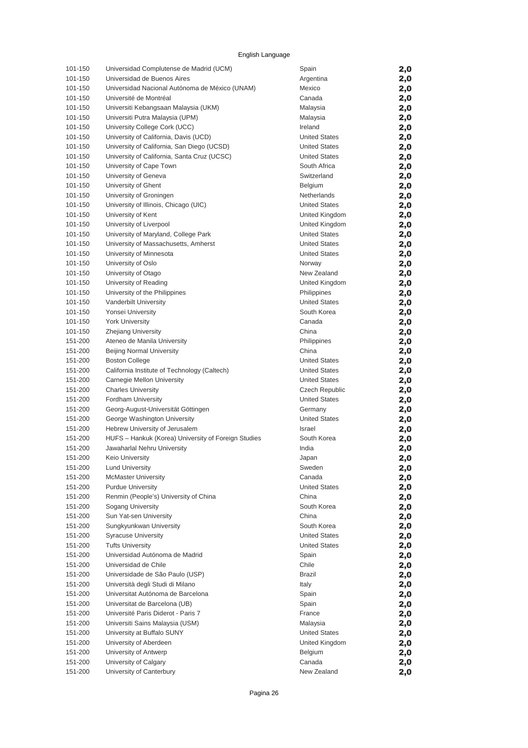| 101-150 | Universidad Complutense de Madrid (UCM)             | Spain                 | 2,0 |
|---------|-----------------------------------------------------|-----------------------|-----|
| 101-150 | Universidad de Buenos Aires                         | Argentina             | 2,0 |
| 101-150 | Universidad Nacional Autónoma de México (UNAM)      | Mexico                | 2,0 |
| 101-150 | Université de Montréal                              | Canada                | 2,0 |
| 101-150 | Universiti Kebangsaan Malaysia (UKM)                | Malaysia              | 2,0 |
| 101-150 | Universiti Putra Malaysia (UPM)                     | Malaysia              | 2,0 |
| 101-150 | University College Cork (UCC)                       | Ireland               | 2,0 |
| 101-150 | University of California, Davis (UCD)               | <b>United States</b>  | 2,0 |
| 101-150 | University of California, San Diego (UCSD)          | <b>United States</b>  |     |
| 101-150 | University of California, Santa Cruz (UCSC)         | <b>United States</b>  | 2,0 |
| 101-150 | University of Cape Town                             | South Africa          | 2,0 |
|         |                                                     | Switzerland           | 2,0 |
| 101-150 | University of Geneva                                |                       | 2,0 |
| 101-150 | University of Ghent                                 | Belgium               | 2,0 |
| 101-150 | University of Groningen                             | Netherlands           | 2,0 |
| 101-150 | University of Illinois, Chicago (UIC)               | <b>United States</b>  | 2,0 |
| 101-150 | University of Kent                                  | United Kingdom        | 2,0 |
| 101-150 | University of Liverpool                             | United Kingdom        | 2,0 |
| 101-150 | University of Maryland, College Park                | <b>United States</b>  | 2,0 |
| 101-150 | University of Massachusetts, Amherst                | <b>United States</b>  | 2,0 |
| 101-150 | University of Minnesota                             | <b>United States</b>  | 2,0 |
| 101-150 | University of Oslo                                  | Norway                | 2,0 |
| 101-150 | University of Otago                                 | New Zealand           | 2,0 |
| 101-150 | University of Reading                               | United Kingdom        | 2,0 |
| 101-150 | University of the Philippines                       | Philippines           | 2,0 |
| 101-150 | <b>Vanderbilt University</b>                        | <b>United States</b>  | 2,0 |
| 101-150 | Yonsei University                                   | South Korea           | 2,0 |
| 101-150 | <b>York University</b>                              | Canada                | 2,0 |
| 101-150 | <b>Zhejiang University</b>                          | China                 | 2,0 |
| 151-200 | Ateneo de Manila University                         | Philippines           | 2,0 |
| 151-200 | <b>Beijing Normal University</b>                    | China                 | 2,0 |
| 151-200 | <b>Boston College</b>                               | <b>United States</b>  | 2,0 |
| 151-200 | California Institute of Technology (Caltech)        | <b>United States</b>  | 2,0 |
| 151-200 | Carnegie Mellon University                          | <b>United States</b>  | 2,0 |
| 151-200 | <b>Charles University</b>                           | <b>Czech Republic</b> | 2,0 |
| 151-200 | Fordham University                                  | <b>United States</b>  | 2,0 |
| 151-200 | Georg-August-Universität Göttingen                  | Germany               | 2,0 |
| 151-200 | George Washington University                        | <b>United States</b>  | 2,0 |
| 151-200 | Hebrew University of Jerusalem                      | Israel                | 2,0 |
| 151-200 | HUFS - Hankuk (Korea) University of Foreign Studies | South Korea           | 2,0 |
| 151-200 | Jawaharlal Nehru University                         | India                 | 2,0 |
| 151-200 | Keio University                                     | Japan                 | 2,0 |
| 151-200 | <b>Lund University</b>                              | Sweden                | 2,0 |
| 151-200 | <b>McMaster University</b>                          | Canada                | 2,0 |
| 151-200 | <b>Purdue University</b>                            | <b>United States</b>  | 2,0 |
| 151-200 | Renmin (People's) University of China               | China                 | 2,0 |
| 151-200 | Sogang University                                   | South Korea           | 2,0 |
| 151-200 | Sun Yat-sen University                              | China                 | 2,0 |
| 151-200 | Sungkyunkwan University                             | South Korea           | 2,0 |
| 151-200 | <b>Syracuse University</b>                          | <b>United States</b>  | 2,0 |
| 151-200 | <b>Tufts University</b>                             | <b>United States</b>  | 2,0 |
| 151-200 | Universidad Autónoma de Madrid                      | Spain                 | 2,0 |
| 151-200 | Universidad de Chile                                | Chile                 | 2,0 |
| 151-200 | Universidade de São Paulo (USP)                     | <b>Brazil</b>         | 2,0 |
| 151-200 | Università degli Studi di Milano                    | Italy                 | 2,0 |
| 151-200 | Universitat Autónoma de Barcelona                   | Spain                 | 2,0 |
| 151-200 | Universitat de Barcelona (UB)                       | Spain                 | 2,0 |
| 151-200 | Université Paris Diderot - Paris 7                  | France                |     |
| 151-200 | Universiti Sains Malaysia (USM)                     | Malaysia              | 2,0 |
| 151-200 | University at Buffalo SUNY                          | <b>United States</b>  | 2,0 |
|         |                                                     |                       | 2,0 |
| 151-200 | University of Aberdeen                              | United Kingdom        | 2,0 |
| 151-200 | University of Antwerp                               | Belgium               | 2,0 |
| 151-200 | University of Calgary                               | Canada                | 2,0 |
| 151-200 | University of Canterbury                            | New Zealand           | 2,0 |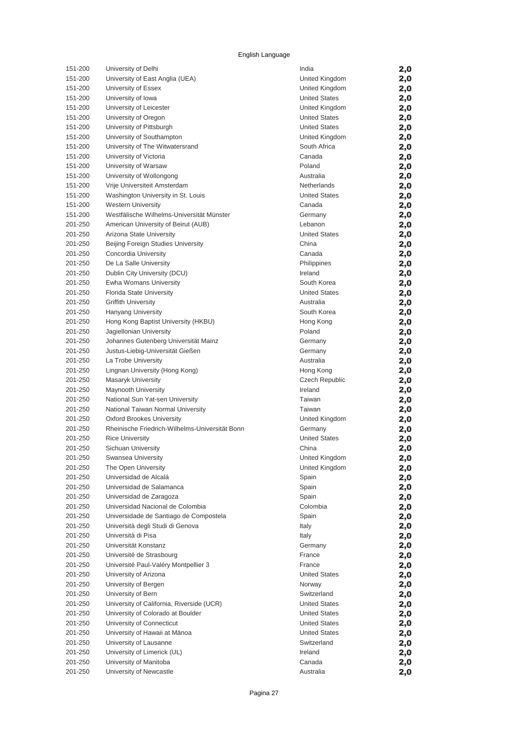| 151-200 | University of Delhi                            | India                 | 2,0 |
|---------|------------------------------------------------|-----------------------|-----|
| 151-200 | University of East Anglia (UEA)                | United Kingdom        | 2,0 |
| 151-200 | University of Essex                            | United Kingdom        | 2,0 |
| 151-200 | University of Iowa                             | <b>United States</b>  | 2,0 |
| 151-200 | University of Leicester                        | United Kingdom        | 2,0 |
| 151-200 | University of Oregon                           | <b>United States</b>  | 2,0 |
| 151-200 | University of Pittsburgh                       | <b>United States</b>  | 2,0 |
| 151-200 | University of Southampton                      | United Kingdom        | 2,0 |
| 151-200 | University of The Witwatersrand                | South Africa          | 2,0 |
| 151-200 | University of Victoria                         | Canada                | 2,0 |
| 151-200 | University of Warsaw                           | Poland                | 2,0 |
| 151-200 | University of Wollongong                       | Australia             | 2,0 |
| 151-200 | Vrije Universiteit Amsterdam                   | <b>Netherlands</b>    | 2,0 |
| 151-200 | Washington University in St. Louis             | <b>United States</b>  | 2,0 |
| 151-200 | <b>Western University</b>                      | Canada                | 2,0 |
| 151-200 | Westfälische Wilhelms-Universität Münster      | Germany               | 2,0 |
| 201-250 | American University of Beirut (AUB)            | Lebanon               | 2,0 |
| 201-250 | Arizona State University                       | <b>United States</b>  | 2,0 |
| 201-250 | Beijing Foreign Studies University             | China                 | 2,0 |
| 201-250 | Concordia University                           | Canada                | 2,0 |
| 201-250 | De La Salle University                         | Philippines           | 2,0 |
| 201-250 | Dublin City University (DCU)                   | Ireland               | 2,0 |
| 201-250 | Ewha Womans University                         | South Korea           | 2,0 |
| 201-250 | Florida State University                       | <b>United States</b>  | 2,0 |
| 201-250 | <b>Griffith University</b>                     | Australia             | 2,0 |
| 201-250 | Hanyang University                             | South Korea           | 2,0 |
| 201-250 | Hong Kong Baptist University (HKBU)            | Hong Kong             | 2,0 |
| 201-250 | Jagiellonian University                        | Poland                | 2,0 |
| 201-250 | Johannes Gutenberg Universität Mainz           | Germany               | 2,0 |
| 201-250 | Justus-Liebig-Universität Gießen               | Germany               | 2,0 |
| 201-250 | La Trobe University                            | Australia             | 2,0 |
| 201-250 | Lingnan University (Hong Kong)                 | Hong Kong             | 2,0 |
| 201-250 | Masaryk University                             | <b>Czech Republic</b> | 2,0 |
| 201-250 | Maynooth University                            | Ireland               | 2,0 |
| 201-250 | National Sun Yat-sen University                | Taiwan                | 2,0 |
| 201-250 | National Taiwan Normal University              | Taiwan                | 2,0 |
| 201-250 | <b>Oxford Brookes University</b>               | United Kingdom        | 2,0 |
| 201-250 | Rheinische Friedrich-Wilhelms-Universität Bonn | Germany               | 2,0 |
| 201-250 | <b>Rice University</b>                         | <b>United States</b>  | 2,0 |
| 201-250 | Sichuan University                             | China                 | 2,0 |
| 201-250 | Swansea University                             | United Kingdom        | 2,0 |
| 201-250 | The Open University                            | United Kingdom        | 2,0 |
| 201-250 | Universidad de Alcalá                          | Spain                 | 2,0 |
| 201-250 | Universidad de Salamanca                       | Spain                 | 2,0 |
| 201-250 | Universidad de Zaragoza                        | Spain                 | 2,0 |
| 201-250 | Universidad Nacional de Colombia               | Colombia              | 2,0 |
| 201-250 | Universidade de Santiago de Compostela         | Spain                 | 2,0 |
| 201-250 | Università degli Studi di Genova               | Italy                 | 2,0 |
| 201-250 | Università di Pisa                             | Italy                 | 2,0 |
| 201-250 | Universität Konstanz                           | Germany               | 2,0 |
| 201-250 | Université de Strasbourg                       | France                | 2,0 |
| 201-250 | Université Paul-Valéry Montpellier 3           | France                | 2,0 |
| 201-250 | University of Arizona                          | <b>United States</b>  | 2,0 |
| 201-250 | University of Bergen                           | Norway                | 2,0 |
| 201-250 | University of Bern                             | Switzerland           | 2,0 |
| 201-250 | University of California, Riverside (UCR)      | <b>United States</b>  | 2,0 |
| 201-250 | University of Colorado at Boulder              | <b>United States</b>  | 2,0 |
| 201-250 | University of Connecticut                      | <b>United States</b>  | 2,0 |
| 201-250 | University of Hawaii at Mānoa                  | <b>United States</b>  | 2,0 |
| 201-250 | University of Lausanne                         | Switzerland           | 2,0 |
| 201-250 | University of Limerick (UL)                    | Ireland               | 2,0 |
| 201-250 | University of Manitoba                         | Canada                | 2,0 |
| 201-250 | University of Newcastle                        | Australia             | 2,0 |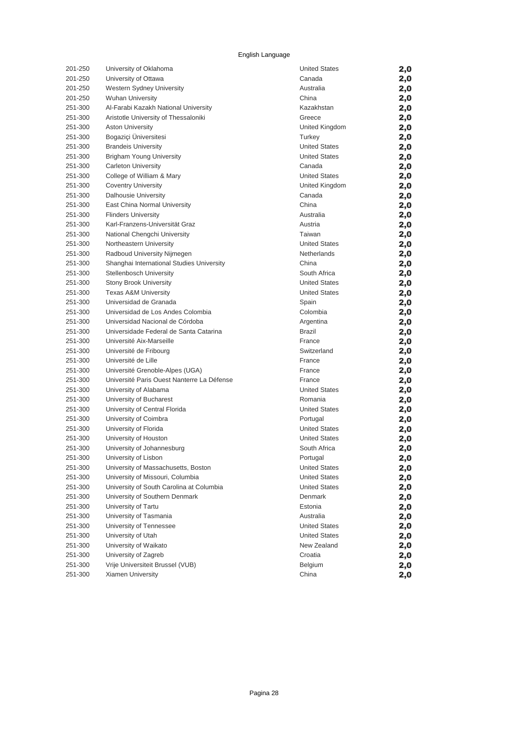| 201-250 | University of Oklahoma                     | <b>United States</b> | 2,0 |
|---------|--------------------------------------------|----------------------|-----|
| 201-250 | University of Ottawa                       | Canada               | 2,0 |
| 201-250 | Western Sydney University                  | Australia            | 2,0 |
| 201-250 | <b>Wuhan University</b>                    | China                | 2,0 |
| 251-300 | Al-Farabi Kazakh National University       | Kazakhstan           | 2,0 |
| 251-300 | Aristotle University of Thessaloniki       | Greece               | 2,0 |
| 251-300 | <b>Aston University</b>                    | United Kingdom       | 2,0 |
| 251-300 | Bogaziçi Üniversitesi                      | Turkey               | 2,0 |
| 251-300 | <b>Brandeis University</b>                 | <b>United States</b> | 2,0 |
| 251-300 | <b>Brigham Young University</b>            | <b>United States</b> | 2,0 |
| 251-300 | <b>Carleton University</b>                 | Canada               | 2,0 |
| 251-300 | College of William & Mary                  | <b>United States</b> | 2,0 |
| 251-300 | <b>Coventry University</b>                 | United Kingdom       | 2,0 |
| 251-300 | Dalhousie University                       | Canada               | 2,0 |
| 251-300 | East China Normal University               | China                | 2,0 |
| 251-300 | <b>Flinders University</b>                 | Australia            | 2,0 |
| 251-300 | Karl-Franzens-Universität Graz             | Austria              | 2,0 |
| 251-300 | National Chengchi University               | Taiwan               | 2,0 |
| 251-300 | Northeastern University                    | <b>United States</b> | 2,0 |
| 251-300 | Radboud University Nijmegen                | Netherlands          | 2,0 |
| 251-300 | Shanghai International Studies University  | China                | 2,0 |
| 251-300 | <b>Stellenbosch University</b>             | South Africa         | 2,0 |
| 251-300 | <b>Stony Brook University</b>              | <b>United States</b> | 2,0 |
| 251-300 | <b>Texas A&amp;M University</b>            | <b>United States</b> | 2,0 |
| 251-300 | Universidad de Granada                     | Spain                | 2,0 |
| 251-300 | Universidad de Los Andes Colombia          | Colombia             | 2,0 |
| 251-300 | Universidad Nacional de Córdoba            | Argentina            | 2,0 |
| 251-300 | Universidade Federal de Santa Catarina     | <b>Brazil</b>        | 2,0 |
| 251-300 | Université Aix-Marseille                   | France               | 2,0 |
| 251-300 | Université de Fribourg                     | Switzerland          | 2,0 |
| 251-300 | Université de Lille                        | France               | 2,0 |
| 251-300 | Université Grenoble-Alpes (UGA)            | France               | 2,0 |
| 251-300 | Université Paris Ouest Nanterre La Défense | France               | 2,0 |
| 251-300 | University of Alabama                      | <b>United States</b> | 2,0 |
| 251-300 | University of Bucharest                    | Romania              | 2,0 |
| 251-300 | University of Central Florida              | <b>United States</b> | 2,0 |
| 251-300 | University of Coimbra                      | Portugal             | 2,0 |
| 251-300 | University of Florida                      | <b>United States</b> | 2,0 |
| 251-300 | University of Houston                      | <b>United States</b> | 2,0 |
| 251-300 | University of Johannesburg                 | South Africa         | 2,0 |
| 251-300 | University of Lisbon                       | Portugal             | 2,0 |
| 251-300 | University of Massachusetts, Boston        | United States        | 2,0 |
| 251-300 | University of Missouri, Columbia           | <b>United States</b> | 2,0 |
| 251-300 | University of South Carolina at Columbia   | <b>United States</b> | 2,0 |
| 251-300 | University of Southern Denmark             | Denmark              | 2,0 |
| 251-300 | University of Tartu                        | Estonia              | 2,0 |
| 251-300 | University of Tasmania                     | Australia            | 2,0 |
| 251-300 | University of Tennessee                    | <b>United States</b> | 2,0 |
| 251-300 | University of Utah                         | <b>United States</b> | 2,0 |
| 251-300 | University of Waikato                      | New Zealand          | 2,0 |
| 251-300 | University of Zagreb                       | Croatia              | 2,0 |
| 251-300 | Vrije Universiteit Brussel (VUB)           | Belgium              | 2,0 |
| 251-300 | Xiamen University                          | China                | 2,0 |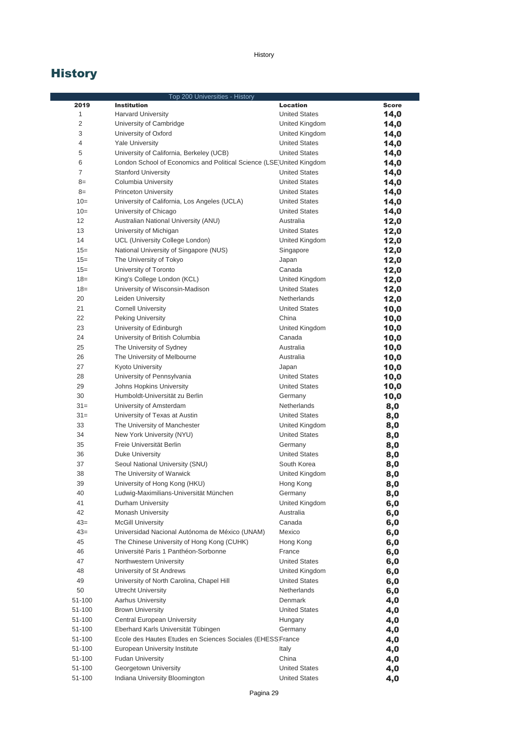|                | Top 200 Universities - History                                       |                      |       |
|----------------|----------------------------------------------------------------------|----------------------|-------|
| 2019           | <b>Institution</b>                                                   | Location             | Score |
| 1              | <b>Harvard University</b>                                            | <b>United States</b> | 14,0  |
| 2              | University of Cambridge                                              | United Kingdom       | 14,0  |
| 3              | University of Oxford                                                 | United Kingdom       | 14,0  |
| 4              | <b>Yale University</b>                                               | <b>United States</b> | 14,0  |
| 5              | University of California, Berkeley (UCB)                             | <b>United States</b> | 14,0  |
| 6              | London School of Economics and Political Science (LSE United Kingdom |                      | 14,0  |
| $\overline{7}$ | <b>Stanford University</b>                                           | <b>United States</b> | 14,0  |
| $8=$           | Columbia University                                                  | <b>United States</b> | 14,0  |
| $8=$           | <b>Princeton University</b>                                          | <b>United States</b> | 14,0  |
| $10=$          | University of California, Los Angeles (UCLA)                         | <b>United States</b> | 14,0  |
| $10=$          | University of Chicago                                                | <b>United States</b> | 14,0  |
| 12             | Australian National University (ANU)                                 | Australia            | 12,0  |
| 13             | University of Michigan                                               | <b>United States</b> | 12,0  |
| 14             | UCL (University College London)                                      | United Kingdom       | 12,0  |
| $15 =$         | National University of Singapore (NUS)                               | Singapore            | 12,0  |
| $15 =$         | The University of Tokyo                                              | Japan                | 12,0  |
| $15=$          | University of Toronto                                                | Canada               | 12,0  |
| $18=$          | King's College London (KCL)                                          | United Kingdom       | 12,0  |
| $18 =$         | University of Wisconsin-Madison                                      | <b>United States</b> | 12,0  |
| 20             | Leiden University                                                    | <b>Netherlands</b>   | 12,0  |
| 21             | <b>Cornell University</b>                                            | <b>United States</b> | 10,0  |
| 22             | Peking University                                                    | China                | 10,0  |
| 23             | University of Edinburgh                                              | United Kingdom       | 10,0  |
| 24             | University of British Columbia                                       | Canada               | 10,0  |
| 25             | The University of Sydney                                             | Australia            | 10,0  |
| 26             | The University of Melbourne                                          | Australia            | 10,0  |
| 27             | Kyoto University                                                     | Japan                | 10,0  |
| 28             | University of Pennsylvania                                           | <b>United States</b> | 10,0  |
| 29             | Johns Hopkins University                                             | <b>United States</b> | 10,0  |
| 30             | Humboldt-Universität zu Berlin                                       | Germany              | 10,0  |
| $31 =$         | University of Amsterdam                                              | Netherlands          | 8,0   |
| $31 =$         | University of Texas at Austin                                        | <b>United States</b> | 8,0   |
| 33             | The University of Manchester                                         | United Kingdom       | 8,0   |
| 34             | New York University (NYU)                                            | <b>United States</b> | 8,0   |
| 35             | Freie Universität Berlin                                             | Germany              | 8,0   |
| 36             | Duke University                                                      | <b>United States</b> | 8,0   |
| 37             | Seoul National University (SNU)                                      | South Korea          | 8,0   |
| 38             | The University of Warwick                                            | United Kingdom       | 8,0   |
| 39             | University of Hong Kong (HKU)                                        | Hong Kong            | 8,0   |
| 40             | Ludwig-Maximilians-Universität München                               | Germany              | 8,0   |
| 41             | Durham University                                                    | United Kingdom       | 6,0   |
| 42             | Monash University                                                    | Australia            | 6,0   |
| $43=$          | <b>McGill University</b>                                             | Canada               | 6,0   |
| $43=$          | Universidad Nacional Autónoma de México (UNAM)                       | Mexico               | 6,0   |
| 45             | The Chinese University of Hong Kong (CUHK)                           | Hong Kong            | 6,0   |
| 46             | Université Paris 1 Panthéon-Sorbonne                                 | France               | 6,0   |
| 47             | Northwestern University                                              | <b>United States</b> | 6,0   |
| 48             | University of St Andrews                                             | United Kingdom       | 6,0   |
| 49             | University of North Carolina, Chapel Hill                            | <b>United States</b> | 6,0   |
| 50             | Utrecht University                                                   | <b>Netherlands</b>   | 6,0   |
| 51-100         | <b>Aarhus University</b>                                             | Denmark              | 4,0   |
| 51-100         | <b>Brown University</b>                                              | <b>United States</b> | 4,0   |
| 51-100         | Central European University                                          | Hungary              | 4,0   |
| 51-100         | Eberhard Karls Universität Tübingen                                  | Germany              | 4,0   |
| 51-100         | Ecole des Hautes Etudes en Sciences Sociales (EHESS France           |                      | 4,0   |
| 51-100         | European University Institute                                        | Italy                | 4,0   |
| 51-100         | <b>Fudan University</b>                                              | China                | 4,0   |
| 51-100         | Georgetown University                                                | <b>United States</b> | 4,0   |
| 51-100         | Indiana University Bloomington                                       | <b>United States</b> | 4,0   |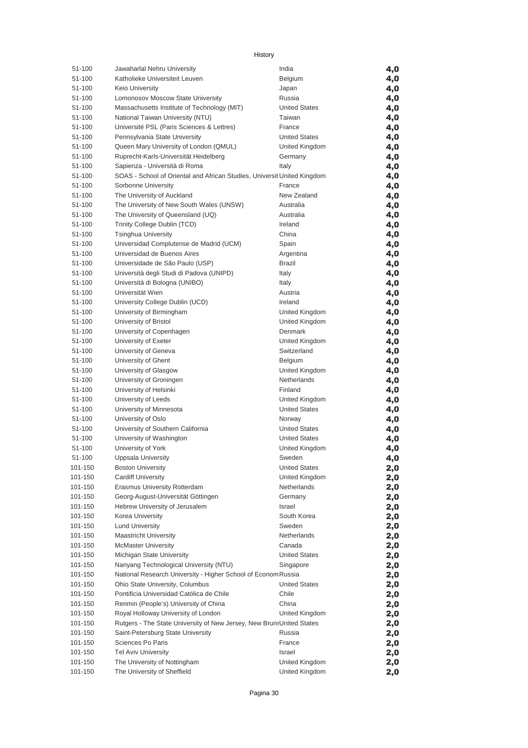| 51-100             | Jawaharlal Nehru University                                                  | India                     | 4,0        |
|--------------------|------------------------------------------------------------------------------|---------------------------|------------|
| 51-100             | Katholieke Universiteit Leuven                                               | Belgium                   | 4,0        |
| 51-100             | Keio Universitv                                                              | Japan                     | 4,0        |
| 51-100             | Lomonosov Moscow State University                                            | Russia                    | 4,0        |
| 51-100             | Massachusetts Institute of Technology (MIT)                                  | <b>United States</b>      | 4,0        |
| 51-100             | National Taiwan University (NTU)                                             | Taiwan                    | 4,0        |
| 51-100             | Université PSL (Paris Sciences & Lettres)                                    | France                    | 4,0        |
| 51-100             | Pennsylvania State University                                                | <b>United States</b>      | 4,0        |
| 51-100             | Queen Mary University of London (QMUL)                                       | United Kingdom            | 4,0        |
| 51-100             | Ruprecht-Karls-Universität Heidelberg                                        | Germany                   | 4,0        |
| 51-100             | Sapienza - Università di Roma                                                | Italy                     | 4,0        |
| 51-100             | SOAS - School of Oriental and African Studies, Universit United Kingdom      |                           | 4,0        |
| 51-100             | Sorbonne University                                                          | France                    | 4,0        |
| 51-100             | The University of Auckland                                                   | New Zealand               | 4,0        |
| 51-100             | The University of New South Wales (UNSW)                                     | Australia                 | 4,0        |
| 51-100             | The University of Queensland (UQ)                                            | Australia                 | 4,0        |
| 51-100             | Trinity College Dublin (TCD)                                                 | Ireland                   | 4,0        |
| 51-100             | <b>Tsinghua University</b>                                                   | China                     | 4,0        |
| 51-100             | Universidad Complutense de Madrid (UCM)                                      | Spain                     | 4,0        |
| 51-100             | Universidad de Buenos Aires                                                  | Argentina                 | 4,0        |
| 51-100             | Universidade de São Paulo (USP)                                              | Brazil                    | 4,0        |
| 51-100             | Università degli Studi di Padova (UNIPD)                                     | Italy                     | 4,0        |
| 51-100             | Università di Bologna (UNIBO)                                                | Italy                     | 4,0        |
| 51-100             | Universität Wien                                                             | Austria                   | 4,0        |
| 51-100<br>51-100   | University College Dublin (UCD)                                              | Ireland<br>United Kingdom | 4,0        |
| 51-100             | University of Birmingham<br>University of Bristol                            | United Kingdom            | 4,0        |
| 51-100             | University of Copenhagen                                                     | Denmark                   | 4,0        |
| 51-100             | University of Exeter                                                         | United Kingdom            | 4,0<br>4,0 |
| 51-100             | University of Geneva                                                         | Switzerland               | 4,0        |
| 51-100             | University of Ghent                                                          | Belgium                   | 4,0        |
| 51-100             | University of Glasgow                                                        | United Kingdom            | 4,0        |
| 51-100             | University of Groningen                                                      | Netherlands               | 4,0        |
| 51-100             | University of Helsinki                                                       | Finland                   | 4,0        |
| 51-100             | University of Leeds                                                          | United Kingdom            | 4,0        |
| 51-100             | University of Minnesota                                                      | <b>United States</b>      | 4,0        |
| 51-100             | University of Oslo                                                           | Norway                    | 4,0        |
| 51-100             | University of Southern California                                            | <b>United States</b>      | 4,0        |
| 51-100             | University of Washington                                                     | <b>United States</b>      | 4,0        |
| 51-100             | University of York                                                           | United Kingdom            | 4,0        |
| 51-100             | Uppsala University                                                           | Sweden                    | 4,0        |
| 101-150            | <b>Boston University</b>                                                     | <b>United States</b>      | 2,0        |
| 101-150            | <b>Cardiff University</b>                                                    | United Kingdom            | 2,0        |
| 101-150            | Erasmus University Rotterdam                                                 | Netherlands               | 2,0        |
| 101-150            | Georg-August-Universität Göttingen                                           | Germany                   | 2,0        |
| 101-150            | Hebrew University of Jerusalem                                               | Israel                    | 2,0        |
| 101-150            | Korea University                                                             | South Korea               | 2,0        |
| 101-150            | <b>Lund University</b>                                                       | Sweden                    | 2,0        |
| 101-150            | <b>Maastricht University</b>                                                 | Netherlands               | 2,0        |
| 101-150            | <b>McMaster University</b>                                                   | Canada                    | 2,0        |
| 101-150            | Michigan State University                                                    | <b>United States</b>      | 2,0        |
| 101-150            | Nanyang Technological University (NTU)                                       | Singapore                 | 2,0        |
| 101-150            | National Research University - Higher School of Econom Russia                |                           | 2,0        |
| 101-150            | Ohio State University, Columbus                                              | United States             | 2,0        |
| 101-150            | Pontificia Universidad Católica de Chile                                     | Chile<br>China            | 2,0        |
| 101-150<br>101-150 | Renmin (People's) University of China<br>Royal Holloway University of London | United Kingdom            | 2,0        |
| 101-150            | Rutgers - The State University of New Jersey, New BrunsUnited States         |                           | 2,0<br>2,0 |
| 101-150            | Saint-Petersburg State University                                            | Russia                    | 2,0        |
| 101-150            | Sciences Po Paris                                                            | France                    | 2,0        |
| 101-150            | <b>Tel Aviv University</b>                                                   | Israel                    | 2,0        |
| 101-150            | The University of Nottingham                                                 | United Kingdom            | 2,0        |
| 101-150            | The University of Sheffield                                                  | United Kingdom            | 2,0        |
|                    |                                                                              |                           |            |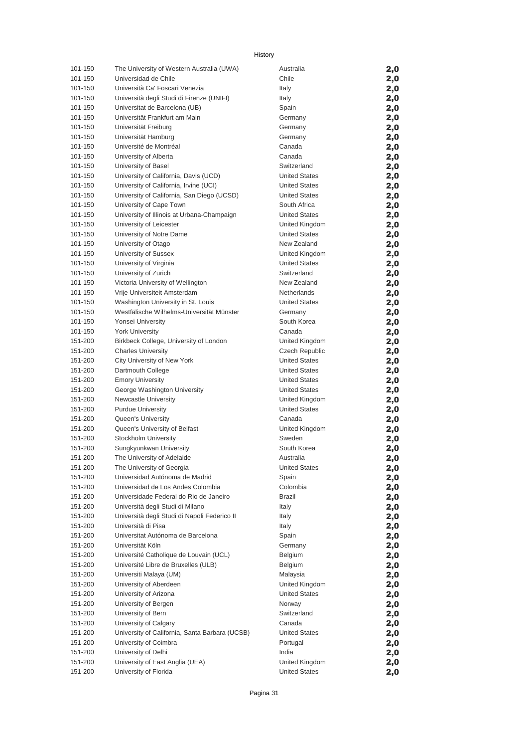| 101-150 | The University of Western Australia (UWA)      | Australia            | 2,0 |
|---------|------------------------------------------------|----------------------|-----|
| 101-150 | Universidad de Chile                           | Chile                | 2,0 |
| 101-150 | Università Ca' Foscari Venezia                 | Italy                | 2,0 |
| 101-150 | Università degli Studi di Firenze (UNIFI)      | Italy                | 2,0 |
| 101-150 | Universitat de Barcelona (UB)                  | Spain                | 2,0 |
| 101-150 | Universität Frankfurt am Main                  | Germany              | 2,0 |
| 101-150 | Universität Freiburg                           | Germany              | 2,0 |
| 101-150 | Universität Hamburg                            | Germany              | 2,0 |
| 101-150 | Université de Montréal                         | Canada               | 2,0 |
| 101-150 | University of Alberta                          | Canada               | 2,0 |
| 101-150 | University of Basel                            | Switzerland          | 2,0 |
| 101-150 | University of California, Davis (UCD)          | <b>United States</b> | 2,0 |
| 101-150 | University of California, Irvine (UCI)         | <b>United States</b> | 2,0 |
| 101-150 | University of California, San Diego (UCSD)     | <b>United States</b> | 2,0 |
| 101-150 | University of Cape Town                        | South Africa         | 2,0 |
| 101-150 | University of Illinois at Urbana-Champaign     | <b>United States</b> | 2,0 |
| 101-150 | University of Leicester                        | United Kingdom       |     |
| 101-150 |                                                | <b>United States</b> | 2,0 |
| 101-150 | University of Notre Dame                       |                      | 2,0 |
|         | University of Otago                            | New Zealand          | 2,0 |
| 101-150 | University of Sussex                           | United Kingdom       | 2,0 |
| 101-150 | University of Virginia                         | <b>United States</b> | 2,0 |
| 101-150 | University of Zurich                           | Switzerland          | 2,0 |
| 101-150 | Victoria University of Wellington              | New Zealand          | 2,0 |
| 101-150 | Vrije Universiteit Amsterdam                   | <b>Netherlands</b>   | 2,0 |
| 101-150 | Washington University in St. Louis             | <b>United States</b> | 2,0 |
| 101-150 | Westfälische Wilhelms-Universität Münster      | Germany              | 2,0 |
| 101-150 | Yonsei University                              | South Korea          | 2,0 |
| 101-150 | <b>York University</b>                         | Canada               | 2,0 |
| 151-200 | Birkbeck College, University of London         | United Kingdom       | 2,0 |
| 151-200 | <b>Charles University</b>                      | Czech Republic       | 2,0 |
| 151-200 | City University of New York                    | <b>United States</b> | 2,0 |
| 151-200 | Dartmouth College                              | <b>United States</b> | 2,0 |
| 151-200 | <b>Emory University</b>                        | <b>United States</b> | 2,0 |
| 151-200 | George Washington University                   | <b>United States</b> | 2,0 |
| 151-200 | <b>Newcastle University</b>                    | United Kingdom       | 2,0 |
| 151-200 | <b>Purdue University</b>                       | <b>United States</b> | 2,0 |
| 151-200 | Queen's University                             | Canada               | 2,0 |
| 151-200 | Queen's University of Belfast                  | United Kingdom       | 2,0 |
| 151-200 | Stockholm University                           | Sweden               | 2,0 |
| 151-200 | Sungkyunkwan University                        | South Korea          | 2,0 |
| 151-200 | The University of Adelaide                     | Australia            | 2,0 |
| 151-200 | The University of Georgia                      | <b>United States</b> | 2,0 |
| 151-200 | Universidad Autónoma de Madrid                 | Spain                | 2,0 |
| 151-200 | Universidad de Los Andes Colombia              | Colombia             | 2,0 |
| 151-200 | Universidade Federal do Rio de Janeiro         | Brazil               | 2,0 |
| 151-200 | Università degli Studi di Milano               | Italy                | 2,0 |
| 151-200 | Università degli Studi di Napoli Federico II   | Italy                | 2,0 |
| 151-200 | Università di Pisa                             | Italy                | 2,0 |
| 151-200 | Universitat Autónoma de Barcelona              | Spain                | 2,0 |
| 151-200 | Universität Köln                               | Germany              | 2,0 |
| 151-200 | Université Catholique de Louvain (UCL)         | Belgium              | 2,0 |
| 151-200 | Université Libre de Bruxelles (ULB)            | Belgium              | 2,0 |
| 151-200 | Universiti Malaya (UM)                         | Malaysia             | 2,0 |
| 151-200 | University of Aberdeen                         | United Kingdom       | 2,0 |
| 151-200 | University of Arizona                          | <b>United States</b> | 2,0 |
| 151-200 | University of Bergen                           | Norway               | 2,0 |
| 151-200 | University of Bern                             | Switzerland          | 2,0 |
| 151-200 | University of Calgary                          | Canada               | 2,0 |
| 151-200 | University of California, Santa Barbara (UCSB) | <b>United States</b> | 2,0 |
| 151-200 | University of Coimbra                          | Portugal             | 2,0 |
| 151-200 | University of Delhi                            | India                | 2,0 |
| 151-200 | University of East Anglia (UEA)                | United Kingdom       | 2,0 |
| 151-200 | University of Florida                          | <b>United States</b> | 2,0 |
|         |                                                |                      |     |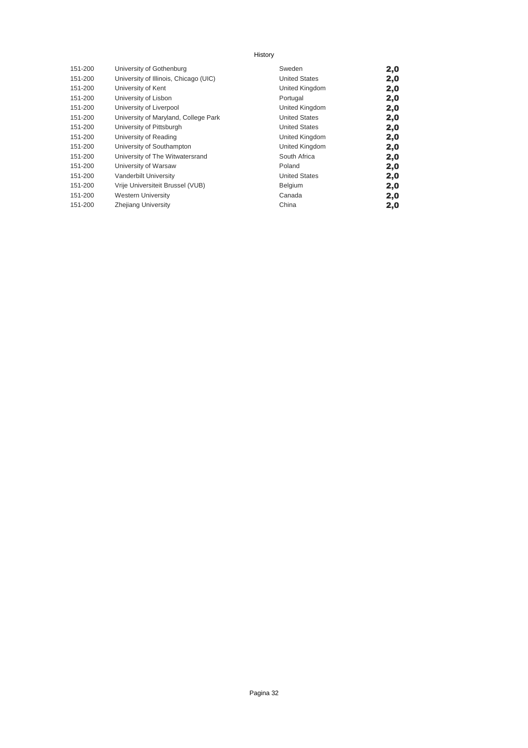| 151-200 | University of Gothenburg              | Sweden               | 2,0 |
|---------|---------------------------------------|----------------------|-----|
| 151-200 | University of Illinois, Chicago (UIC) | <b>United States</b> | 2,0 |
| 151-200 | University of Kent                    | United Kingdom       | 2,0 |
| 151-200 | University of Lisbon                  | Portugal             | 2,0 |
| 151-200 | University of Liverpool               | United Kingdom       | 2,0 |
| 151-200 | University of Maryland, College Park  | <b>United States</b> | 2,0 |
| 151-200 | University of Pittsburgh              | <b>United States</b> | 2,0 |
| 151-200 | University of Reading                 | United Kingdom       | 2,0 |
| 151-200 | University of Southampton             | United Kingdom       | 2,0 |
| 151-200 | University of The Witwatersrand       | South Africa         | 2,0 |
| 151-200 | University of Warsaw                  | Poland               | 2,0 |
| 151-200 | Vanderbilt University                 | <b>United States</b> | 2,0 |
| 151-200 | Vrije Universiteit Brussel (VUB)      | Belgium              | 2,0 |
| 151-200 | <b>Western University</b>             | Canada               | 2,0 |
| 151-200 | Zhejiang University                   | China                | 2,0 |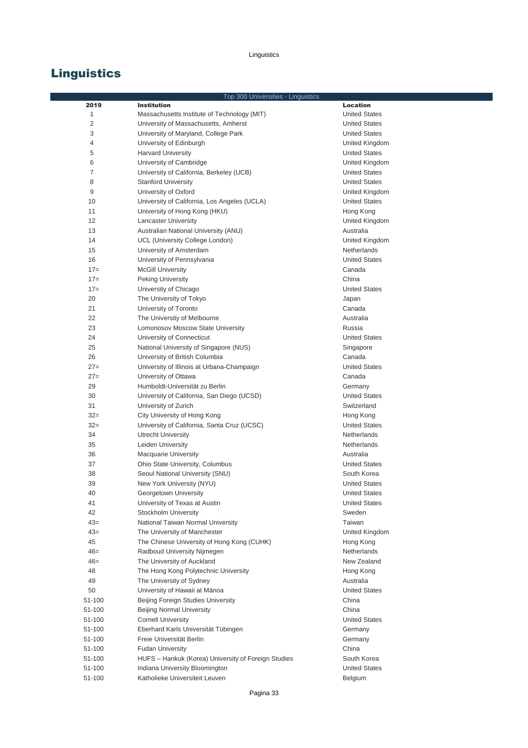# **Linguistics**

|        |                                                     | Top 300 Universities - Linguistics |                      |
|--------|-----------------------------------------------------|------------------------------------|----------------------|
| 2019   | <b>Institution</b>                                  |                                    | <b>Location</b>      |
| 1      | Massachusetts Institute of Technology (MIT)         |                                    | <b>United States</b> |
| 2      | University of Massachusetts, Amherst                |                                    | <b>United States</b> |
| 3      | University of Maryland, College Park                |                                    | <b>United States</b> |
| 4      | University of Edinburgh                             |                                    | United Kingdom       |
| 5      | <b>Harvard University</b>                           |                                    | <b>United States</b> |
| 6      | University of Cambridge                             |                                    | United Kingdom       |
| 7      | University of California, Berkeley (UCB)            |                                    | <b>United States</b> |
| 8      | <b>Stanford University</b>                          |                                    | <b>United States</b> |
| 9      | University of Oxford                                |                                    | United Kingdom       |
| 10     | University of California, Los Angeles (UCLA)        |                                    | <b>United States</b> |
| 11     | University of Hong Kong (HKU)                       |                                    | Hong Kong            |
| 12     | <b>Lancaster University</b>                         |                                    | United Kingdom       |
| 13     | Australian National University (ANU)                |                                    | Australia            |
| 14     | UCL (University College London)                     |                                    | United Kingdom       |
| 15     | University of Amsterdam                             |                                    | Netherlands          |
| 16     | University of Pennsylvania                          |                                    | <b>United States</b> |
| $17=$  | <b>McGill University</b>                            |                                    | Canada               |
| $17=$  | <b>Peking University</b>                            |                                    | China                |
| $17=$  | University of Chicago                               |                                    | <b>United States</b> |
| 20     | The University of Tokyo                             |                                    | Japan                |
| 21     | University of Toronto                               |                                    | Canada               |
| 22     | The University of Melbourne                         |                                    | Australia            |
| 23     | Lomonosov Moscow State University                   |                                    | Russia               |
| 24     |                                                     |                                    | <b>United States</b> |
| 25     | University of Connecticut                           |                                    |                      |
| 26     | National University of Singapore (NUS)              |                                    | Singapore<br>Canada  |
| $27=$  | University of British Columbia                      |                                    | <b>United States</b> |
|        | University of Illinois at Urbana-Champaign          |                                    |                      |
| $27=$  | University of Ottawa                                |                                    | Canada               |
| 29     | Humboldt-Universität zu Berlin                      |                                    | Germany              |
| 30     | University of California, San Diego (UCSD)          |                                    | <b>United States</b> |
| 31     | University of Zurich                                |                                    | Switzerland          |
| $32=$  | City University of Hong Kong                        |                                    | Hong Kong            |
| $32 =$ | University of California, Santa Cruz (UCSC)         |                                    | <b>United States</b> |
| 34     | <b>Utrecht University</b>                           |                                    | Netherlands          |
| 35     | Leiden University                                   |                                    | <b>Netherlands</b>   |
| 36     | <b>Macquarie University</b>                         |                                    | Australia            |
| 37     | Ohio State University, Columbus                     |                                    | <b>United States</b> |
| 38     | Seoul National University (SNU)                     |                                    | South Korea          |
| 39     | New York University (NYU)                           |                                    | United States        |
| 40     | Georgetown University                               |                                    | <b>United States</b> |
| 41     | University of Texas at Austin                       |                                    | United States        |
| 42     | Stockholm University                                |                                    | Sweden               |
| $43=$  | National Taiwan Normal University                   |                                    | Taiwan               |
| $43=$  | The University of Manchester                        |                                    | United Kingdom       |
| 45     | The Chinese University of Hong Kong (CUHK)          |                                    | Hong Kong            |
| $46=$  | Radboud University Nijmegen                         |                                    | Netherlands          |
| $46=$  | The University of Auckland                          |                                    | New Zealand          |
| 48     | The Hong Kong Polytechnic University                |                                    | Hong Kong            |
| 49     | The University of Sydney                            |                                    | Australia            |
| 50     | University of Hawaii at Mānoa                       |                                    | <b>United States</b> |
| 51-100 | Beijing Foreign Studies University                  |                                    | China                |
| 51-100 | <b>Beijing Normal University</b>                    |                                    | China                |
| 51-100 | <b>Cornell University</b>                           |                                    | <b>United States</b> |
| 51-100 | Eberhard Karls Universität Tübingen                 |                                    | Germany              |
| 51-100 | Freie Universität Berlin                            |                                    | Germany              |
| 51-100 | <b>Fudan University</b>                             |                                    | China                |
| 51-100 | HUFS - Hankuk (Korea) University of Foreign Studies |                                    | South Korea          |
| 51-100 | Indiana University Bloomington                      |                                    | <b>United States</b> |
| 51-100 | Katholieke Universiteit Leuven                      |                                    | Belgium              |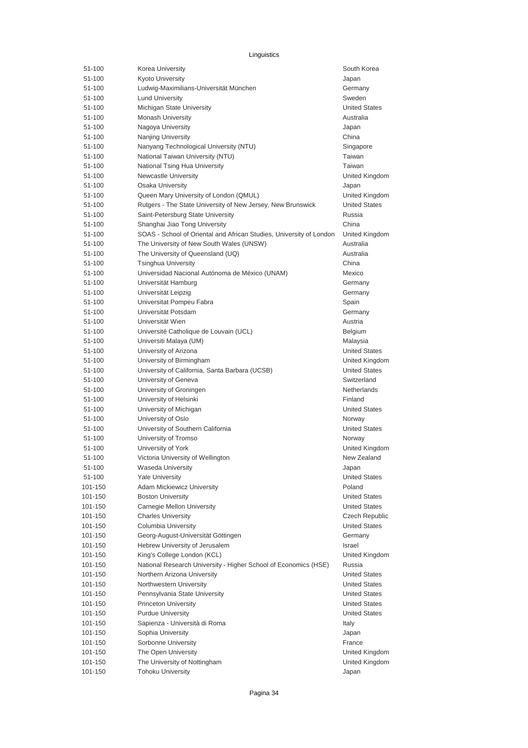| 51-100  | Korea University                                                    | South Korea           |
|---------|---------------------------------------------------------------------|-----------------------|
| 51-100  | <b>Kyoto University</b>                                             | Japan                 |
| 51-100  | Ludwig-Maximilians-Universität München                              | Germany               |
| 51-100  | <b>Lund University</b>                                              | Sweden                |
| 51-100  | Michigan State University                                           | <b>United States</b>  |
| 51-100  | Monash University                                                   | Australia             |
| 51-100  | Nagoya University                                                   | Japan                 |
| 51-100  | Nanjing University                                                  | China                 |
| 51-100  | Nanyang Technological University (NTU)                              | Singapore             |
| 51-100  | National Taiwan University (NTU)                                    | Taiwan                |
| 51-100  | National Tsing Hua University                                       | Taiwan                |
| 51-100  | <b>Newcastle University</b>                                         | United Kingdom        |
| 51-100  | Osaka University                                                    | Japan                 |
| 51-100  | Queen Mary University of London (QMUL)                              | United Kingdom        |
| 51-100  | Rutgers - The State University of New Jersey, New Brunswick         | <b>United States</b>  |
| 51-100  | Saint-Petersburg State University                                   | Russia                |
| 51-100  | Shanghai Jiao Tong University                                       | China                 |
| 51-100  | SOAS - School of Oriental and African Studies, University of London | United Kingdom        |
| 51-100  | The University of New South Wales (UNSW)                            | Australia             |
| 51-100  | The University of Queensland (UQ)                                   | Australia             |
| 51-100  | <b>Tsinghua University</b>                                          | China                 |
| 51-100  | Universidad Nacional Autónoma de México (UNAM)                      | Mexico                |
| 51-100  | Universität Hamburg                                                 | Germany               |
| 51-100  | Universität Leipzig                                                 | Germany               |
| 51-100  | Universitat Pompeu Fabra                                            | Spain                 |
| 51-100  | Universität Potsdam                                                 | Germany               |
| 51-100  | Universität Wien                                                    | Austria               |
| 51-100  | Université Catholique de Louvain (UCL)                              | Belgium               |
| 51-100  | Universiti Malaya (UM)                                              | Malaysia              |
| 51-100  | University of Arizona                                               | <b>United States</b>  |
| 51-100  | University of Birmingham                                            | United Kingdom        |
| 51-100  | University of California, Santa Barbara (UCSB)                      | <b>United States</b>  |
| 51-100  | University of Geneva                                                | Switzerland           |
| 51-100  | University of Groningen                                             | Netherlands           |
| 51-100  | University of Helsinki                                              | Finland               |
| 51-100  | University of Michigan                                              | <b>United States</b>  |
| 51-100  | University of Oslo                                                  | Norway                |
| 51-100  | University of Southern California                                   | <b>United States</b>  |
| 51-100  | University of Tromso                                                | Norway                |
| 51-100  | University of York                                                  | United Kingdom        |
| 51-100  | Victoria University of Wellington                                   | New Zealand           |
| 51-100  | Waseda University                                                   | Japan                 |
| 51-100  | <b>Yale University</b>                                              | <b>United States</b>  |
| 101-150 | Adam Mickiewicz University                                          | Poland                |
| 101-150 | <b>Boston University</b>                                            | <b>United States</b>  |
| 101-150 | Carnegie Mellon University                                          | <b>United States</b>  |
| 101-150 | <b>Charles University</b>                                           | <b>Czech Republic</b> |
| 101-150 | Columbia University                                                 | <b>United States</b>  |
| 101-150 | Georg-August-Universität Göttingen                                  | Germany               |
| 101-150 | Hebrew University of Jerusalem                                      | Israel                |
| 101-150 | King's College London (KCL)                                         | United Kingdom        |
| 101-150 | National Research University - Higher School of Economics (HSE)     | Russia                |
| 101-150 | Northern Arizona University                                         | <b>United States</b>  |
| 101-150 | Northwestern University                                             | <b>United States</b>  |
| 101-150 | Pennsylvania State University                                       | <b>United States</b>  |
| 101-150 | <b>Princeton University</b>                                         | <b>United States</b>  |
| 101-150 | <b>Purdue University</b>                                            | <b>United States</b>  |
| 101-150 | Sapienza - Università di Roma                                       | Italy                 |
| 101-150 | Sophia University                                                   | Japan                 |
| 101-150 | Sorbonne University                                                 | France                |
| 101-150 | The Open University                                                 | United Kingdom        |
| 101-150 | The University of Nottingham                                        | United Kingdom        |
| 101-150 | <b>Tohoku University</b>                                            | Japan                 |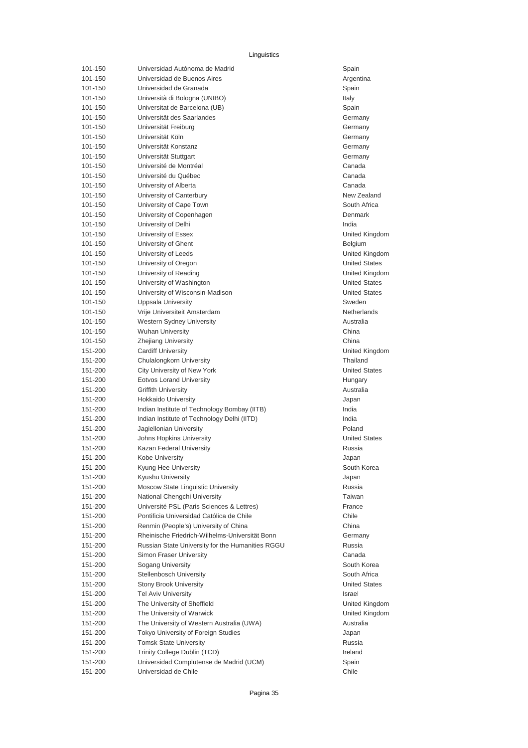| 101-150 | Universidad Autónoma de Madrid                   | Spain            |
|---------|--------------------------------------------------|------------------|
| 101-150 | Universidad de Buenos Aires                      | Argentina        |
| 101-150 | Universidad de Granada                           | Spain            |
| 101-150 | Università di Bologna (UNIBO)                    | Italy            |
| 101-150 | Universitat de Barcelona (UB)                    | Spain            |
| 101-150 | Universität des Saarlandes                       | Germany          |
| 101-150 | Universität Freiburg                             | Germany          |
| 101-150 | Universität Köln                                 | Germany          |
| 101-150 | Universität Konstanz                             | Germany          |
| 101-150 | Universität Stuttgart                            | Germany          |
| 101-150 | Université de Montréal                           | Canada           |
| 101-150 | Université du Québec                             | Canada           |
| 101-150 | University of Alberta                            | Canada           |
| 101-150 | University of Canterbury                         | New Zea          |
| 101-150 | University of Cape Town                          | South Afr        |
| 101-150 | University of Copenhagen                         | Denmark          |
| 101-150 | University of Delhi                              | India            |
| 101-150 | University of Essex                              | United Ki        |
| 101-150 | University of Ghent                              | Belgium          |
| 101-150 | University of Leeds                              | United Ki        |
| 101-150 | University of Oregon                             | United St        |
| 101-150 | University of Reading                            | United Ki        |
| 101-150 | University of Washington                         | United St        |
| 101-150 | University of Wisconsin-Madison                  | <b>United St</b> |
| 101-150 | Uppsala University                               | Sweden           |
| 101-150 | Vrije Universiteit Amsterdam                     | Netherlar        |
| 101-150 | Western Sydney University                        | Australia        |
| 101-150 | <b>Wuhan University</b>                          | China            |
| 101-150 | <b>Zhejiang University</b>                       | China            |
| 151-200 | <b>Cardiff University</b>                        | United Ki        |
|         |                                                  | Thailand         |
| 151-200 | Chulalongkorn University                         |                  |
| 151-200 | City University of New York                      | United St        |
| 151-200 | <b>Eotvos Lorand University</b>                  | Hungary          |
| 151-200 | <b>Griffith University</b>                       | Australia        |
| 151-200 | <b>Hokkaido University</b>                       | Japan            |
| 151-200 | Indian Institute of Technology Bombay (IITB)     | India            |
| 151-200 | Indian Institute of Technology Delhi (IITD)      | India            |
| 151-200 | Jagiellonian University                          | Poland           |
| 151-200 | Johns Hopkins University                         | United St        |
| 151-200 | Kazan Federal University                         | Russia           |
| 151-200 | Kobe University                                  | Japan            |
| 151-200 | Kyung Hee University                             | South Ko         |
| 151-200 | Kyushu University                                | Japan            |
| 151-200 | Moscow State Linguistic University               | Russia           |
| 151-200 | National Chengchi University                     | Taiwan           |
| 151-200 | Université PSL (Paris Sciences & Lettres)        | France           |
| 151-200 | Pontificia Universidad Católica de Chile         | Chile            |
| 151-200 | Renmin (People's) University of China            | China            |
| 151-200 | Rheinische Friedrich-Wilhelms-Universität Bonn   | Germany          |
| 151-200 | Russian State University for the Humanities RGGU | Russia           |
| 151-200 | Simon Fraser University                          | Canada           |
| 151-200 | Sogang University                                | South Ko         |
| 151-200 | <b>Stellenbosch University</b>                   | South Afr        |
| 151-200 | <b>Stony Brook University</b>                    | United St        |
| 151-200 | <b>Tel Aviv University</b>                       | Israel           |
| 151-200 | The University of Sheffield                      | United Ki        |
| 151-200 | The University of Warwick                        | United Ki        |
| 151-200 | The University of Western Australia (UWA)        | Australia        |
| 151-200 | Tokyo University of Foreign Studies              | Japan            |
| 151-200 | <b>Tomsk State University</b>                    | Russia           |
| 151-200 | Trinity College Dublin (TCD)                     | Ireland          |
| 151-200 | Universidad Complutense de Madrid (UCM)          | Spain            |
| 151-200 | Universidad de Chile                             | Chile            |

Argentina Germany Germany Germany New Zealand South Africa United Kingdom United Kingdom **United States** United Kingdom **United States United States** Netherlands United Kingdom United States United States South Korea South Korea South Africa United States United Kingdom United Kingdom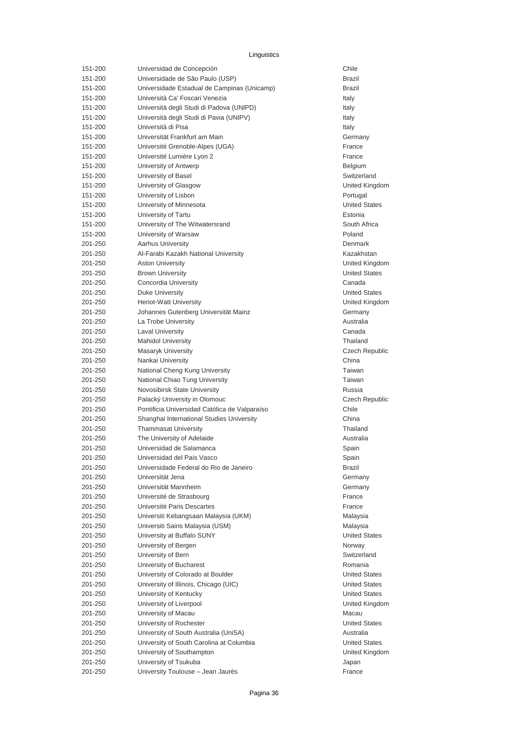| 151-200 | Universidad de Concepción                     | Chile            |
|---------|-----------------------------------------------|------------------|
| 151-200 | Universidade de São Paulo (USP)               | <b>Brazil</b>    |
| 151-200 | Universidade Estadual de Campinas (Unicamp)   | Brazil           |
| 151-200 | Università Ca' Foscari Venezia                | Italy            |
| 151-200 | Università degli Studi di Padova (UNIPD)      | Italy            |
| 151-200 | Università degli Studi di Pavia (UNIPV)       | Italy            |
| 151-200 | Università di Pisa                            | Italy            |
| 151-200 | Universität Frankfurt am Main                 | Germany          |
| 151-200 | Université Grenoble-Alpes (UGA)               | France           |
| 151-200 | Université Lumière Lyon 2                     | France           |
| 151-200 | University of Antwerp                         | Belgium          |
| 151-200 | University of Basel                           | Switzerla        |
| 151-200 | University of Glasgow                         | United Ki        |
| 151-200 | University of Lisbon                          | Portugal         |
| 151-200 | University of Minnesota                       | United St        |
| 151-200 | University of Tartu                           | Estonia          |
| 151-200 | University of The Witwatersrand               | South Afr        |
| 151-200 | University of Warsaw                          | Poland           |
| 201-250 | <b>Aarhus University</b>                      | Denmark          |
| 201-250 | Al-Farabi Kazakh National University          | Kazakhst         |
| 201-250 | <b>Aston University</b>                       | United Ki        |
| 201-250 | <b>Brown University</b>                       | United St        |
| 201-250 | Concordia University                          | Canada           |
| 201-250 | Duke University                               | <b>United St</b> |
| 201-250 | <b>Heriot-Watt University</b>                 | United Ki        |
| 201-250 | Johannes Gutenberg Universität Mainz          | Germany          |
| 201-250 | La Trobe University                           | Australia        |
| 201-250 | <b>Laval University</b>                       | Canada           |
| 201-250 | <b>Mahidol University</b>                     | Thailand         |
| 201-250 | <b>Masaryk University</b>                     | Czech Re         |
| 201-250 | Nankai University                             | China            |
| 201-250 | National Cheng Kung University                | Taiwan           |
| 201-250 | National Chiao Tung University                | Taiwan           |
| 201-250 | Novosibirsk State University                  | Russia           |
| 201-250 | Palacký University in Olomouc                 | Czech Re         |
| 201-250 | Pontificia Universidad Católica de Valparaíso | Chile            |
| 201-250 | Shanghai International Studies University     | China            |
| 201-250 | <b>Thammasat University</b>                   | Thailand         |
| 201-250 | The University of Adelaide                    | Australia        |
| 201-250 | Universidad de Salamanca                      | Spain            |
| 201-250 | Universidad del Pais Vasco                    | Spain            |
|         | Universidade Federal do Rio de Janeiro        |                  |
| 201-250 | Universität Jena                              | Brazil           |
| 201-250 |                                               | Germany          |
| 201-250 | Universität Mannheim                          | Germany          |
| 201-250 | Université de Strasbourg                      | France           |
| 201-250 | Université Paris Descartes                    | France           |
| 201-250 | Universiti Kebangsaan Malaysia (UKM)          | Malaysia         |
| 201-250 | Universiti Sains Malaysia (USM)               | Malaysia         |
| 201-250 | University at Buffalo SUNY                    | United St        |
| 201-250 | University of Bergen                          | Norway           |
| 201-250 | University of Bern                            | Switzerla        |
| 201-250 | University of Bucharest                       | Romania          |
| 201-250 | University of Colorado at Boulder             | <b>United St</b> |
| 201-250 | University of Illinois, Chicago (UIC)         | United St        |
| 201-250 | University of Kentucky                        | <b>United St</b> |
| 201-250 | University of Liverpool                       | United Ki        |
| 201-250 | University of Macau                           | Macau            |
| 201-250 | University of Rochester                       | United St        |
| 201-250 | University of South Australia (UniSA)         | Australia        |
| 201-250 | University of South Carolina at Columbia      | United St        |
| 201-250 | University of Southampton                     | United Ki        |
| 201-250 | University of Tsukuba                         | Japan            |
| 201-250 | University Toulouse - Jean Jaurès             | France           |

Switzerland United Kingdom United States South Africa Kazakhstan United Kingdom **United States United States** United Kingdom Germany Czech Republic Czech Republic Germany Germany **United States** Switzerland United States United States **United States** United Kingdom **United States** United States United Kingdom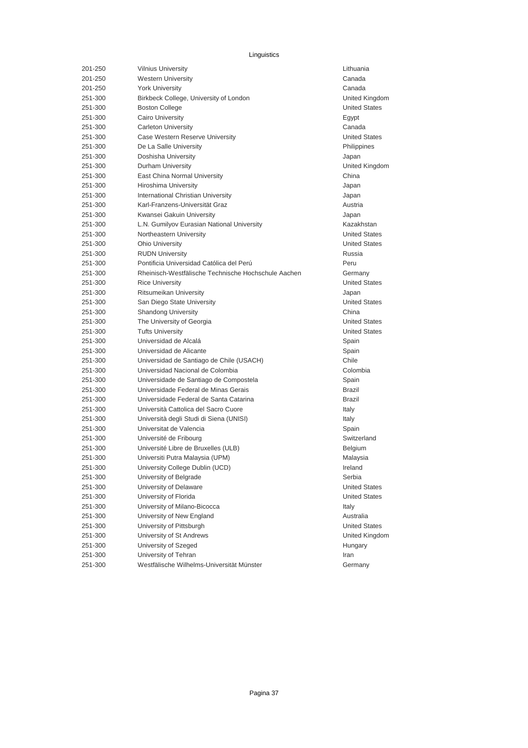| 201-250 | <b>Vilnius University</b>                           | Lithuania |
|---------|-----------------------------------------------------|-----------|
| 201-250 | <b>Western University</b>                           | Canada    |
| 201-250 | <b>York University</b>                              | Canada    |
| 251-300 | Birkbeck College, University of London              | United K  |
| 251-300 | <b>Boston College</b>                               | United S  |
| 251-300 | <b>Cairo University</b>                             | Egypt     |
| 251-300 | <b>Carleton University</b>                          | Canada    |
| 251-300 | Case Western Reserve University                     | United S  |
| 251-300 | De La Salle University                              | Philippin |
| 251-300 | Doshisha University                                 | Japan     |
| 251-300 | Durham University                                   | United K  |
| 251-300 | East China Normal University                        | China     |
| 251-300 | <b>Hiroshima University</b>                         | Japan     |
| 251-300 | International Christian University                  | Japan     |
| 251-300 | Karl-Franzens-Universität Graz                      | Austria   |
| 251-300 | Kwansei Gakuin University                           | Japan     |
| 251-300 | L.N. Gumilyov Eurasian National University          | Kazakhs   |
| 251-300 | Northeastern University                             | United S  |
| 251-300 | <b>Ohio University</b>                              | United S  |
| 251-300 | <b>RUDN University</b>                              | Russia    |
| 251-300 | Pontificia Universidad Católica del Perú            | Peru      |
| 251-300 | Rheinisch-Westfälische Technische Hochschule Aachen | Germany   |
| 251-300 | <b>Rice University</b>                              | United S  |
| 251-300 | Ritsumeikan University                              | Japan     |
| 251-300 | San Diego State University                          | United S  |
| 251-300 | <b>Shandong University</b>                          | China     |
| 251-300 | The University of Georgia                           | United S  |
| 251-300 | <b>Tufts University</b>                             | United S  |
| 251-300 | Universidad de Alcalá                               | Spain     |
| 251-300 | Universidad de Alicante                             | Spain     |
| 251-300 | Universidad de Santiago de Chile (USACH)            | Chile     |
| 251-300 | Universidad Nacional de Colombia                    | Colombia  |
| 251-300 | Universidade de Santiago de Compostela              | Spain     |
| 251-300 | Universidade Federal de Minas Gerais                | Brazil    |
| 251-300 | Universidade Federal de Santa Catarina              | Brazil    |
| 251-300 | Università Cattolica del Sacro Cuore                | Italy     |
| 251-300 | Università degli Studi di Siena (UNISI)             | Italy     |
| 251-300 | Universitat de Valencia                             | Spain     |
| 251-300 | Université de Fribourg                              | Switzerla |
| 251-300 | Université Libre de Bruxelles (ULB)                 | Belgium   |
| 251-300 | Universiti Putra Malaysia (UPM)                     | Malaysia  |
| 251-300 | University College Dublin (UCD)                     | Ireland   |
| 251-300 | University of Belgrade                              | Serbia    |
| 251-300 | University of Delaware                              | United S  |
| 251-300 | University of Florida                               | United S  |
| 251-300 | University of Milano-Bicocca                        | Italy     |
| 251-300 | University of New England                           | Australia |
| 251-300 | University of Pittsburgh                            | United S  |
| 251-300 | University of St Andrews                            | United K  |
| 251-300 | University of Szeged                                | Hungary   |
| 251-300 | University of Tehran                                | Iran      |
| 251-300 | Westfälische Wilhelms-Universität Münster           | Germany   |
|         |                                                     |           |

Lithuania United Kingdom **United States United States** Philippines United Kingdom Kazakhstan **United States United States** Germany **United States United States United States United States** Colombia Switzerland United States **United States United States** United Kingdom Germany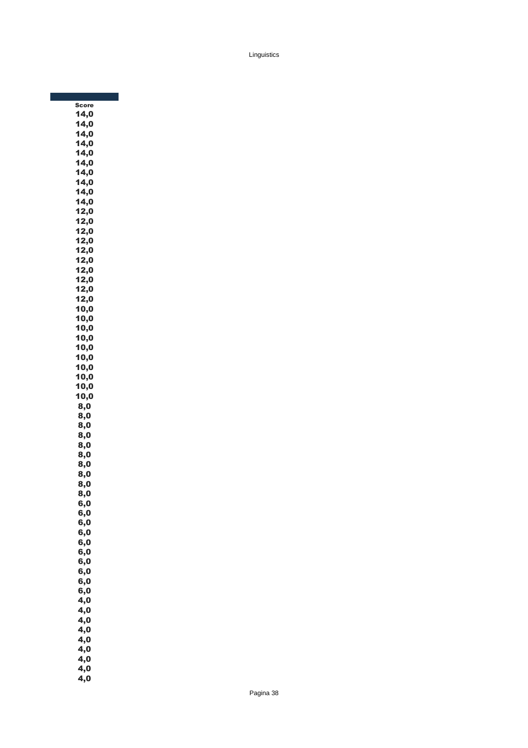| <b>Score</b> |  |
|--------------|--|
| 14,0         |  |
| 14,0         |  |
| 14,0         |  |
| 14,0         |  |
| 14,0         |  |
| 14,0         |  |
| 14,0         |  |
| 14,0         |  |
| 14,0         |  |
| 14,0         |  |
| 12,0         |  |
| 12,0         |  |
| 12,0         |  |
| 12,0         |  |
| 12,0         |  |
| 12,0         |  |
| 12,0         |  |
|              |  |
| 12,0         |  |
| 12,0         |  |
| 12,0         |  |
| 10,0         |  |
| 10,0         |  |
| 10,0         |  |
| 10,0         |  |
| 10,0         |  |
| 10,0         |  |
| 10,0         |  |
| 10,0         |  |
| 10,0         |  |
| 10,0         |  |
| 8,0          |  |
| 8,0          |  |
| 8,0          |  |
| 8,0          |  |
| 8,0          |  |
| 8,0          |  |
| 8,0          |  |
| 8,0          |  |
| 8,0          |  |
|              |  |
| 8,0          |  |
| 6,0          |  |
| 6,0          |  |
| 6,0          |  |
| 6,0          |  |
| 6,0          |  |
| 6,0          |  |
| 6,0          |  |
| 6,0          |  |
| 6,0          |  |
| 6,0          |  |
| 4,0          |  |
| 4,0          |  |
| 4,0          |  |
| 4,0          |  |
| 4,0          |  |
| 4,0          |  |
| 4,0          |  |
| 4,0          |  |
| 4,0          |  |
|              |  |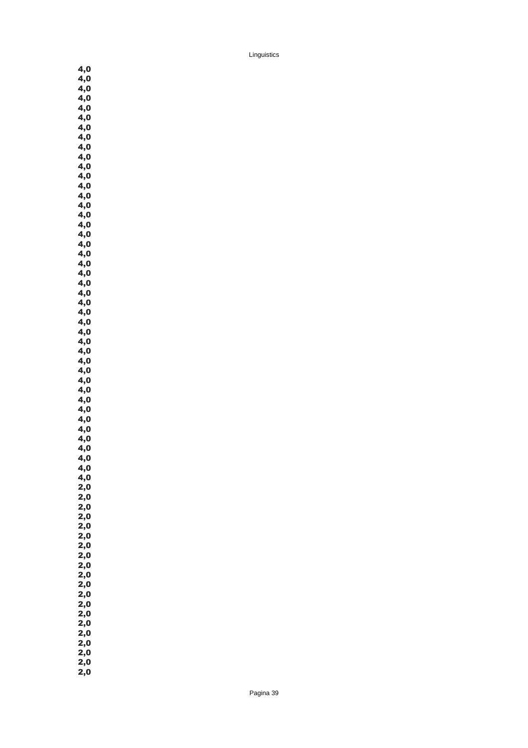4,0  $4,0$  $4,0$  $4,0$  $4,0$  $4,0$  $4,0$ 4,0  $4,0$ 4,0 4,0  $4,0$  $4,0$  $4,0$  $4,0$  $\ddot{4,0}$  $\overline{4,0}$ 4,0 4,0 4,0 4,0  $4,0$  $4,0$  $\overline{4,0}$  $4,0$  $4,0$  $4,0$ 4,0  $4,0$ 4,0 4,0  $4,0$  $4,0$  $4,0$  $4,0$  $4,0$ 4,0 4,0 4,0 4,0  $4,0$  $\overline{4,0}$  $4,0$  $2,0$  $2,0$  $2,0$  $2,0$ 2,0 2,0 2,0  $2,0$  $2,0$  $2,0$  $2,0$ 2,0  $2,0$  $2,0$ 2,0 2,0 2,0 2,0 2,0  $2,0$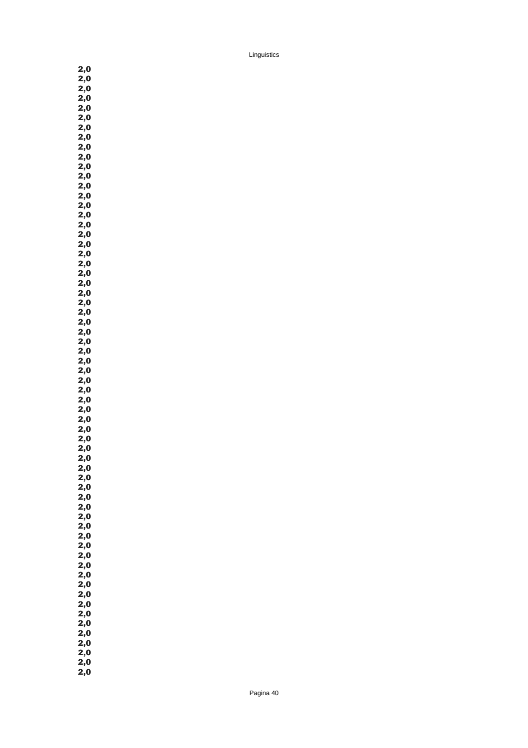2,0 2,0 2,0  $2,0$  $2,0$  $2,0$  $2,0$ 2,0 2,0 2,0 2,0 2,0  $2,0$  $2,0$  $2,0$  $2,0$  $2,0$ 2,0 2,0 2,0 2,0 2,0 2,0  $2,0$  $2,0$  $2,0$  $2,0$ 2,0 2,0 2,0 2,0  $2,0$  $2,0$  $2,0$  $2,0$  $2,0$  $2,0$ 2,0 2,0 2,0 2,0 2,0 2,0  $2,0$  $2,0$  $2,0$ 2,0 2,0 2,0 2,0  $2,0$  $2,0$  $2,0$  $2,0$ 2,0  $2,0$  $2,0$ 2,0 2,0 2,0 2,0 2,0  $2,0$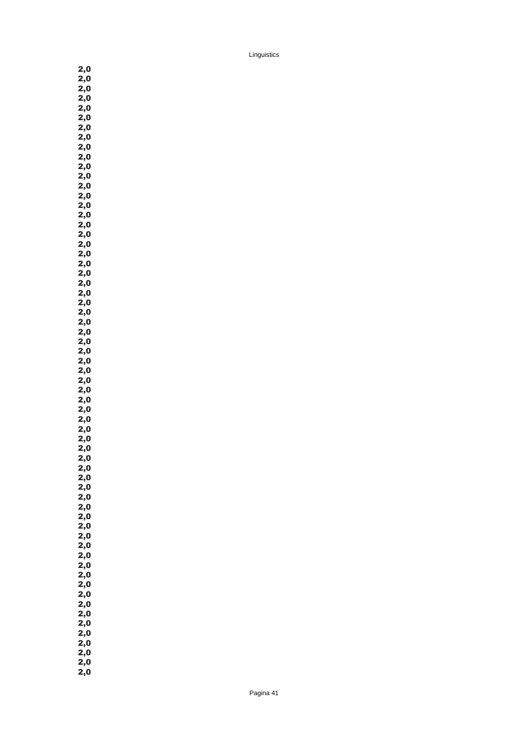2,0 2,0 2,0  $2,0$  $2,0$  $2,0$  $2,0$ 2,0 2,0 2,0 2,0 2,0  $2,0$  $2,0$  $2,0$  $2,0$  $2,0$ 2,0 2,0 2,0 2,0 2,0 2,0  $2,0$  $2,0$  $2,0$  $2,0$ 2,0 2,0 2,0 2,0  $2,0$  $2,0$  $2,0$  $2,0$  $2,0$ 2,0 2,0 2,0 2,0 2,0 2,0 2,0  $2,0$  $2,0$  $2,0$ 2,0 2,0 2,0 2,0 2,0  $2,0$  $2,0$  $2,0$ 2,0  $2,0$  $2,0$ 2,0 2,0 2,0 2,0 2,0  $2,0$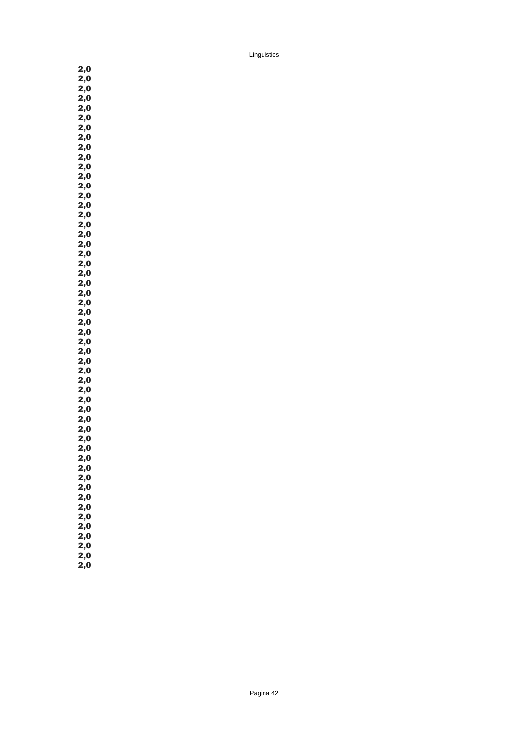2,0 2,0 2,0  $2,0$  $2,0$  $2,0$ 2,0 2,0 2,0 2,0 2,0 2,0 2,0  $2,0$  $2,0$  $2,0$ 2,0 2,0 2,0 2,0 2,0 2,0 2,0  $2,0$  $2,0$  $2,0$ 2,0 2,0 2,0 2,0 2,0 2,0 2,0  $2,0$  $2,0$  $2,0$  $2,0$ 2,0 2,0 2,0 2,0 2,0 2,0  $2,0$  $2,0$  $2,0$ 2,0 2,0 2,0 2,0 2,0 2,0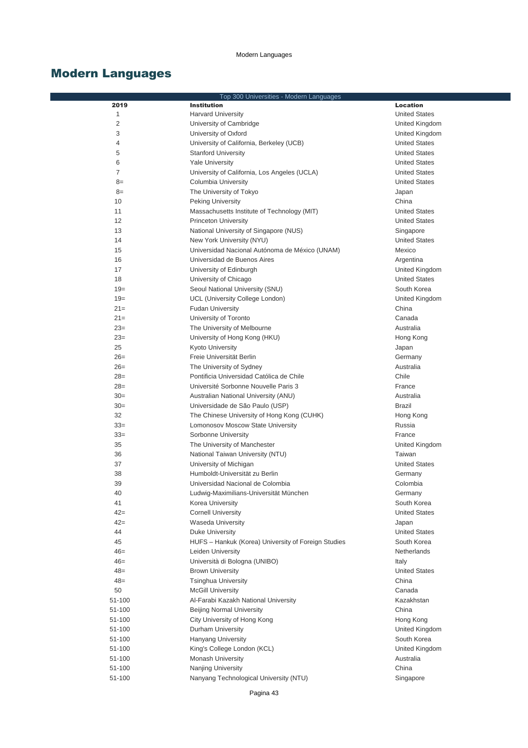|                | Top 300 Universities - Modern Languages             |                      |
|----------------|-----------------------------------------------------|----------------------|
| 2019           | <b>Institution</b>                                  | <b>Location</b>      |
| 1              | <b>Harvard University</b>                           | <b>United States</b> |
| $\overline{c}$ | University of Cambridge                             | United Kingdom       |
| 3              | University of Oxford                                | United Kingdom       |
| 4              | University of California, Berkeley (UCB)            | <b>United States</b> |
| 5              | <b>Stanford University</b>                          | <b>United States</b> |
| 6              | <b>Yale University</b>                              | <b>United States</b> |
| $\overline{7}$ | University of California, Los Angeles (UCLA)        | <b>United States</b> |
| $8=$           | Columbia University                                 | <b>United States</b> |
| $8=$           | The University of Tokyo                             | Japan                |
| 10             | <b>Peking University</b>                            | China                |
| 11             | Massachusetts Institute of Technology (MIT)         | <b>United States</b> |
| 12             | <b>Princeton University</b>                         | <b>United States</b> |
| 13             | National University of Singapore (NUS)              | Singapore            |
| 14             | New York University (NYU)                           | <b>United States</b> |
| 15             | Universidad Nacional Autónoma de México (UNAM)      | Mexico               |
| 16             | Universidad de Buenos Aires                         | Argentina            |
| 17             | University of Edinburgh                             | United Kingdom       |
| 18             | University of Chicago                               | <b>United States</b> |
| $19=$          | Seoul National University (SNU)                     | South Korea          |
| $19=$          | UCL (University College London)                     | United Kingdom       |
| $21=$          | <b>Fudan University</b>                             | China                |
| $21 =$         | University of Toronto                               | Canada               |
| $23=$          | The University of Melbourne                         | Australia            |
| $23=$          | University of Hong Kong (HKU)                       | Hong Kong            |
| 25             | <b>Kyoto University</b>                             | Japan                |
| $26=$          | Freie Universität Berlin                            | Germany              |
| $26=$          | The University of Sydney                            | Australia            |
| $28=$          | Pontificia Universidad Católica de Chile            | Chile                |
| $28=$          | Université Sorbonne Nouvelle Paris 3                | France               |
| $30=$          | Australian National University (ANU)                | Australia            |
| $30=$          | Universidade de São Paulo (USP)                     | <b>Brazil</b>        |
| 32             | The Chinese University of Hong Kong (CUHK)          | Hong Kong            |
| $33=$          | Lomonosov Moscow State University                   | Russia               |
| $33=$          | Sorbonne University                                 | France               |
| 35             | The University of Manchester                        | United Kingdom       |
| 36             | National Taiwan University (NTU)                    | Taiwan               |
| 37             | University of Michigan                              | <b>United States</b> |
| 38             | Humboldt-Universität zu Berlin                      | Germany              |
| 39             | Universidad Nacional de Colombia                    | Colombia             |
| 40             | Ludwig-Maximilians-Universität München              | Germany              |
| 41             | Korea University                                    | South Korea          |
| $42 =$         | <b>Cornell University</b>                           | <b>United States</b> |
| $42 =$         | <b>Waseda University</b>                            | Japan                |
| 44             | Duke University                                     | <b>United States</b> |
| 45             | HUFS - Hankuk (Korea) University of Foreign Studies | South Korea          |
| $46=$          | Leiden University                                   | <b>Netherlands</b>   |
| $46=$          | Università di Bologna (UNIBO)                       | Italy                |
| $48=$          | <b>Brown University</b>                             | <b>United States</b> |
| $48=$          | <b>Tsinghua University</b>                          | China                |
| 50             | <b>McGill University</b>                            | Canada               |
| 51-100         | Al-Farabi Kazakh National University                | Kazakhstan           |
| 51-100         | Beijing Normal University                           | China                |
| 51-100         | City University of Hong Kong                        | Hong Kong            |
| 51-100         | Durham University                                   | United Kingdom       |
| 51-100         | Hanyang University                                  | South Korea          |
| 51-100         | King's College London (KCL)                         | United Kingdom       |
| 51-100         | Monash University                                   | Australia            |
| 51-100         | Nanjing University                                  | China                |
| 51-100         | Nanyang Technological University (NTU)              | Singapore            |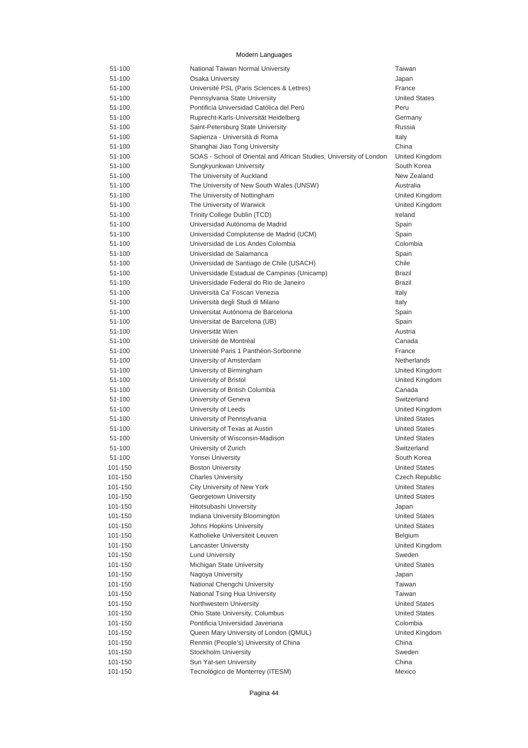| 51-100  | National Taiwan Normal University                                   | Taiwan                |
|---------|---------------------------------------------------------------------|-----------------------|
| 51-100  | Osaka University                                                    | Japan                 |
| 51-100  | Université PSL (Paris Sciences & Lettres)                           | France                |
| 51-100  | Pennsylvania State University                                       | <b>United States</b>  |
| 51-100  | Pontificia Universidad Católica del Perú                            | Peru                  |
| 51-100  | Ruprecht-Karls-Universität Heidelberg                               | Germany               |
| 51-100  | Saint-Petersburg State University                                   | Russia                |
| 51-100  | Sapienza - Università di Roma                                       | Italy                 |
| 51-100  | Shanghai Jiao Tong University                                       | China                 |
| 51-100  | SOAS - School of Oriental and African Studies, University of London | United Kingdom        |
| 51-100  | Sungkyunkwan University                                             | South Korea           |
| 51-100  | The University of Auckland                                          | New Zealand           |
| 51-100  | The University of New South Wales (UNSW)                            | Australia             |
| 51-100  | The University of Nottingham                                        | United Kingdom        |
| 51-100  | The University of Warwick                                           | United Kingdom        |
| 51-100  | Trinity College Dublin (TCD)                                        | Ireland               |
| 51-100  | Universidad Autónoma de Madrid                                      | Spain                 |
| 51-100  | Universidad Complutense de Madrid (UCM)                             | Spain                 |
| 51-100  | Universidad de Los Andes Colombia                                   | Colombia              |
| 51-100  | Universidad de Salamanca                                            | Spain                 |
| 51-100  | Universidad de Santiago de Chile (USACH)                            | Chile                 |
| 51-100  | Universidade Estadual de Campinas (Unicamp)                         | <b>Brazil</b>         |
| 51-100  | Universidade Federal do Rio de Janeiro                              | Brazil                |
| 51-100  | Università Ca' Foscari Venezia                                      | Italy                 |
| 51-100  | Università degli Studi di Milano                                    | Italy                 |
| 51-100  | Universitat Autónoma de Barcelona                                   | Spain                 |
| 51-100  | Universitat de Barcelona (UB)                                       | Spain                 |
| 51-100  | Universität Wien                                                    | Austria               |
| 51-100  | Université de Montréal                                              | Canada                |
| 51-100  | Université Paris 1 Panthéon-Sorbonne                                | France                |
| 51-100  | University of Amsterdam                                             | Netherlands           |
| 51-100  | University of Birmingham                                            | United Kingdom        |
| 51-100  | University of Bristol                                               | United Kingdom        |
| 51-100  | University of British Columbia                                      | Canada                |
| 51-100  | University of Geneva                                                | Switzerland           |
| 51-100  | University of Leeds                                                 | United Kingdom        |
| 51-100  | University of Pennsylvania                                          | <b>United States</b>  |
| 51-100  | University of Texas at Austin                                       | <b>United States</b>  |
| 51-100  | University of Wisconsin-Madison                                     | <b>United States</b>  |
| 51-100  | University of Zurich                                                | Switzerland           |
| 51-100  | Yonsei University                                                   | South Korea           |
| 101-150 | <b>Boston University</b>                                            | <b>United States</b>  |
| 101-150 | <b>Charles University</b>                                           | <b>Czech Republic</b> |
| 101-150 | City University of New York                                         | <b>United States</b>  |
| 101-150 | Georgetown University                                               | <b>United States</b>  |
| 101-150 | Hitotsubashi University                                             | Japan                 |
| 101-150 | Indiana University Bloomington                                      | <b>United States</b>  |
| 101-150 | Johns Hopkins University                                            | <b>United States</b>  |
| 101-150 | Katholieke Universiteit Leuven                                      | Belgium               |
| 101-150 | <b>Lancaster University</b>                                         | United Kingdom        |
| 101-150 | <b>Lund University</b>                                              | Sweden                |
| 101-150 | Michigan State University                                           | <b>United States</b>  |
| 101-150 | Nagoya University                                                   | Japan                 |
| 101-150 | National Chengchi University                                        | Taiwan                |
| 101-150 | National Tsing Hua University                                       | Taiwan                |
| 101-150 | Northwestern University                                             | <b>United States</b>  |
| 101-150 | Ohio State University, Columbus                                     | <b>United States</b>  |
| 101-150 | Pontificia Universidad Javeriana                                    | Colombia              |
|         |                                                                     |                       |
| 101-150 | Queen Mary University of London (QMUL)                              | United Kingdom        |
| 101-150 | Renmin (People's) University of China                               | China                 |
| 101-150 | Stockholm University                                                | Sweden                |
| 101-150 | Sun Yat-sen University                                              | China                 |
| 101-150 | Tecnológico de Monterrey (ITESM)                                    | Mexico                |

Pagina 44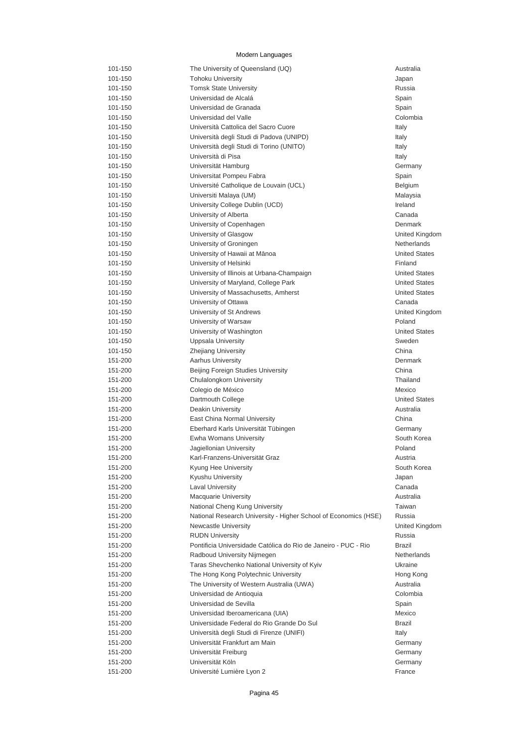| 101-150 | The University of Queensland (UQ)                               | Australia            |
|---------|-----------------------------------------------------------------|----------------------|
| 101-150 | <b>Tohoku University</b>                                        | Japan                |
| 101-150 | <b>Tomsk State University</b>                                   | Russia               |
| 101-150 | Universidad de Alcalá                                           | Spain                |
| 101-150 | Universidad de Granada                                          | Spain                |
| 101-150 | Universidad del Valle                                           | Colombia             |
| 101-150 | Università Cattolica del Sacro Cuore                            | Italy                |
| 101-150 | Università degli Studi di Padova (UNIPD)                        | Italy                |
| 101-150 | Università degli Studi di Torino (UNITO)                        | Italy                |
| 101-150 | Università di Pisa                                              | Italy                |
| 101-150 | Universität Hamburg                                             | Germany              |
| 101-150 | Universitat Pompeu Fabra                                        | Spain                |
| 101-150 | Université Catholique de Louvain (UCL)                          | Belgium              |
| 101-150 | Universiti Malaya (UM)                                          | Malaysia             |
| 101-150 | University College Dublin (UCD)                                 | Ireland              |
| 101-150 | University of Alberta                                           | Canada               |
| 101-150 | University of Copenhagen                                        | Denmark              |
| 101-150 | University of Glasgow                                           | United Kingdom       |
| 101-150 | University of Groningen                                         | <b>Netherlands</b>   |
| 101-150 | University of Hawaii at Mānoa                                   | <b>United States</b> |
| 101-150 | University of Helsinki                                          | Finland              |
| 101-150 | University of Illinois at Urbana-Champaign                      | <b>United States</b> |
| 101-150 | University of Maryland, College Park                            | <b>United States</b> |
| 101-150 | University of Massachusetts, Amherst                            | <b>United States</b> |
| 101-150 | University of Ottawa                                            | Canada               |
| 101-150 | University of St Andrews                                        | United Kingdom       |
| 101-150 | University of Warsaw                                            | Poland               |
| 101-150 | University of Washington                                        | <b>United States</b> |
| 101-150 | Uppsala University                                              | Sweden               |
| 101-150 | <b>Zhejiang University</b>                                      | China                |
| 151-200 | <b>Aarhus University</b>                                        | Denmark              |
| 151-200 | Beijing Foreign Studies University                              | China                |
| 151-200 | Chulalongkorn University                                        | Thailand             |
| 151-200 | Colegio de México                                               | Mexico               |
| 151-200 | Dartmouth College                                               | <b>United States</b> |
| 151-200 | Deakin University                                               | Australia            |
| 151-200 | East China Normal University                                    | China                |
| 151-200 | Eberhard Karls Universität Tübingen                             | Germany              |
| 151-200 | Ewha Womans University                                          | South Korea          |
| 151-200 | Jagiellonian University                                         | Poland               |
| 151-200 | Karl-Franzens-Universität Graz                                  | Austria              |
| 151-200 | Kyung Hee University                                            | South Korea          |
| 151-200 | Kyushu University                                               | Japan                |
| 151-200 | <b>Laval University</b>                                         | Canada               |
| 151-200 | <b>Macquarie University</b>                                     | Australia            |
| 151-200 | National Cheng Kung University                                  | Taiwan               |
| 151-200 | National Research University - Higher School of Economics (HSE) | Russia               |
| 151-200 | <b>Newcastle University</b>                                     | United Kingdom       |
| 151-200 | <b>RUDN University</b>                                          | Russia               |
| 151-200 | Pontificia Universidade Católica do Rio de Janeiro - PUC - Rio  | Brazil               |
| 151-200 | Radboud University Nijmegen                                     | <b>Netherlands</b>   |
| 151-200 | Taras Shevchenko National University of Kyiv                    | Ukraine              |
| 151-200 | The Hong Kong Polytechnic University                            | Hong Kong            |
| 151-200 | The University of Western Australia (UWA)                       | Australia            |
| 151-200 | Universidad de Antioquia                                        | Colombia             |
| 151-200 | Universidad de Sevilla                                          | Spain                |
| 151-200 | Universidad Iberoamericana (UIA)                                | Mexico               |
| 151-200 | Universidade Federal do Rio Grande Do Sul                       | Brazil               |
| 151-200 | Università degli Studi di Firenze (UNIFI)                       | Italy                |
| 151-200 | Universität Frankfurt am Main                                   | Germany              |
| 151-200 | Universität Freiburg                                            | Germany              |
| 151-200 | Universität Köln                                                | Germany              |
| 151-200 | Université Lumière Lyon 2                                       | France               |
|         |                                                                 |                      |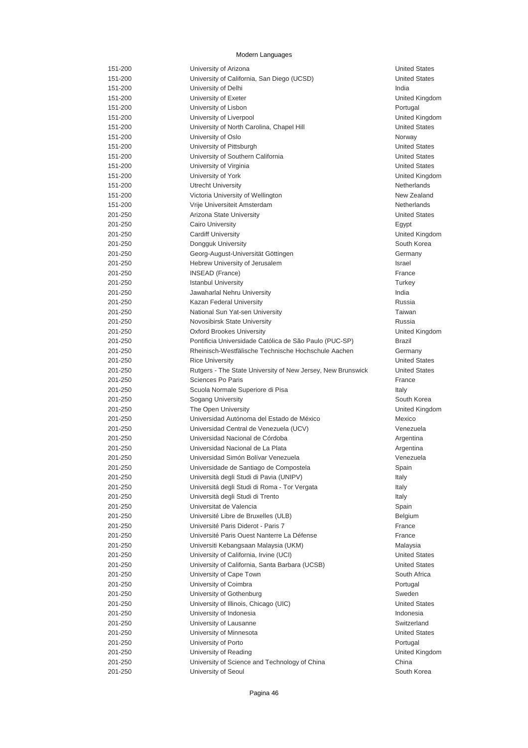| 151-200 | University of Arizona                                            | <b>United States</b> |
|---------|------------------------------------------------------------------|----------------------|
| 151-200 | University of California, San Diego (UCSD)                       | <b>United States</b> |
| 151-200 | University of Delhi                                              | India                |
| 151-200 | University of Exeter                                             | United Kingdo        |
| 151-200 | University of Lisbon                                             | Portugal             |
| 151-200 | University of Liverpool                                          | United Kingdo        |
| 151-200 | University of North Carolina, Chapel Hill                        | <b>United States</b> |
| 151-200 | University of Oslo                                               | Norway               |
| 151-200 | University of Pittsburgh                                         | <b>United States</b> |
| 151-200 | University of Southern California                                | <b>United States</b> |
| 151-200 | University of Virginia                                           | <b>United States</b> |
| 151-200 | University of York                                               | United Kingdo        |
| 151-200 | <b>Utrecht University</b>                                        | Netherlands          |
| 151-200 | Victoria University of Wellington                                | New Zealand          |
| 151-200 | Vrije Universiteit Amsterdam                                     | Netherlands          |
| 201-250 | Arizona State University                                         | <b>United States</b> |
| 201-250 | <b>Cairo University</b>                                          | Egypt                |
| 201-250 | <b>Cardiff University</b>                                        | United Kingdo        |
| 201-250 | Dongguk University                                               | South Korea          |
| 201-250 | Georg-August-Universität Göttingen                               | Germany              |
| 201-250 | Hebrew University of Jerusalem                                   | Israel               |
| 201-250 | <b>INSEAD (France)</b>                                           | France               |
| 201-250 | <b>Istanbul University</b>                                       | Turkey               |
| 201-250 | Jawaharlal Nehru University                                      | India                |
| 201-250 | Kazan Federal University                                         | Russia               |
| 201-250 | National Sun Yat-sen University                                  | Taiwan               |
| 201-250 | Novosibirsk State University                                     | Russia               |
| 201-250 | <b>Oxford Brookes University</b>                                 | United Kingdo        |
| 201-250 | Pontificia Universidade Católica de São Paulo (PUC-SP)           | Brazil               |
| 201-250 | Rheinisch-Westfälische Technische Hochschule Aachen              | Germany              |
| 201-250 | <b>Rice University</b>                                           | <b>United States</b> |
| 201-250 | Rutgers - The State University of New Jersey, New Brunswick      | <b>United States</b> |
| 201-250 | Sciences Po Paris                                                | France               |
| 201-250 | Scuola Normale Superiore di Pisa                                 | Italy                |
| 201-250 | Sogang University                                                | South Korea          |
| 201-250 | The Open University                                              | United Kingdo        |
| 201-250 | Universidad Autónoma del Estado de México                        | Mexico               |
| 201-250 | Universidad Central de Venezuela (UCV)                           | Venezuela            |
| 201-250 | Universidad Nacional de Córdoba                                  | Argentina            |
| 201-250 | Universidad Nacional de La Plata                                 | Argentina            |
| 201-250 | Universidad Simón Bolívar Venezuela                              | Venezuela            |
| 201-250 | Universidade de Santiago de Compostela                           | Spain                |
| 201-250 | Università degli Studi di Pavia (UNIPV)                          | Italy                |
| 201-250 | Universitá degli Studi di Roma - Tor Vergata                     | Italy                |
| 201-250 | Università degli Studi di Trento                                 | Italy                |
| 201-250 | Universitat de Valencia                                          | Spain                |
| 201-250 | Université Libre de Bruxelles (ULB)                              | Belgium              |
| 201-250 | Université Paris Diderot - Paris 7                               | France               |
| 201-250 | Université Paris Ouest Nanterre La Défense                       | France               |
| 201-250 | Universiti Kebangsaan Malaysia (UKM)                             | Malaysia             |
| 201-250 | University of California, Irvine (UCI)                           | <b>United States</b> |
| 201-250 | University of California, Santa Barbara (UCSB)                   | <b>United States</b> |
| 201-250 | University of Cape Town                                          | South Africa         |
| 201-250 | University of Coimbra                                            | Portugal             |
| 201-250 | University of Gothenburg                                         | Sweden               |
| 201-250 |                                                                  | <b>United States</b> |
| 201-250 | University of Illinois, Chicago (UIC)<br>University of Indonesia | Indonesia            |
|         |                                                                  | Switzerland          |
| 201-250 | University of Lausanne                                           |                      |
| 201-250 | University of Minnesota                                          | <b>United States</b> |
| 201-250 | University of Porto                                              | Portugal             |
| 201-250 | University of Reading                                            | United Kingdo        |
| 201-250 | University of Science and Technology of China                    | China                |
| 201-250 | University of Seoul                                              | South Korea          |

ted Kingdom ted Kingdom ted Kingdom ed Kingdom ed Kingdom ed Kingdom ed Kingdom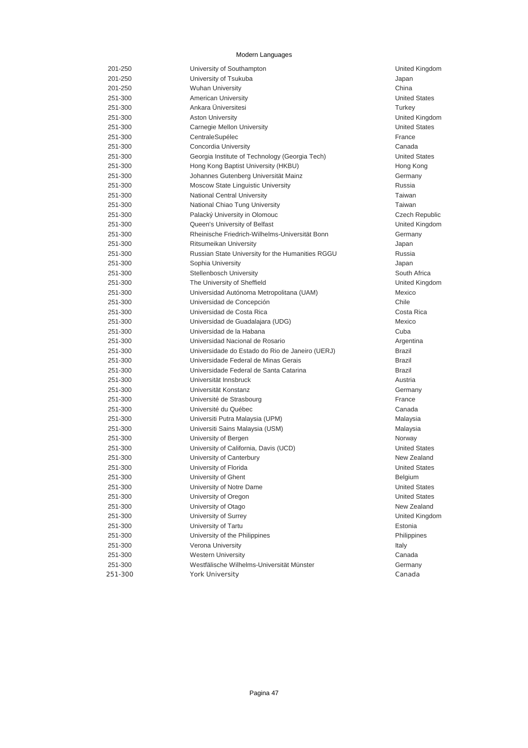| 201-250 | University of Southampton                        | United Kir        |
|---------|--------------------------------------------------|-------------------|
| 201-250 | University of Tsukuba                            | Japan             |
| 201-250 | <b>Wuhan University</b>                          | China             |
| 251-300 | American University                              | <b>United Sta</b> |
| 251-300 | Ankara Üniversitesi                              | Turkey            |
| 251-300 | <b>Aston University</b>                          | United Kir        |
| 251-300 | Carnegie Mellon University                       | <b>United Sta</b> |
| 251-300 | CentraleSupélec                                  | France            |
| 251-300 | Concordia University                             | Canada            |
| 251-300 | Georgia Institute of Technology (Georgia Tech)   | <b>United Sta</b> |
| 251-300 | Hong Kong Baptist University (HKBU)              | Hong Kor          |
| 251-300 | Johannes Gutenberg Universität Mainz             | Germany           |
| 251-300 | Moscow State Linguistic University               | Russia            |
| 251-300 | National Central University                      | Taiwan            |
| 251-300 | National Chiao Tung University                   | Taiwan            |
| 251-300 | Palacký University in Olomouc                    | Czech Re          |
| 251-300 | Queen's University of Belfast                    | United Kir        |
| 251-300 | Rheinische Friedrich-Wilhelms-Universität Bonn   | Germany           |
| 251-300 | Ritsumeikan University                           | Japan             |
| 251-300 | Russian State University for the Humanities RGGU | Russia            |
| 251-300 | Sophia University                                | Japan             |
| 251-300 | <b>Stellenbosch University</b>                   | South Afri        |
| 251-300 | The University of Sheffield                      | United Kir        |
| 251-300 | Universidad Autónoma Metropolitana (UAM)         | Mexico            |
| 251-300 | Universidad de Concepción                        | Chile             |
| 251-300 | Universidad de Costa Rica                        | Costa Ric         |
| 251-300 | Universidad de Guadalajara (UDG)                 | Mexico            |
| 251-300 | Universidad de la Habana                         | Cuba              |
| 251-300 | Universidad Nacional de Rosario                  | Argentina         |
| 251-300 | Universidade do Estado do Rio de Janeiro (UERJ)  | Brazil            |
| 251-300 | Universidade Federal de Minas Gerais             | Brazil            |
| 251-300 | Universidade Federal de Santa Catarina           | Brazil            |
| 251-300 | Universität Innsbruck                            | Austria           |
| 251-300 | Universität Konstanz                             | Germany           |
|         |                                                  | France            |
| 251-300 | Université de Strasbourg                         |                   |
| 251-300 | Université du Québec                             | Canada            |
| 251-300 | Universiti Putra Malaysia (UPM)                  | Malaysia          |
| 251-300 | Universiti Sains Malaysia (USM)                  | Malaysia          |
| 251-300 | University of Bergen                             | Norway            |
| 251-300 | University of California, Davis (UCD)            | <b>United Sta</b> |
| 251-300 | University of Canterbury                         | New Zeal          |
| 251-300 | University of Florida                            | <b>United Sta</b> |
| 251-300 | University of Ghent                              | Belgium           |
| 251-300 | University of Notre Dame                         | <b>United Sta</b> |
| 251-300 | University of Oregon                             | <b>United Sta</b> |
| 251-300 | University of Otago                              | New Zeal          |
| 251-300 | University of Surrey                             | United Kir        |
| 251-300 | University of Tartu                              | Estonia           |
| 251-300 | University of the Philippines                    | Philippine        |
| 251-300 | Verona University                                | Italy             |
| 251-300 | <b>Western University</b>                        | Canada            |
| 251-300 | Westfälische Wilhelms-Universität Münster        | Germany           |
| 251-300 | <b>York University</b>                           | Canada            |

United Kingdom United States United Kingdom United States United States Hong Kong Czech Republic United Kingdom South Africa United Kingdom Costa Rica United States New Zealand **United States** United States **United States** New Zealand United Kingdom Philippines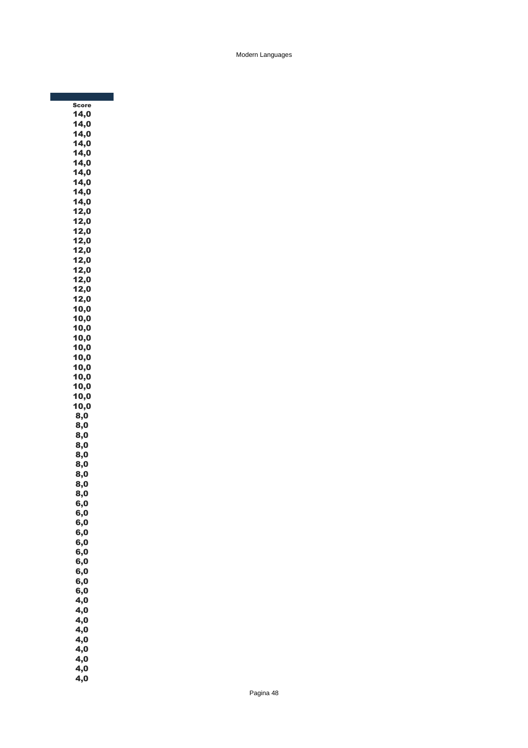Score 14,0  $14,0$  $14,0$  $14,0$ 14,0  $14,0$ 14,0 14,0 14,0 14,0  $12,0$  $12,0$  $12,0$  $12,0$  $12,0$  $12,0$ 12,0 12,0 12,0 12,0  $10,0$  $10,0$ 10,0 10,0  $10,0$ 10,0 10,0 10,0 10,0 10,0  $10,0$ 8,0 8,0 8,0 8,0 8,0 8,0 8,0 8,0 8,0 6,0 6,0 6,0 6,0 6,0 6,0 6,0 6,0 6,0 6,0 4,0  $\overline{4,0}$  $4,0$  $\overline{4,0}$  $\overline{4,0}$  $4,0$ 4,0 4,0 4,0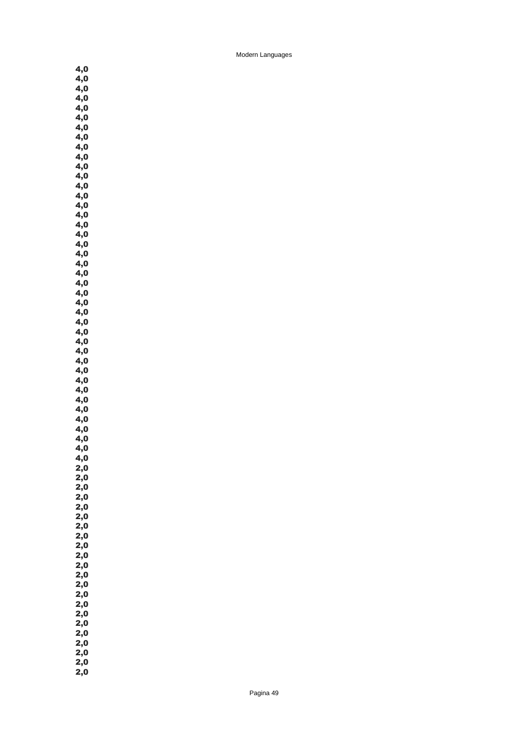4,0  $4,0$  $\overline{4,0}$  $4,0$  $\overline{4,0}$ 4,0  $\overline{4,0}$ 4,0 4,0 4,0  $4,0$  $\overline{4,0}$  $4,0$  $4,0$  $\overline{4,0}$ 4,0 4,0 4,0 4,0 4,0  $4,0$  $\overline{4,0}$  $4,0$  $\overline{4,0}$  $\overline{4,0}$  $4,0$  $\overline{4,0}$ 4,0  $4,0$ 4,0  $\mathbf{4,0}$  $\overline{4,0}$  $\overline{4,0}$  $4,0$  $\overline{4,0}$ 4,0 4,0  $\overline{4,0}$ 4,0  $4,0$  $4,0$  $2,0$  $2,0$  $2,0$  $2,0$  $2,0$ 2,0 2,0 2,0 2,0  $2,0$  $2,0$  $2,0$  $2,0$ 2,0 2,0 2,0  $2,0$  $2,0$ 2,0 2,0  $2,0$  $2,0$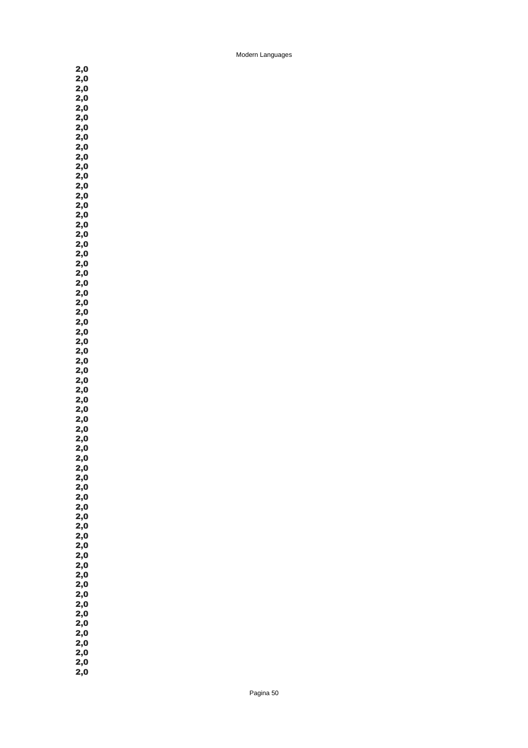2,0  $2,0$  $2,0$  $2,0$  $2,0$  $2,0$ 2,0  $2,0$  $2,0$ 2,0 2,0  $2,0$  $2,0$  $2,0$  $2,0$  $2,0$  $2,0$ 2,0  $2,0$ 2,0 2,0  $2,0$  $2,0$  $2,0$  $2,0$  $2,0$ 2,0 2,0  $2,0$ 2,0 2,0  $2,0$  $2,0$  $2,0$  $2,0$ 2,0 2,0  $2,0$ 2,0 2,0  $2,0$  $2,0$  $2,0$  $2,0$  $2,0$  $2,0$ 2,0 2,0 2,0 2,0  $2,0$  $2,0$  $2,0$  $2,0$ 2,0  $2,0$  $2,0$  $2,0$ 2,0 2,0 2,0  $2,0$  $2,0$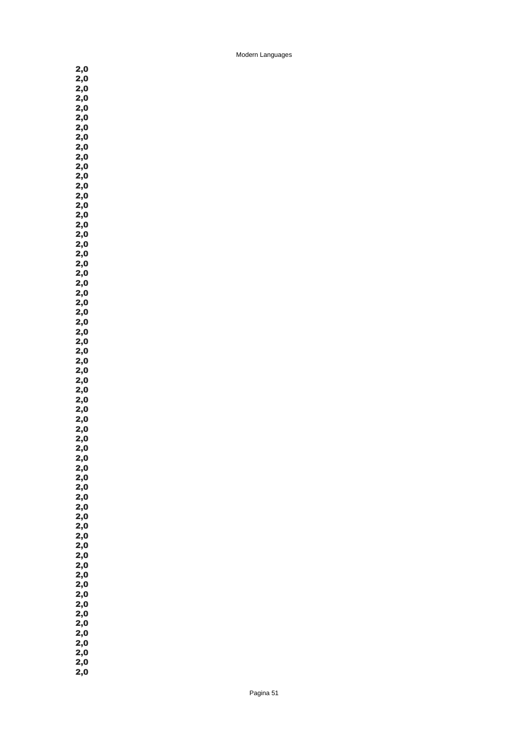2,0  $2,0$  $2,0$  $2,0$  $2,0$  $2,0$ 2,0 2,0  $2,0$ 2,0 2,0  $2,0$  $2,0$  $2,0$  $2,0$  $2,0$  $2,0$ 2,0  $2,0$ 2,0 2,0  $2,0$  $2,0$  $2,0$  $2,0$  $2,0$ 2,0 2,0  $2,0$ 2,0 2,0  $2,0$  $2,0$  $2,0$  $2,0$ 2,0 2,0  $2,0$ 2,0 2,0  $2,0$  $2,0$  $2,0$  $2,0$  $2,0$  $2,0$ 2,0 2,0 2,0 2,0  $2,0$  $2,0$  $2,0$  $2,0$ 2,0  $2,0$  $2,0$  $2,0$ 2,0 2,0 2,0  $2,0$ 

 $2,0$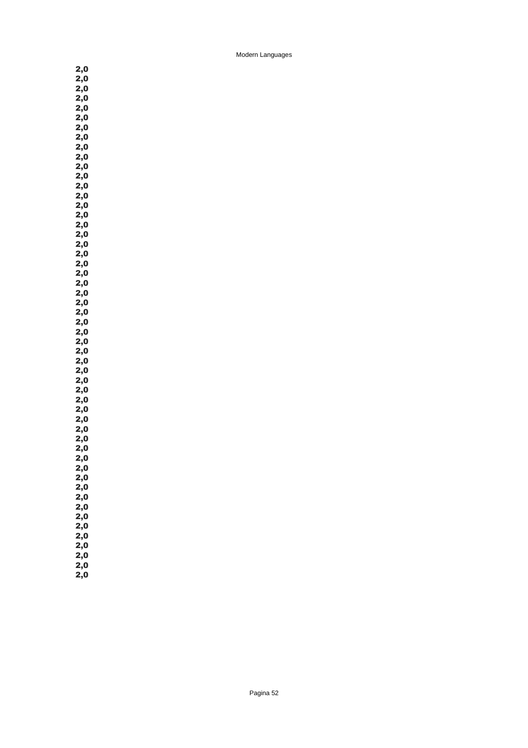$2,0$  $2,0$  $2,0$  $2,0$  $2,0$ 2,0 2,0 2,0 2,0 2,0  $2,0$  $2,0$  $2,0$  $2,0$  $2,0$  $2,0$ 2,0 2,0 2,0 2,0  $2,0$  $2,0$  $2,0$  $2,0$  $2,0$ 2,0 2,0 2,0 2,0 2,0  $2,0$  $2,0$  $2,0$  $2,0$ 2,0 2,0  $2,0$ 2,0 2,0  $2,0$  $2,0$  $2,0$  $2,0$  $2,0$  $2,0$ 2,0 2,0 2,0 2,0  $2,0$  $2,0$  $2,0$ 

2,0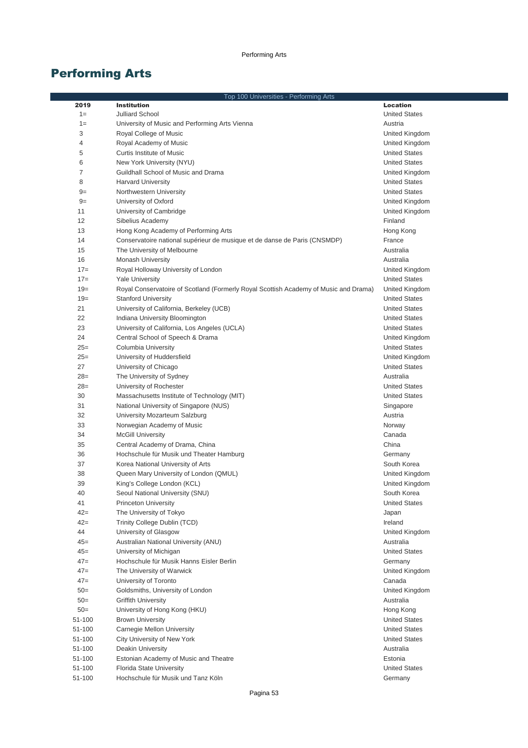|        | Top 100 Universities - Performing Arts                                               |                          |
|--------|--------------------------------------------------------------------------------------|--------------------------|
| 2019   | <b>Institution</b>                                                                   | <b>Location</b>          |
| $1=$   | Julliard School                                                                      | <b>United States</b>     |
| $1=$   | University of Music and Performing Arts Vienna                                       | Austria                  |
| 3      | Royal College of Music                                                               | United Kingdom           |
| 4      | Royal Academy of Music                                                               | United Kingdom           |
| 5      | Curtis Institute of Music                                                            | <b>United States</b>     |
| 6      | New York University (NYU)                                                            | <b>United States</b>     |
| 7      | Guildhall School of Music and Drama                                                  | United Kingdom           |
| 8      | <b>Harvard University</b>                                                            | <b>United States</b>     |
| $9=$   | Northwestern University                                                              | <b>United States</b>     |
| $9=$   | University of Oxford                                                                 | United Kingdom           |
| 11     | University of Cambridge                                                              | United Kingdom           |
| 12     | Sibelius Academy                                                                     | Finland                  |
| 13     | Hong Kong Academy of Performing Arts                                                 | Hong Kong                |
| 14     | Conservatoire national supérieur de musique et de danse de Paris (CNSMDP)            | France                   |
| 15     | The University of Melbourne                                                          | Australia                |
| 16     | <b>Monash University</b>                                                             | Australia                |
| $17=$  | Royal Holloway University of London                                                  | United Kingdom           |
| $17=$  | <b>Yale University</b>                                                               | <b>United States</b>     |
| $19=$  | Royal Conservatoire of Scotland (Formerly Royal Scottish Academy of Music and Drama) | United Kingdom           |
| $19=$  | <b>Stanford University</b>                                                           | <b>United States</b>     |
| 21     | University of California, Berkeley (UCB)                                             | <b>United States</b>     |
| 22     | Indiana University Bloomington                                                       | <b>United States</b>     |
| 23     | University of California, Los Angeles (UCLA)                                         | <b>United States</b>     |
| 24     | Central School of Speech & Drama                                                     | United Kingdom           |
| $25=$  | Columbia University                                                                  | <b>United States</b>     |
| $25=$  | University of Huddersfield                                                           | United Kingdom           |
| 27     | University of Chicago                                                                | <b>United States</b>     |
| $28=$  | The University of Sydney                                                             | Australia                |
| $28=$  | University of Rochester                                                              | <b>United States</b>     |
| 30     | Massachusetts Institute of Technology (MIT)                                          | <b>United States</b>     |
| 31     | National University of Singapore (NUS)                                               | Singapore                |
| 32     | University Mozarteum Salzburg                                                        | Austria                  |
| 33     | Norwegian Academy of Music                                                           | Norway                   |
| 34     | <b>McGill University</b>                                                             | Canada                   |
| 35     | Central Academy of Drama, China                                                      | China                    |
| 36     | Hochschule für Musik und Theater Hamburg                                             | Germany                  |
| 37     | Korea National University of Arts                                                    | South Korea              |
| 38     | Queen Mary University of London (QMUL)                                               | United Kingdom           |
| 39     | King's College London (KCL)                                                          | United Kingdom           |
| 40     | Seoul National University (SNU)                                                      | South Korea              |
| 41     | <b>Princeton University</b>                                                          | <b>United States</b>     |
| $42 =$ | The University of Tokyo                                                              | Japan                    |
| $42 =$ | Trinity College Dublin (TCD)                                                         | Ireland                  |
| 44     | University of Glasgow                                                                | United Kingdom           |
| $45=$  | Australian National University (ANU)                                                 | Australia                |
| $45=$  | University of Michigan                                                               | <b>United States</b>     |
| $47=$  | Hochschule für Musik Hanns Eisler Berlin                                             |                          |
| $47 =$ | The University of Warwick                                                            | Germany                  |
| $47 =$ | University of Toronto                                                                | United Kingdom<br>Canada |
| $50=$  |                                                                                      |                          |
|        | Goldsmiths, University of London                                                     | United Kingdom           |
| $50=$  | <b>Griffith University</b>                                                           | Australia                |
| $50=$  | University of Hong Kong (HKU)                                                        | Hong Kong                |
| 51-100 | <b>Brown University</b>                                                              | <b>United States</b>     |
| 51-100 | Carnegie Mellon University                                                           | <b>United States</b>     |
| 51-100 | City University of New York                                                          | <b>United States</b>     |
| 51-100 | <b>Deakin University</b>                                                             | Australia                |
| 51-100 | Estonian Academy of Music and Theatre                                                | Estonia                  |
| 51-100 | Florida State University                                                             | <b>United States</b>     |
| 51-100 | Hochschule für Musik und Tanz Köln                                                   | Germany                  |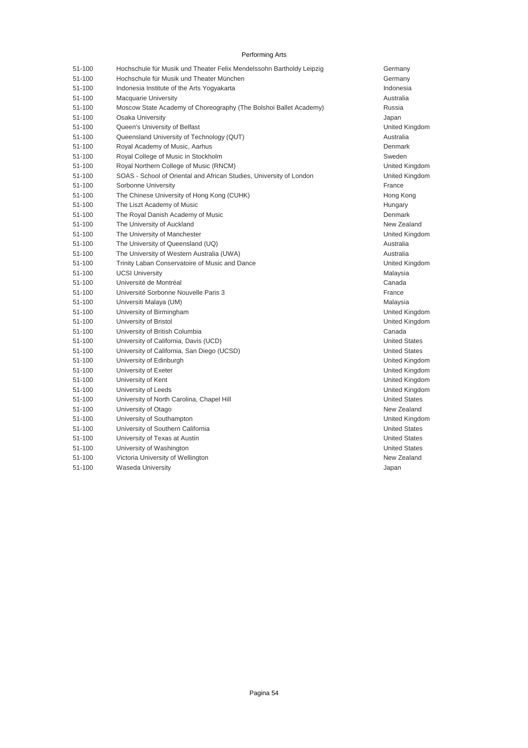| 51-100 | Hochschule für Musik und Theater Felix Mendelssohn Bartholdy Leipzig | Germany           |
|--------|----------------------------------------------------------------------|-------------------|
| 51-100 | Hochschule für Musik und Theater München                             | Germany           |
| 51-100 | Indonesia Institute of the Arts Yogyakarta                           | Indonesia         |
| 51-100 | <b>Macquarie University</b>                                          | Australia         |
| 51-100 | Moscow State Academy of Choreography (The Bolshoi Ballet Academy)    | Russia            |
| 51-100 | Osaka University                                                     | Japan             |
| 51-100 | Queen's University of Belfast                                        | United Kir        |
| 51-100 | Queensland University of Technology (QUT)                            | Australia         |
| 51-100 | Royal Academy of Music, Aarhus                                       | Denmark           |
| 51-100 | Royal College of Music in Stockholm                                  | Sweden            |
| 51-100 | Royal Northern College of Music (RNCM)                               | <b>United Kir</b> |
| 51-100 | SOAS - School of Oriental and African Studies, University of London  | <b>United Kir</b> |
| 51-100 | Sorbonne University                                                  | France            |
| 51-100 | The Chinese University of Hong Kong (CUHK)                           | Hong Kor          |
| 51-100 | The Liszt Academy of Music                                           | Hungary           |
| 51-100 | The Royal Danish Academy of Music                                    | Denmark           |
| 51-100 | The University of Auckland                                           | New Zeal          |
| 51-100 | The University of Manchester                                         | United Kir        |
| 51-100 | The University of Queensland (UQ)                                    | Australia         |
| 51-100 | The University of Western Australia (UWA)                            | Australia         |
| 51-100 | Trinity Laban Conservatoire of Music and Dance                       | United Kir        |
| 51-100 | <b>UCSI University</b>                                               | Malaysia          |
| 51-100 | Université de Montréal                                               | Canada            |
| 51-100 | Université Sorbonne Nouvelle Paris 3                                 | France            |
| 51-100 | Universiti Malaya (UM)                                               | Malaysia          |
| 51-100 | University of Birmingham                                             | <b>United Kir</b> |
| 51-100 | University of Bristol                                                | <b>United Kir</b> |
| 51-100 | University of British Columbia                                       | Canada            |
| 51-100 | University of California, Davis (UCD)                                | <b>United Sta</b> |
| 51-100 | University of California, San Diego (UCSD)                           | <b>United Sta</b> |
| 51-100 | University of Edinburgh                                              | United Kir        |
| 51-100 | University of Exeter                                                 | <b>United Kir</b> |
| 51-100 | University of Kent                                                   | <b>United Kir</b> |
| 51-100 | University of Leeds                                                  | United Kir        |
| 51-100 | University of North Carolina, Chapel Hill                            | <b>United Sta</b> |
| 51-100 | University of Otago                                                  | New Zeal          |
| 51-100 | University of Southampton                                            | United Kir        |
| 51-100 | University of Southern California                                    | <b>United Sta</b> |
| 51-100 | University of Texas at Austin                                        | <b>United Sta</b> |
| 51-100 | University of Washington                                             | <b>United Sta</b> |
| 51-100 | Victoria University of Wellington                                    | New Zeal          |
| 51-100 | Waseda University                                                    | Japan             |

United Kingdom United Kingdom United Kingdom Hong Kong New Zealand United Kingdom United Kingdom United Kingdom United Kingdom United States United States United Kingdom United Kingdom United Kingdom United Kingdom United States New Zealand United Kingdom United States United States **United States** New Zealand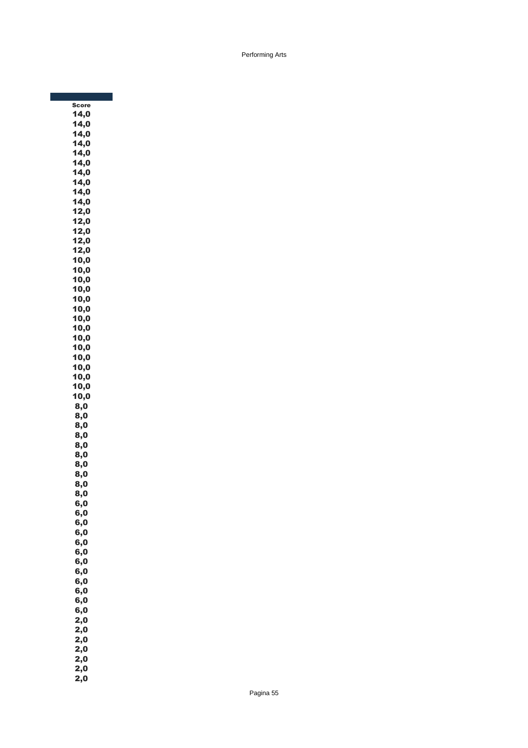**Score** 14,0  $14,0$ 14,0  $14,0$ 14,0 14,0 14,0 14,0 14,0 14,0 12,0 12,0 12,0  $12,0$ 12,0 10,0 10,0 10,0 10,0 10,0 10,0 10,0 10,0 10,0 10,0 10,0 10,0 10,0 10,0 10,0 8,0 8,0 8,0 8,0 8,0 8,0 8,0 8,0 8,0 8,0 6,0 6,0 6,0 6,0 6,0 6,0 6,0 6,0 6,0 6,0 6,0 6,0  $2,0$  $2,0$  $2,0$  $2,0$ 2,0 2,0 2,0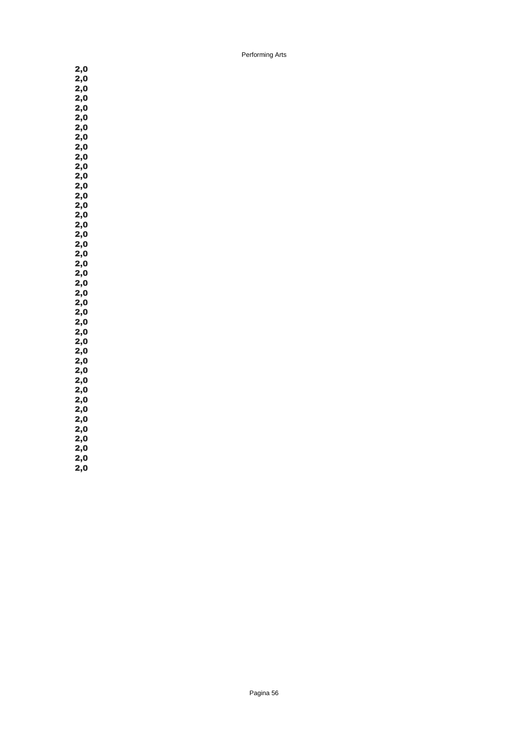2,0 2,0  $2,0$  $2,0$ 2,0 2,0 2,0 2,0 2,0  $2,0$  $2,0$  $2,0$ 2,0 2,0  $2,0$ 2,0 2,0 2,0 2,0 2,0 2,0  $2,0$  $2,0$  $2,0$ 2,0 2,0 2,0 2,0 2,0 2,0 2,0  $2,0$  $2,0$  $2,0$  $2,0$  $2,0$ 2,0 2,0 2,0  $2,0$ 

2,0 2,0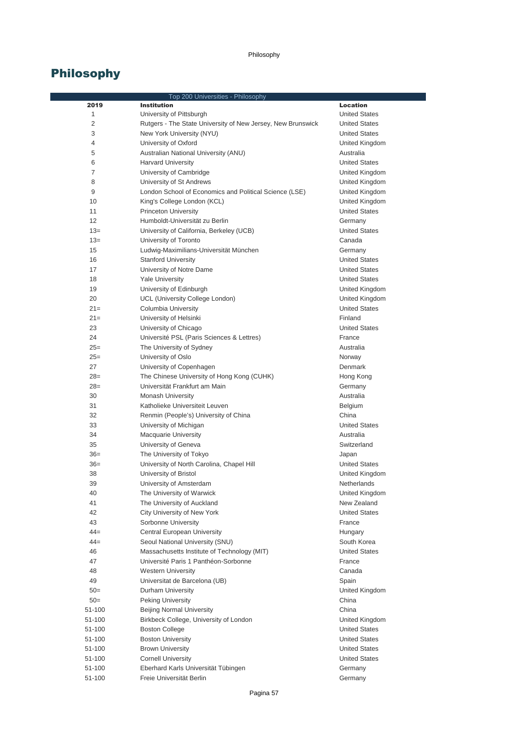|                | Top 200 Universities - Philosophy                           |                      |
|----------------|-------------------------------------------------------------|----------------------|
| 2019           | <b>Institution</b>                                          | <b>Location</b>      |
| 1              | University of Pittsburgh                                    | <b>United States</b> |
| 2              | Rutgers - The State University of New Jersey, New Brunswick | <b>United States</b> |
| 3              | New York University (NYU)                                   | <b>United States</b> |
| 4              | University of Oxford                                        | United Kingdom       |
| 5              | Australian National University (ANU)                        | Australia            |
| 6              | <b>Harvard University</b>                                   | <b>United States</b> |
| $\overline{7}$ | University of Cambridge                                     | United Kingdom       |
| 8              | University of St Andrews                                    | United Kingdom       |
| 9              | London School of Economics and Political Science (LSE)      | United Kingdom       |
| 10             | King's College London (KCL)                                 | United Kingdom       |
| 11             | <b>Princeton University</b>                                 | <b>United States</b> |
| 12             | Humboldt-Universität zu Berlin                              | Germany              |
| $13=$          | University of California, Berkeley (UCB)                    | <b>United States</b> |
| $13=$          | University of Toronto                                       | Canada               |
| 15             | Ludwig-Maximilians-Universität München                      | Germany              |
| 16             | <b>Stanford University</b>                                  | <b>United States</b> |
| 17             | University of Notre Dame                                    | <b>United States</b> |
| 18             | <b>Yale University</b>                                      | <b>United States</b> |
| 19             | University of Edinburgh                                     | United Kingdom       |
| 20             | UCL (University College London)                             | United Kingdom       |
| $21=$          | Columbia University                                         | <b>United States</b> |
| $21=$          | University of Helsinki                                      | Finland              |
| 23             | University of Chicago                                       | <b>United States</b> |
| 24             | Université PSL (Paris Sciences & Lettres)                   | France               |
| $25=$          | The University of Sydney                                    | Australia            |
| $25=$          | University of Oslo                                          | Norway               |
| 27             | University of Copenhagen                                    | Denmark              |
| $28=$          | The Chinese University of Hong Kong (CUHK)                  | Hong Kong            |
| $28=$          | Universität Frankfurt am Main                               | Germany              |
| 30             | <b>Monash University</b>                                    | Australia            |
| 31             | Katholieke Universiteit Leuven                              | Belgium              |
| 32             | Renmin (People's) University of China                       | China                |
| 33             | University of Michigan                                      | <b>United States</b> |
| 34             | <b>Macquarie University</b>                                 | Australia            |
| 35             | University of Geneva                                        | Switzerland          |
| $36=$          | The University of Tokyo                                     | Japan                |
| $36=$          | University of North Carolina, Chapel Hill                   | <b>United States</b> |
| 38             | University of Bristol                                       | United Kingdom       |
| 39             | University of Amsterdam                                     | Netherlands          |
| 40             | The University of Warwick                                   | United Kingdom       |
| 41             | The University of Auckland                                  | New Zealand          |
| 42             | City University of New York                                 | <b>United States</b> |
| 43             | Sorbonne University                                         | France               |
| $44 =$         | Central European University                                 | Hungary              |
| $44 =$         | Seoul National University (SNU)                             | South Korea          |
| 46             | Massachusetts Institute of Technology (MIT)                 | <b>United States</b> |
| 47             | Université Paris 1 Panthéon-Sorbonne                        | France               |
| 48             | <b>Western University</b>                                   | Canada               |
| 49             | Universitat de Barcelona (UB)                               | Spain                |
| $50=$          | Durham University                                           | United Kingdom       |
| $50=$          | <b>Peking University</b>                                    | China                |
| 51-100         | <b>Beijing Normal University</b>                            | China                |
| 51-100         | Birkbeck College, University of London                      | United Kingdom       |
| 51-100         | <b>Boston College</b>                                       | <b>United States</b> |
| 51-100         | <b>Boston University</b>                                    | <b>United States</b> |
| 51-100         | <b>Brown University</b>                                     | <b>United States</b> |
| 51-100         | <b>Cornell University</b>                                   | <b>United States</b> |
| 51-100         | Eberhard Karls Universität Tübingen                         | Germany              |
| 51-100         | Freie Universität Berlin                                    | Germany              |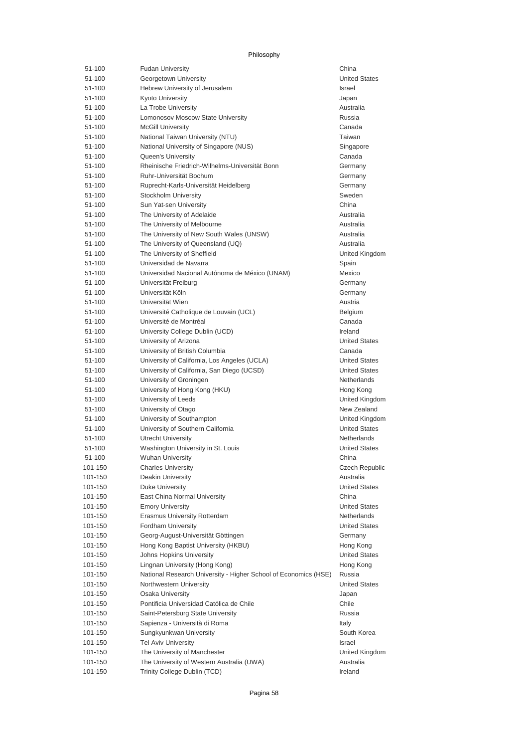| 51-100  | <b>Fudan University</b>                                         | China                 |
|---------|-----------------------------------------------------------------|-----------------------|
| 51-100  | Georgetown University                                           | <b>United States</b>  |
| 51-100  | Hebrew University of Jerusalem                                  | <b>Israel</b>         |
| 51-100  | <b>Kyoto University</b>                                         | Japan                 |
| 51-100  | La Trobe University                                             | Australia             |
| 51-100  | Lomonosov Moscow State University                               | Russia                |
| 51-100  | <b>McGill University</b>                                        | Canada                |
| 51-100  | National Taiwan University (NTU)                                | Taiwan                |
| 51-100  | National University of Singapore (NUS)                          | Singapore             |
| 51-100  | <b>Oueen's University</b>                                       | Canada                |
| 51-100  | Rheinische Friedrich-Wilhelms-Universität Bonn                  | Germany               |
| 51-100  | Ruhr-Universität Bochum                                         | Germany               |
| 51-100  | Ruprecht-Karls-Universität Heidelberg                           | Germany               |
| 51-100  | Stockholm University                                            | Sweden                |
| 51-100  | Sun Yat-sen University                                          | China                 |
| 51-100  | The University of Adelaide                                      | Australia             |
| 51-100  | The University of Melbourne                                     | Australia             |
| 51-100  | The University of New South Wales (UNSW)                        | Australia             |
| 51-100  | The University of Queensland (UQ)                               | Australia             |
| 51-100  | The University of Sheffield                                     | United Kingdom        |
| 51-100  | Universidad de Navarra                                          | Spain                 |
| 51-100  | Universidad Nacional Autónoma de México (UNAM)                  | Mexico                |
| 51-100  | Universität Freiburg                                            | Germany               |
| 51-100  | Universität Köln                                                | Germany               |
| 51-100  | Universität Wien                                                | Austria               |
| 51-100  | Université Catholique de Louvain (UCL)                          | Belgium               |
| 51-100  | Université de Montréal                                          | Canada                |
| 51-100  | University College Dublin (UCD)                                 | Ireland               |
| 51-100  | University of Arizona                                           | <b>United States</b>  |
| 51-100  | University of British Columbia                                  | Canada                |
| 51-100  | University of California, Los Angeles (UCLA)                    | <b>United States</b>  |
| 51-100  | University of California, San Diego (UCSD)                      | <b>United States</b>  |
| 51-100  | University of Groningen                                         | Netherlands           |
| 51-100  | University of Hong Kong (HKU)                                   | Hong Kong             |
| 51-100  | University of Leeds                                             | United Kingdom        |
| 51-100  | University of Otago                                             | New Zealand           |
| 51-100  | University of Southampton                                       | United Kingdom        |
| 51-100  | University of Southern California                               | <b>United States</b>  |
| 51-100  | <b>Utrecht University</b>                                       | Netherlands           |
| 51-100  | Washington University in St. Louis                              | <b>United States</b>  |
| 51-100  | <b>Wuhan University</b>                                         | China                 |
| 101-150 | <b>Charles University</b>                                       | <b>Czech Republic</b> |
| 101-150 | Deakin University                                               | Australia             |
| 101-150 | <b>Duke University</b>                                          | <b>United States</b>  |
| 101-150 | East China Normal University                                    | China                 |
| 101-150 | <b>Emory University</b>                                         | <b>United States</b>  |
| 101-150 | Erasmus University Rotterdam                                    | <b>Netherlands</b>    |
| 101-150 | Fordham University                                              | <b>United States</b>  |
| 101-150 | Georg-August-Universität Göttingen                              | Germany               |
| 101-150 | Hong Kong Baptist University (HKBU)                             | Hong Kong             |
| 101-150 | Johns Hopkins University                                        | <b>United States</b>  |
| 101-150 | Lingnan University (Hong Kong)                                  | Hong Kong             |
| 101-150 | National Research University - Higher School of Economics (HSE) | Russia                |
| 101-150 | Northwestern University                                         | <b>United States</b>  |
| 101-150 | <b>Osaka University</b>                                         | Japan                 |
| 101-150 | Pontificia Universidad Católica de Chile                        | Chile                 |
| 101-150 | Saint-Petersburg State University                               | Russia                |
| 101-150 | Sapienza - Università di Roma                                   | Italy                 |
| 101-150 | Sungkyunkwan University                                         | South Korea           |
| 101-150 | <b>Tel Aviv University</b>                                      | <b>Israel</b>         |
| 101-150 | The University of Manchester                                    | United Kingdom        |
| 101-150 | The University of Western Australia (UWA)                       | Australia             |
| 101-150 | Trinity College Dublin (TCD)                                    | Ireland               |
|         |                                                                 |                       |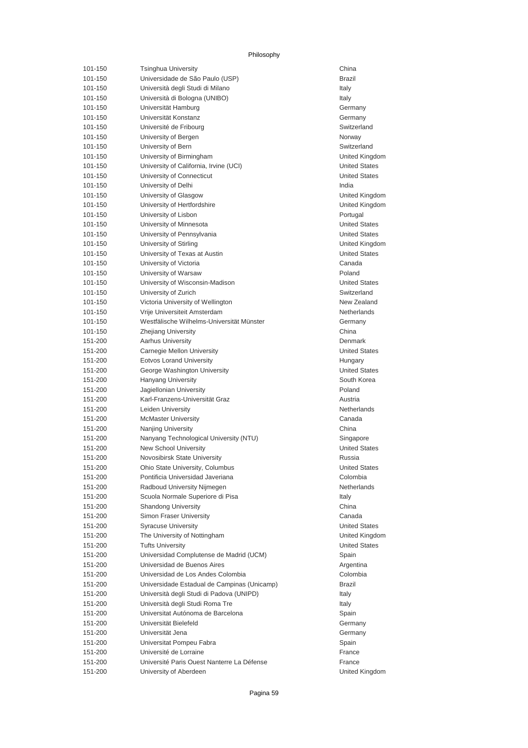| 101-150 | <b>Tsinghua University</b>                  | China         |
|---------|---------------------------------------------|---------------|
| 101-150 | Universidade de São Paulo (USP)             | Brazil        |
| 101-150 | Università degli Studi di Milano            | Italy         |
| 101-150 | Università di Bologna (UNIBO)               | Italy         |
| 101-150 | Universität Hamburg                         | Germany       |
| 101-150 | Universität Konstanz                        | Germany       |
| 101-150 | Université de Fribourg                      | Switzerlar    |
| 101-150 | University of Bergen                        | Norway        |
| 101-150 | University of Bern                          | Switzerlar    |
| 101-150 | University of Birmingham                    | United Ki     |
| 101-150 | University of California, Irvine (UCI)      | United St     |
| 101-150 | University of Connecticut                   | United St     |
| 101-150 | University of Delhi                         | India         |
| 101-150 | University of Glasgow                       | United Ki     |
| 101-150 | University of Hertfordshire                 | United Kir    |
| 101-150 | University of Lisbon                        | Portugal      |
| 101-150 | University of Minnesota                     | United St     |
| 101-150 | University of Pennsylvania                  | United St     |
| 101-150 | University of Stirling                      | United Ki     |
| 101-150 | University of Texas at Austin               | United St     |
| 101-150 | University of Victoria                      | Canada        |
| 101-150 | University of Warsaw                        | Poland        |
| 101-150 | University of Wisconsin-Madison             | United St     |
| 101-150 | University of Zurich                        | Switzerlar    |
| 101-150 | Victoria University of Wellington           | New Zeal      |
| 101-150 | Vrije Universiteit Amsterdam                | Netherlan     |
| 101-150 | Westfälische Wilhelms-Universität Münster   | Germany       |
| 101-150 | Zhejiang University                         | China         |
| 151-200 | <b>Aarhus University</b>                    | Denmark       |
| 151-200 | Carnegie Mellon University                  | United St     |
| 151-200 | <b>Eotvos Lorand University</b>             | Hungary       |
| 151-200 | George Washington University                | United St     |
| 151-200 | <b>Hanyang University</b>                   | South Ko      |
| 151-200 | Jagiellonian University                     | Poland        |
| 151-200 | Karl-Franzens-Universität Graz              | Austria       |
| 151-200 | Leiden University                           | Netherlan     |
| 151-200 | <b>McMaster University</b>                  | Canada        |
| 151-200 | Nanjing University                          | China         |
| 151-200 | Nanyang Technological University (NTU)      | Singapore     |
| 151-200 | New School University                       | United St     |
| 151-200 | Novosibirsk State University                | Russia        |
| 151-200 | Ohio State University, Columbus             | United St     |
| 151-200 | Pontificia Universidad Javeriana            | Colombia      |
| 151-200 | Radboud University Nijmegen                 | Netherlan     |
| 151-200 | Scuola Normale Superiore di Pisa            | Italy         |
| 151-200 | <b>Shandong University</b>                  | China         |
| 151-200 | Simon Fraser University                     | Canada        |
| 151-200 | <b>Syracuse University</b>                  | United St     |
| 151-200 | The University of Nottingham                | United Kir    |
| 151-200 | <b>Tufts University</b>                     | United St     |
| 151-200 | Universidad Complutense de Madrid (UCM)     | Spain         |
| 151-200 | Universidad de Buenos Aires                 | Argentina     |
| 151-200 | Universidad de Los Andes Colombia           | Colombia      |
| 151-200 | Universidade Estadual de Campinas (Unicamp) | <b>Brazil</b> |
| 151-200 | Università degli Studi di Padova (UNIPD)    | Italy         |
| 151-200 | Università degli Studi Roma Tre             | Italy         |
| 151-200 | Universitat Autónoma de Barcelona           | Spain         |
| 151-200 | Universität Bielefeld                       | Germany       |
| 151-200 | Universität Jena                            | Germany       |
| 151-200 | Universitat Pompeu Fabra                    | Spain         |
| 151-200 | Université de Lorraine                      | France        |
| 151-200 | Université Paris Ouest Nanterre La Défense  | France        |
| 151-200 | University of Aberdeen                      | United Ki     |

Germany Switzerland Switzerland United Kingdom United States **United States** United Kingdom United Kingdom United States United States United Kingdom United States **United States** Switzerland New Zealand Netherlands Germany Denmark United States United States South Korea **Netherlands** Singapore **United States United States** Netherlands **United States** United Kingdom **United States** Argentina Colombia United Kingdom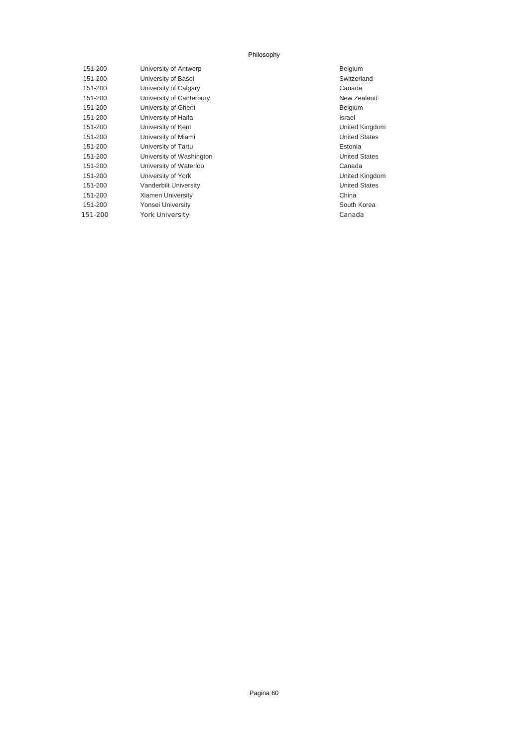| 151-200 | University of Antwerp    | Belgium   |
|---------|--------------------------|-----------|
| 151-200 | University of Basel      | Switzerla |
| 151-200 | University of Calgary    | Canada    |
| 151-200 | University of Canterbury | New Zea   |
| 151-200 | University of Ghent      | Belgium   |
| 151-200 | University of Haifa      | Israel    |
| 151-200 | University of Kent       | United K  |
| 151-200 | University of Miami      | United S  |
| 151-200 | University of Tartu      | Estonia   |
| 151-200 | University of Washington | United S  |
| 151-200 | University of Waterloo   | Canada    |
| 151-200 | University of York       | United K  |
| 151-200 | Vanderbilt University    | United S  |
| 151-200 | <b>Xiamen University</b> | China     |
| 151-200 | Yonsei University        | South Ko  |
| 151-200 | <b>York University</b>   | Canada    |
|         |                          |           |

Switzerland New Zealand United Kingdom **United States** United States United Kingdom United States South Korea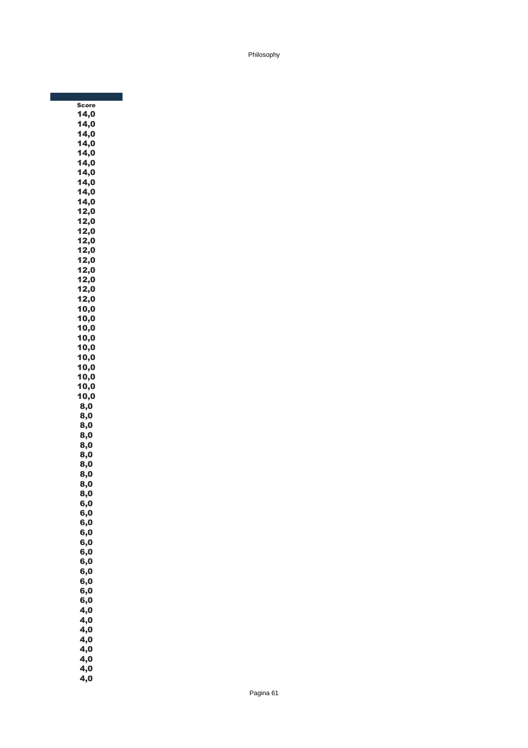| Sco  |  |
|------|--|
| 14,0 |  |
| 14,0 |  |
| 14,0 |  |
| 14,0 |  |
| 14,0 |  |
| 14,0 |  |
| 14,0 |  |
| 14,0 |  |
| 14,0 |  |
| 14,0 |  |
| 12,0 |  |
| 12,0 |  |
| 12,0 |  |
| 12,0 |  |
| 12,0 |  |
| 12,0 |  |
| 12,0 |  |
| 12,0 |  |
| 12,0 |  |
| 12,0 |  |
| 10,0 |  |
| 10,0 |  |
| 10,0 |  |
| 10,0 |  |
| 10,0 |  |
| 10,0 |  |
| 10,0 |  |
| 10,0 |  |
| 10,0 |  |
| 10,0 |  |
| 8,0  |  |
| 8,0  |  |
| 8,0  |  |
| 8,0  |  |
| 8,0  |  |
| 8,0  |  |
| 8,0  |  |
| 8,0  |  |
| 8,0  |  |
| 8,0  |  |
| 6,0  |  |
| 6,0  |  |
| 6,0  |  |
| 6,0  |  |
| 6,0  |  |
| 6,0  |  |
| 6,0  |  |
| 6,0  |  |
| 6,0  |  |
| 6,0  |  |
| 6,0  |  |
| 4,0  |  |
| 4,0  |  |
| 4,0  |  |
| 4,0  |  |
| 4,0  |  |
| 4,0  |  |
| 4,0  |  |
| 4,0  |  |
|      |  |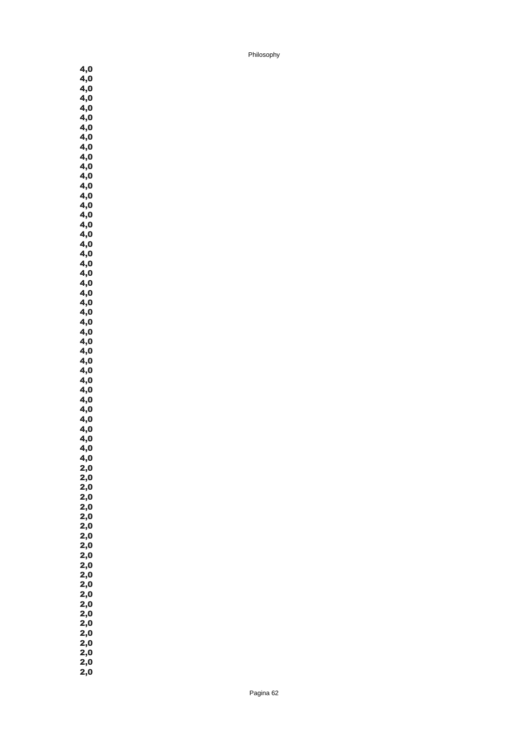4,0 4,0 4,0  $4,0$ 4,0 4,0 4,0 4,0 4,0 4,0 4,0 4,0 4,0 4,0 4,0 4,0 4,0 4,0 4,0 4,0 4,0  $\ddot{4,0}$  $\overline{4,0}$ 4,0 4,0 4,0 4,0 4,0 4,0 4,0 4,0 4,0  $\overline{4,0}$ 4,0 4,0  $\overline{4,0}$ 4,0 4,0 4,0 4,0 4,0 2,0 2,0 2,0 2,0  $2,0$ 2,0 2,0 2,0 2,0 2,0 2,0 2,0  $2,0$ 2,0 2,0 2,0 2,0 2,0 2,0 2,0 2,0 2,0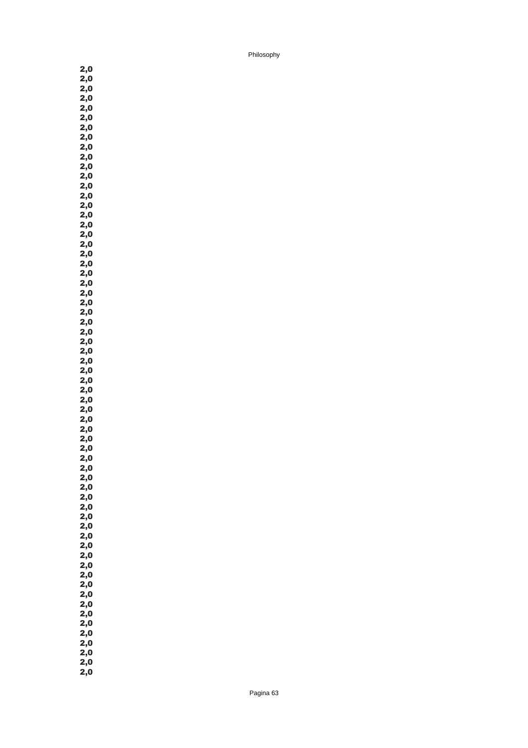2,0 2,0 2,0 2,0 2,0 2,0 2,0 2,0 2,0 2,0 2,0 2,0 2,0 2,0 2,0 2,0 2,0 2,0 2,0 2,0 2,0 2,0 2,0 2,0 2,0 2,0 2,0 2,0 2,0 2,0 2,0 2,0 2,0 2,0 2,0  $2,0$ 2,0 2,0 2,0 2,0 2,0 2,0 2,0 2,0 2,0  $2,0$ 2,0 2,0 2,0 2,0 2,0 2,0 2,0  $2,0$ 2,0 2,0 2,0 2,0 2,0 2,0 2,0 2,0 2,0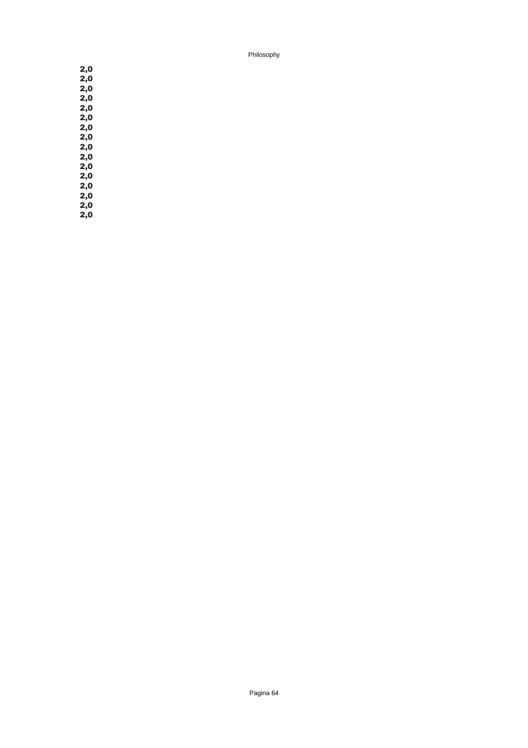2,0 2,0 2,0 2,0 2,0 2,0 2,0 2,0 2,0 2,0 2,0 2,0 2,0 2,0 2,0 2,0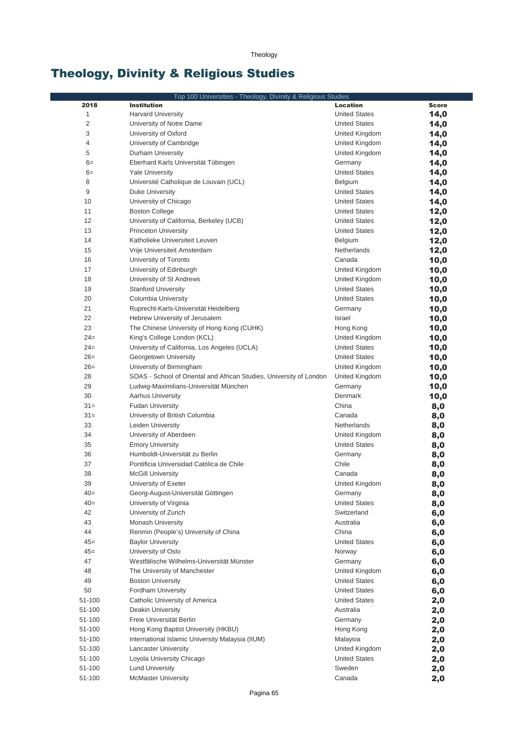Theology

# Theology, Divinity & Religious Studies

|                | Top 100 Universities - Theology, Divinity & Religious Studies       |                      |              |
|----------------|---------------------------------------------------------------------|----------------------|--------------|
| 2018           | <b>Institution</b>                                                  | Location             | <b>Score</b> |
| $1\,$          | <b>Harvard University</b>                                           | <b>United States</b> | 14,0         |
| $\overline{2}$ | University of Notre Dame                                            | <b>United States</b> | 14,0         |
| 3              | University of Oxford                                                | United Kingdom       | 14,0         |
| $\overline{4}$ | University of Cambridge                                             | United Kingdom       | 14,0         |
| 5              | Durham University                                                   | United Kingdom       | 14,0         |
| $6=$           | Eberhard Karls Universität Tübingen                                 | Germany              | 14,0         |
| $6=$           | <b>Yale University</b>                                              | <b>United States</b> | 14,0         |
| 8              | Université Catholique de Louvain (UCL)                              | Belgium              | 14,0         |
| 9              | Duke University                                                     | <b>United States</b> | 14,0         |
| 10             | University of Chicago                                               | <b>United States</b> | 14,0         |
| 11             | <b>Boston College</b>                                               | <b>United States</b> | 12,0         |
| 12             | University of California, Berkeley (UCB)                            | <b>United States</b> | 12,0         |
| 13             | <b>Princeton University</b>                                         | <b>United States</b> | 12,0         |
| 14             | Katholieke Universiteit Leuven                                      | Belgium              | 12,0         |
| 15             | Vrije Universiteit Amsterdam                                        | Netherlands          | 12,0         |
| 16             | University of Toronto                                               | Canada               | 10,0         |
| 17             | University of Edinburgh                                             | United Kingdom       | 10,0         |
| 18             | University of St Andrews                                            | United Kingdom       | 10,0         |
| 19             | <b>Stanford University</b>                                          | <b>United States</b> | 10,0         |
| 20             | Columbia University                                                 | <b>United States</b> | 10,0         |
| 21             | Ruprecht-Karls-Universität Heidelberg                               | Germany              | 10,0         |
| 22             | Hebrew University of Jerusalem                                      | Israel               | 10,0         |
| 23             | The Chinese University of Hong Kong (CUHK)                          | Hong Kong            | 10,0         |
| $24=$          | King's College London (KCL)                                         | United Kingdom       | 10,0         |
| $24=$          | University of California, Los Angeles (UCLA)                        | <b>United States</b> | 10,0         |
| $26=$          | Georgetown University                                               | <b>United States</b> | 10,0         |
| $26=$          | University of Birmingham                                            | United Kingdom       | 10,0         |
| 28             | SOAS - School of Oriental and African Studies, University of London | United Kingdom       | 10,0         |
| 29             | Ludwig-Maximilians-Universität München                              | Germany              | 10,0         |
| 30             | <b>Aarhus University</b>                                            | Denmark              | 10,0         |
| $31 =$         | <b>Fudan University</b>                                             | China                | 8,0          |
| $31 =$         | University of British Columbia                                      | Canada               | 8,0          |
| 33             | Leiden University                                                   | Netherlands          | 8,0          |
| 34             | University of Aberdeen                                              | United Kingdom       | 8,0          |
| 35             | <b>Emory University</b>                                             | <b>United States</b> | 8,0          |
| 36             | Humboldt-Universität zu Berlin                                      | Germany              | 8,0          |
| 37             | Pontificia Universidad Católica de Chile                            | Chile                | 8,0          |
| 38             | <b>McGill University</b>                                            | Canada               | 8,0          |
| 39             | University of Exeter                                                | United Kingdom       | 8,0          |
| $40=$          | Georg-August-Universität Göttingen                                  | Germany              | 8,0          |
| $40=$          | University of Virginia                                              | <b>United States</b> | 8,0          |
| 42             | University of Zurich                                                | Switzerland          | 6,0          |
| 43             | Monash University                                                   | Australia            | 6,0          |
| 44             | Renmin (People's) University of China                               | China                | 6,0          |
| $45 =$         | <b>Baylor University</b>                                            | <b>United States</b> | 6,0          |
| $45 =$         | University of Oslo                                                  | Norway               | 6,0          |
| 47             | Westfälische Wilhelms-Universität Münster                           | Germany              | 6,0          |
| 48             | The University of Manchester                                        | United Kingdom       | 6,0          |
| 49             | <b>Boston University</b>                                            | <b>United States</b> | 6,0          |
| 50             | Fordham University                                                  | <b>United States</b> | 6,0          |
| 51-100         | Catholic University of America                                      | <b>United States</b> | 2,0          |
| 51-100         | Deakin University                                                   | Australia            | 2,0          |
| 51-100         | Freie Universität Berlin                                            | Germany              | 2,0          |
| 51-100         | Hong Kong Baptist University (HKBU)                                 | Hong Kong            | 2,0          |
| 51-100         | International Islamic University Malaysia (IIUM)                    | Malaysia             | 2,0          |
| 51-100         | <b>Lancaster University</b>                                         | United Kingdom       | 2,0          |
| 51-100         | Loyola University Chicago                                           | <b>United States</b> | 2,0          |
| 51-100         | <b>Lund University</b>                                              | Sweden               | 2,0          |
| 51-100         | <b>McMaster University</b>                                          | Canada               | 2,0          |
|                |                                                                     |                      |              |